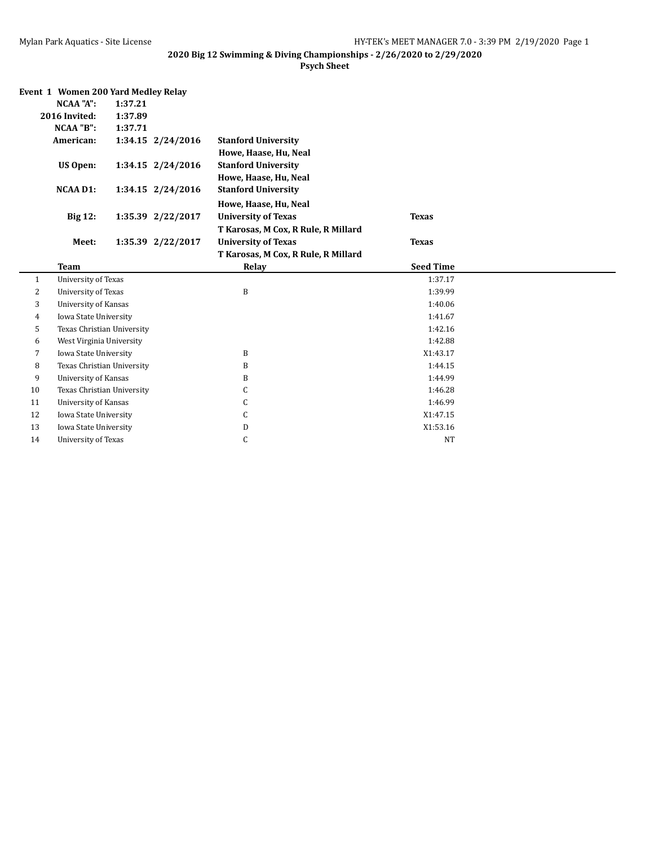|                      | Event 1 Women 200 Yard Medley Relay |         |                   |                                     |                  |  |  |  |  |
|----------------------|-------------------------------------|---------|-------------------|-------------------------------------|------------------|--|--|--|--|
|                      | <b>NCAA "A":</b>                    | 1:37.21 |                   |                                     |                  |  |  |  |  |
|                      | 2016 Invited:                       | 1:37.89 |                   |                                     |                  |  |  |  |  |
| NCAA "B":<br>1:37.71 |                                     |         |                   |                                     |                  |  |  |  |  |
|                      | American:                           |         | 1:34.15 2/24/2016 | <b>Stanford University</b>          |                  |  |  |  |  |
|                      |                                     |         |                   | Howe, Haase, Hu, Neal               |                  |  |  |  |  |
|                      | US Open:                            |         | 1:34.15 2/24/2016 | <b>Stanford University</b>          |                  |  |  |  |  |
|                      |                                     |         |                   | Howe, Haase, Hu, Neal               |                  |  |  |  |  |
|                      | <b>NCAA D1:</b>                     |         | 1:34.15 2/24/2016 | <b>Stanford University</b>          |                  |  |  |  |  |
|                      |                                     |         |                   | Howe, Haase, Hu, Neal               |                  |  |  |  |  |
|                      | <b>Big 12:</b>                      |         | 1:35.39 2/22/2017 | <b>University of Texas</b>          | <b>Texas</b>     |  |  |  |  |
|                      |                                     |         |                   | T Karosas, M Cox, R Rule, R Millard |                  |  |  |  |  |
|                      | Meet:                               |         | 1:35.39 2/22/2017 | <b>University of Texas</b>          | <b>Texas</b>     |  |  |  |  |
|                      |                                     |         |                   | T Karosas, M Cox, R Rule, R Millard |                  |  |  |  |  |
|                      | <b>Team</b>                         |         |                   | Relay                               | <b>Seed Time</b> |  |  |  |  |
| $\mathbf{1}$         | <b>University of Texas</b>          |         |                   |                                     | 1:37.17          |  |  |  |  |
| 2                    |                                     |         |                   |                                     |                  |  |  |  |  |
|                      | <b>University of Texas</b>          |         |                   | B                                   | 1:39.99          |  |  |  |  |
| 3                    | University of Kansas                |         |                   |                                     | 1:40.06          |  |  |  |  |
| 4                    | Iowa State University               |         |                   |                                     | 1:41.67          |  |  |  |  |
| 5                    | Texas Christian University          |         |                   |                                     | 1:42.16          |  |  |  |  |
| 6                    | West Virginia University            |         |                   |                                     | 1:42.88          |  |  |  |  |
| 7                    | Iowa State University               |         |                   | B                                   | X1:43.17         |  |  |  |  |
| 8                    | Texas Christian University          |         |                   | B                                   | 1:44.15          |  |  |  |  |
| 9                    | University of Kansas                |         |                   | B                                   | 1:44.99          |  |  |  |  |
| 10                   | Texas Christian University          |         |                   | C                                   | 1:46.28          |  |  |  |  |
| 11                   | University of Kansas                |         |                   | С                                   | 1:46.99          |  |  |  |  |
| 12                   | Iowa State University               |         |                   | C                                   | X1:47.15         |  |  |  |  |
| 13                   | Iowa State University               |         |                   | D                                   | X1:53.16         |  |  |  |  |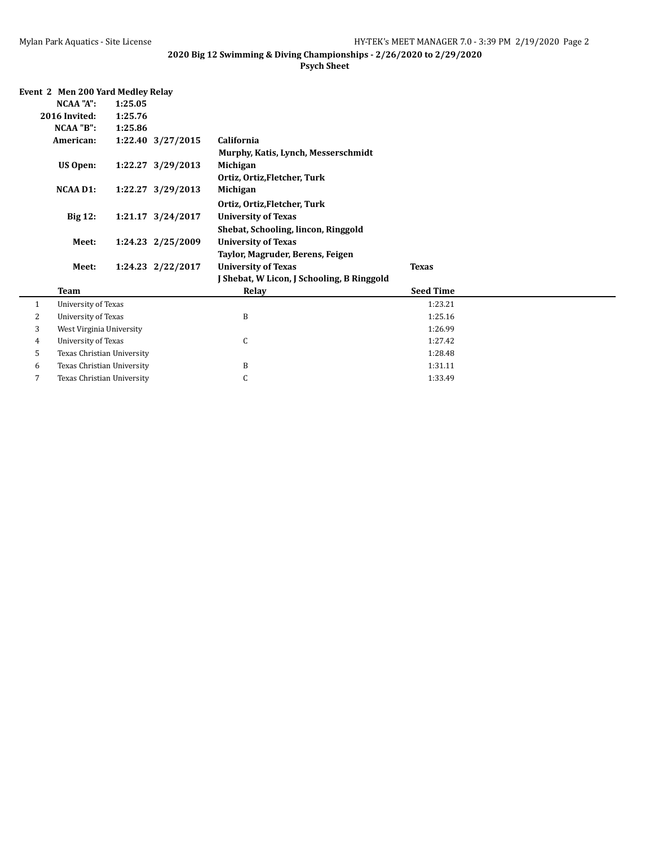|  | Event 2 Men 200 Yard Medley Relay |  |  |
|--|-----------------------------------|--|--|
|  |                                   |  |  |

|                | NCAA "A":                                                         | 1:25.05                       |                   |                                            |                  |  |  |  |  |
|----------------|-------------------------------------------------------------------|-------------------------------|-------------------|--------------------------------------------|------------------|--|--|--|--|
|                | 2016 Invited:                                                     | 1:25.76                       |                   |                                            |                  |  |  |  |  |
|                | NCAA "B":                                                         | 1:25.86                       |                   |                                            |                  |  |  |  |  |
|                | American:                                                         |                               | 1:22.40 3/27/2015 | California                                 |                  |  |  |  |  |
|                |                                                                   |                               |                   | Murphy, Katis, Lynch, Messerschmidt        |                  |  |  |  |  |
|                | US Open:                                                          | 1:22.27 3/29/2013<br>Michigan |                   |                                            |                  |  |  |  |  |
|                |                                                                   |                               |                   | Ortiz, Ortiz, Fletcher, Turk               |                  |  |  |  |  |
|                | NCAA D1:                                                          |                               | 1:22.27 3/29/2013 | Michigan                                   |                  |  |  |  |  |
|                |                                                                   |                               |                   | Ortiz, Ortiz, Fletcher, Turk               |                  |  |  |  |  |
|                | <b>Big 12:</b><br>1:21.17 3/24/2017<br><b>University of Texas</b> |                               |                   |                                            |                  |  |  |  |  |
|                |                                                                   |                               |                   | Shebat, Schooling, lincon, Ringgold        |                  |  |  |  |  |
|                | 1:24.23 2/25/2009<br><b>University of Texas</b><br>Meet:          |                               |                   |                                            |                  |  |  |  |  |
|                |                                                                   |                               |                   | Taylor, Magruder, Berens, Feigen           |                  |  |  |  |  |
|                | Meet:                                                             |                               | 1:24.23 2/22/2017 | <b>University of Texas</b>                 | <b>Texas</b>     |  |  |  |  |
|                |                                                                   |                               |                   | J Shebat, W Licon, J Schooling, B Ringgold |                  |  |  |  |  |
|                | <b>Team</b>                                                       |                               |                   | Relay                                      | <b>Seed Time</b> |  |  |  |  |
| $\mathbf{1}$   | University of Texas                                               |                               |                   |                                            | 1:23.21          |  |  |  |  |
| 2              | University of Texas                                               |                               |                   | B                                          | 1:25.16          |  |  |  |  |
| 3              | West Virginia University                                          |                               |                   |                                            | 1:26.99          |  |  |  |  |
| $\overline{4}$ | University of Texas                                               |                               |                   | C                                          | 1:27.42          |  |  |  |  |
| 5              | Texas Christian University                                        |                               |                   |                                            | 1:28.48          |  |  |  |  |
| 6              | Texas Christian University                                        |                               |                   | B                                          | 1:31.11          |  |  |  |  |
| $\overline{7}$ | Texas Christian University                                        |                               |                   | C                                          | 1:33.49          |  |  |  |  |
|                |                                                                   |                               |                   |                                            |                  |  |  |  |  |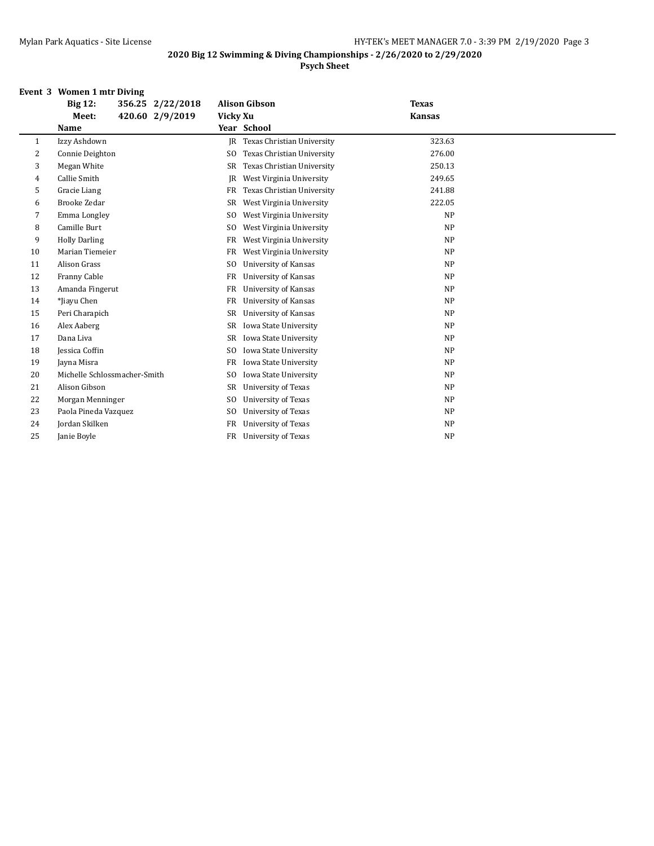#### **2020 Big 12 Swimming & Diving Championships - 2/26/2020 to 2/29/2020 Psych Sheet**

#### **Event 3 Women 1 mtr Diving**

|    | 356.25 2/22/2018<br><b>Big 12:</b> | <b>Alison Gibson</b>                         | <b>Texas</b>  |  |
|----|------------------------------------|----------------------------------------------|---------------|--|
|    | 420.60 2/9/2019<br>Meet:           | Vicky Xu                                     | <b>Kansas</b> |  |
|    | Name                               | Year School                                  |               |  |
| 1  | Izzy Ashdown                       | Texas Christian University<br>IR             | 323.63        |  |
| 2  | Connie Deighton                    | Texas Christian University<br>S <sub>0</sub> | 276.00        |  |
| 3  | Megan White                        | Texas Christian University<br><b>SR</b>      | 250.13        |  |
| 4  | Callie Smith                       | <b>IR</b><br>West Virginia University        | 249.65        |  |
| 5  | Gracie Liang                       | Texas Christian University<br><b>FR</b>      | 241.88        |  |
| 6  | Brooke Zedar                       | West Virginia University<br>SR               | 222.05        |  |
| 7  | Emma Longley                       | West Virginia University<br>S <sub>0</sub>   | <b>NP</b>     |  |
| 8  | Camille Burt                       | West Virginia University<br>S <sub>0</sub>   | <b>NP</b>     |  |
| 9  | <b>Holly Darling</b>               | West Virginia University<br>FR               | <b>NP</b>     |  |
| 10 | Marian Tiemeier                    | FR<br>West Virginia University               | <b>NP</b>     |  |
| 11 | Alison Grass                       | S <sub>0</sub><br>University of Kansas       | <b>NP</b>     |  |
| 12 | Franny Cable                       | University of Kansas<br>FR                   | <b>NP</b>     |  |
| 13 | Amanda Fingerut                    | <b>University of Kansas</b><br>FR            | <b>NP</b>     |  |
| 14 | *Jiayu Chen                        | <b>University of Kansas</b><br>FR            | <b>NP</b>     |  |
| 15 | Peri Charapich                     | University of Kansas<br>SR                   | <b>NP</b>     |  |
| 16 | Alex Aaberg                        | Iowa State University<br>SR                  | <b>NP</b>     |  |
| 17 | Dana Liva                          | Iowa State University<br><b>SR</b>           | <b>NP</b>     |  |
| 18 | Jessica Coffin                     | Iowa State University<br>SO.                 | <b>NP</b>     |  |
| 19 | Jayna Misra                        | Iowa State University<br>FR                  | <b>NP</b>     |  |
| 20 | Michelle Schlossmacher-Smith       | Iowa State University<br>S <sub>0</sub>      | <b>NP</b>     |  |
| 21 | Alison Gibson                      | SR<br>University of Texas                    | <b>NP</b>     |  |
| 22 | Morgan Menninger                   | <b>University of Texas</b><br>SO.            | <b>NP</b>     |  |
| 23 | Paola Pineda Vazquez               | University of Texas<br>S <sub>0</sub>        | <b>NP</b>     |  |
| 24 | Jordan Skilken                     | FR<br>University of Texas                    | <b>NP</b>     |  |
| 25 | Janie Boyle                        | University of Texas<br>FR                    | <b>NP</b>     |  |
|    |                                    |                                              |               |  |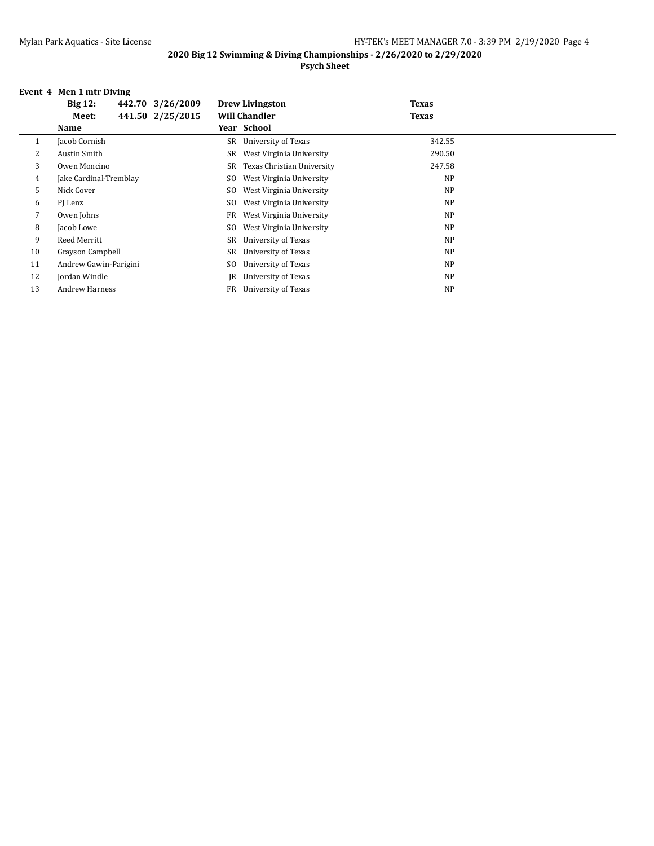#### **2020 Big 12 Swimming & Diving Championships - 2/26/2020 to 2/29/2020 Psych Sheet**

#### **Event 4 Men 1 mtr Diving**

|    | <b>Big 12:</b>         | 442.70 3/26/2009 |     | <b>Drew Livingston</b>     | <b>Texas</b> |
|----|------------------------|------------------|-----|----------------------------|--------------|
|    | Meet:                  | 441.50 2/25/2015 |     | <b>Will Chandler</b>       | <b>Texas</b> |
|    | Name                   |                  |     | Year School                |              |
| 1  | Jacob Cornish          |                  | SR  | University of Texas        | 342.55       |
| 2  | Austin Smith           |                  | SR  | West Virginia University   | 290.50       |
| 3  | Owen Moncino           |                  | SR  | Texas Christian University | 247.58       |
| 4  | Jake Cardinal-Tremblay |                  | SO. | West Virginia University   | NP           |
| 5  | Nick Cover             |                  | SO. | West Virginia University   | NP           |
| 6  | PJ Lenz                |                  | SO. | West Virginia University   | NP           |
| 7  | Owen Johns             |                  | FR  | West Virginia University   | NP           |
| 8  | Jacob Lowe             |                  | SO. | West Virginia University   | NP           |
| 9  | Reed Merritt           |                  | SR  | University of Texas        | NP           |
| 10 | Grayson Campbell       |                  | SR  | University of Texas        | NP           |
| 11 | Andrew Gawin-Parigini  |                  | SO  | University of Texas        | <b>NP</b>    |
| 12 | Jordan Windle          |                  | IR  | University of Texas        | NP           |
| 13 | <b>Andrew Harness</b>  |                  |     | FR University of Texas     | NP           |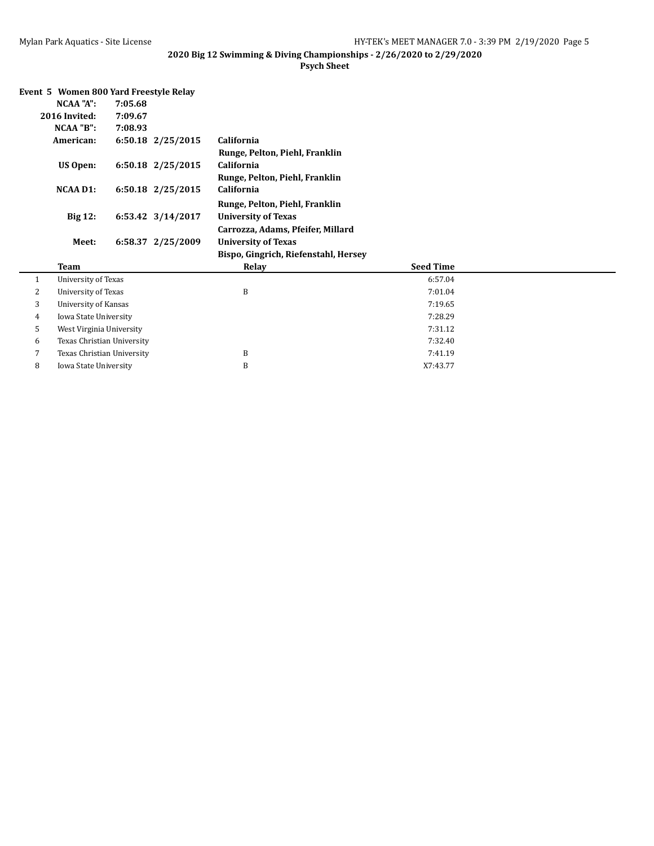| Event 5 Women 800 Yard Freestyle Relay |                            |                                      |                  |  |
|----------------------------------------|----------------------------|--------------------------------------|------------------|--|
| NCAA "A":                              | 7:05.68                    |                                      |                  |  |
| 2016 Invited:                          | 7:09.67                    |                                      |                  |  |
| NCAA "B":                              | 7:08.93                    |                                      |                  |  |
| American:                              | 6:50.18 2/25/2015          | California                           |                  |  |
|                                        |                            | Runge, Pelton, Piehl, Franklin       |                  |  |
| US Open:                               | 6:50.18 2/25/2015          | California                           |                  |  |
|                                        |                            | Runge, Pelton, Piehl, Franklin       |                  |  |
| <b>NCAA D1:</b>                        | 6:50.18 2/25/2015          | California                           |                  |  |
|                                        |                            | Runge, Pelton, Piehl, Franklin       |                  |  |
| <b>Big 12:</b>                         | 6:53.42 3/14/2017          | <b>University of Texas</b>           |                  |  |
|                                        |                            | Carrozza, Adams, Pfeifer, Millard    |                  |  |
| Meet:                                  | 6:58.37 2/25/2009          | <b>University of Texas</b>           |                  |  |
|                                        |                            | Bispo, Gingrich, Riefenstahl, Hersey |                  |  |
| <b>Team</b>                            |                            | Relay                                | <b>Seed Time</b> |  |
| $\mathbf{1}$                           | University of Texas        |                                      | 6:57.04          |  |
| 2                                      | University of Texas        | B                                    | 7:01.04          |  |
| 3                                      | University of Kansas       |                                      | 7:19.65          |  |
| 4                                      | Iowa State University      |                                      | 7:28.29          |  |
| 5                                      | West Virginia University   |                                      | 7:31.12          |  |
| 6                                      | Texas Christian University |                                      | 7:32.40          |  |
| 7                                      | Texas Christian University | B                                    | 7:41.19          |  |
| 8                                      | Iowa State University      | B                                    | X7:43.77         |  |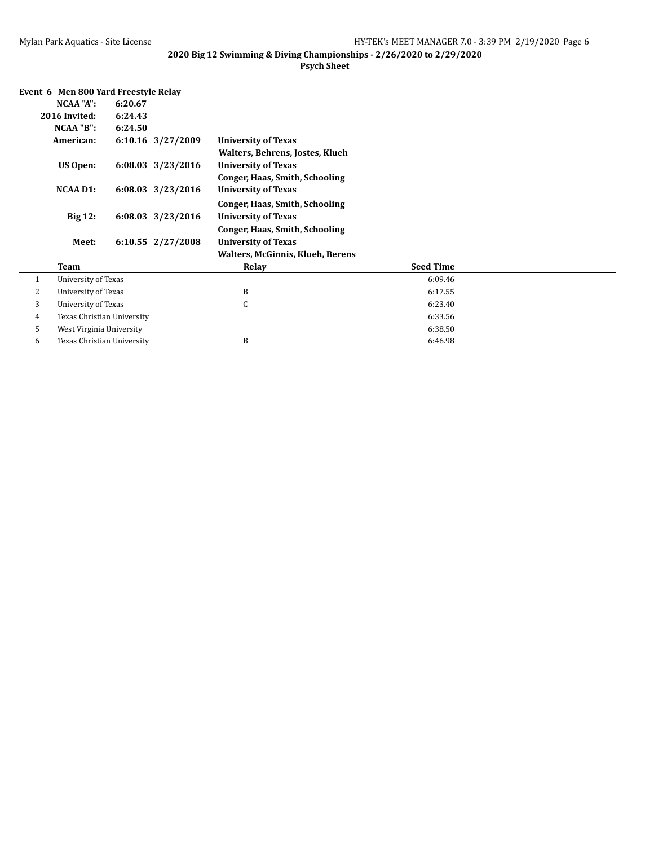| Event 6 Men 800 Yard Freestyle Relay |                            |                                                 |                   |                                         |                  |  |  |  |
|--------------------------------------|----------------------------|-------------------------------------------------|-------------------|-----------------------------------------|------------------|--|--|--|
|                                      | NCAA "A":                  | 6:20.67                                         |                   |                                         |                  |  |  |  |
|                                      | 2016 Invited:              | 6:24.43                                         |                   |                                         |                  |  |  |  |
|                                      | NCAA "B":                  | 6:24.50                                         |                   |                                         |                  |  |  |  |
|                                      | American:                  | 6:10.16 3/27/2009<br><b>University of Texas</b> |                   |                                         |                  |  |  |  |
|                                      |                            |                                                 |                   | Walters, Behrens, Jostes, Klueh         |                  |  |  |  |
|                                      | US Open:                   |                                                 | 6:08.03 3/23/2016 | <b>University of Texas</b>              |                  |  |  |  |
|                                      |                            |                                                 |                   | Conger, Haas, Smith, Schooling          |                  |  |  |  |
|                                      | <b>NCAA D1:</b>            |                                                 | 6:08.03 3/23/2016 | <b>University of Texas</b>              |                  |  |  |  |
|                                      |                            |                                                 |                   | Conger, Haas, Smith, Schooling          |                  |  |  |  |
|                                      | <b>Big 12:</b>             |                                                 | 6:08.03 3/23/2016 | <b>University of Texas</b>              |                  |  |  |  |
|                                      |                            |                                                 |                   | <b>Conger, Haas, Smith, Schooling</b>   |                  |  |  |  |
|                                      | Meet:                      |                                                 | 6:10.55 2/27/2008 | <b>University of Texas</b>              |                  |  |  |  |
|                                      |                            |                                                 |                   | <b>Walters, McGinnis, Klueh, Berens</b> |                  |  |  |  |
|                                      | Team                       |                                                 |                   | Relay                                   | <b>Seed Time</b> |  |  |  |
| $\mathbf{1}$                         | <b>University of Texas</b> |                                                 |                   |                                         | 6:09.46          |  |  |  |
| 2                                    | University of Texas        |                                                 |                   | B                                       | 6:17.55          |  |  |  |
| 3                                    | University of Texas        |                                                 |                   | $\mathsf{C}$                            | 6:23.40          |  |  |  |
| 4                                    | Texas Christian University |                                                 |                   |                                         | 6:33.56          |  |  |  |
| 5                                    | West Virginia University   |                                                 |                   |                                         | 6:38.50          |  |  |  |
| 6                                    | Texas Christian University |                                                 |                   | B                                       | 6:46.98          |  |  |  |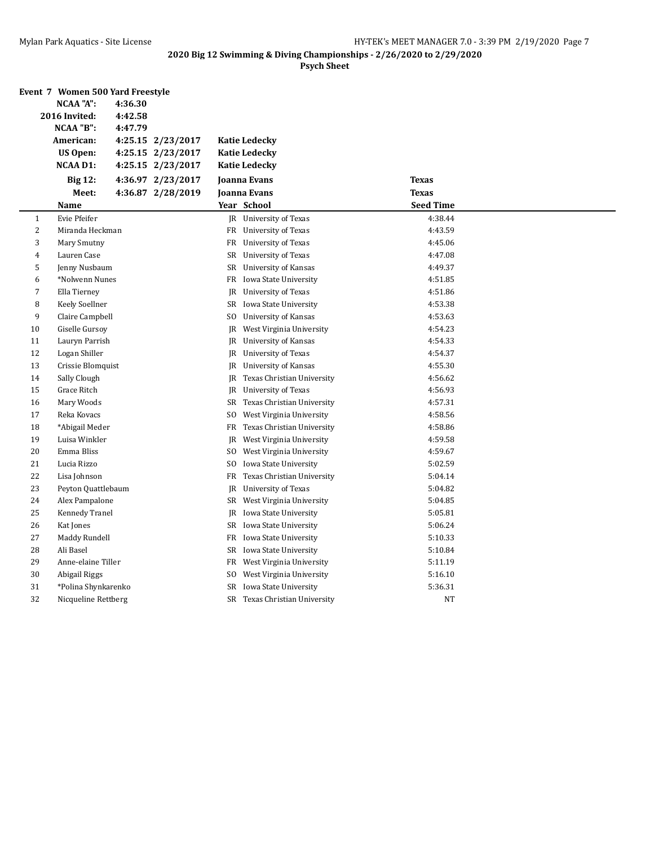|    | Event 7 Women 500 Yard Freestyle |         |                   |     |                               |                  |  |
|----|----------------------------------|---------|-------------------|-----|-------------------------------|------------------|--|
|    | <b>NCAA "A":</b>                 | 4:36.30 |                   |     |                               |                  |  |
|    | 2016 Invited:                    | 4:42.58 |                   |     |                               |                  |  |
|    | NCAA "B":                        | 4:47.79 |                   |     |                               |                  |  |
|    | American:                        |         | 4:25.15 2/23/2017 |     | <b>Katie Ledecky</b>          |                  |  |
|    | US Open:                         |         | 4:25.15 2/23/2017 |     | <b>Katie Ledecky</b>          |                  |  |
|    | NCAA D1:                         |         | 4:25.15 2/23/2017 |     | <b>Katie Ledecky</b>          |                  |  |
|    | <b>Big 12:</b>                   |         | 4:36.97 2/23/2017 |     | Joanna Evans                  | <b>Texas</b>     |  |
|    | Meet:                            |         | 4:36.87 2/28/2019 |     | Joanna Evans                  | <b>Texas</b>     |  |
|    | Name                             |         |                   |     | Year School                   | <b>Seed Time</b> |  |
| 1  | Evie Pfeifer                     |         |                   |     | JR University of Texas        | 4:38.44          |  |
| 2  | Miranda Heckman                  |         |                   |     | FR University of Texas        | 4:43.59          |  |
| 3  | Mary Smutny                      |         |                   | FR  | University of Texas           | 4:45.06          |  |
| 4  | Lauren Case                      |         |                   |     | SR University of Texas        | 4:47.08          |  |
| 5  | Jenny Nusbaum                    |         |                   |     | SR University of Kansas       | 4:49.37          |  |
| 6  | *Nolwenn Nunes                   |         |                   |     | FR Iowa State University      | 4:51.85          |  |
| 7  | Ella Tierney                     |         |                   | JR  | University of Texas           | 4:51.86          |  |
| 8  | Keely Soellner                   |         |                   | SR  | Iowa State University         | 4:53.38          |  |
| 9  | Claire Campbell                  |         |                   | SO. | University of Kansas          | 4:53.63          |  |
| 10 | Giselle Gursoy                   |         |                   | JR  | West Virginia University      | 4:54.23          |  |
| 11 | Lauryn Parrish                   |         |                   | JR  | <b>University of Kansas</b>   | 4:54.33          |  |
| 12 | Logan Shiller                    |         |                   | JR  | University of Texas           | 4:54.37          |  |
| 13 | Crissie Blomquist                |         |                   |     | JR University of Kansas       | 4:55.30          |  |
| 14 | Sally Clough                     |         |                   | JR  | Texas Christian University    | 4:56.62          |  |
| 15 | Grace Ritch                      |         |                   | JR  | University of Texas           | 4:56.93          |  |
| 16 | Mary Woods                       |         |                   | SR  | Texas Christian University    | 4:57.31          |  |
| 17 | Reka Kovacs                      |         |                   | SO. | West Virginia University      | 4:58.56          |  |
| 18 | *Abigail Meder                   |         |                   |     | FR Texas Christian University | 4:58.86          |  |
| 19 | Luisa Winkler                    |         |                   | JR  | West Virginia University      | 4:59.58          |  |
| 20 | Emma Bliss                       |         |                   | SO. | West Virginia University      | 4:59.67          |  |
| 21 | Lucia Rizzo                      |         |                   | SO  | Iowa State University         | 5:02.59          |  |
| 22 | Lisa Johnson                     |         |                   | FR  | Texas Christian University    | 5:04.14          |  |
| 23 | Peyton Quattlebaum               |         |                   | JR  | <b>University of Texas</b>    | 5:04.82          |  |
| 24 | Alex Pampalone                   |         |                   |     | SR West Virginia University   | 5:04.85          |  |
| 25 | Kennedy Tranel                   |         |                   | JR  | Iowa State University         | 5:05.81          |  |
| 26 | Kat Jones                        |         |                   |     | SR Iowa State University      | 5:06.24          |  |
| 27 | Maddy Rundell                    |         |                   |     | FR Iowa State University      | 5:10.33          |  |
| 28 | Ali Basel                        |         |                   |     | SR Iowa State University      | 5:10.84          |  |
| 29 | Anne-elaine Tiller               |         |                   | FR  | West Virginia University      | 5:11.19          |  |
| 30 | Abigail Riggs                    |         |                   | SO. | West Virginia University      | 5:16.10          |  |
| 31 | *Polina Shynkarenko              |         |                   |     | SR Iowa State University      | 5:36.31          |  |
| 32 | Nicqueline Rettberg              |         |                   |     | SR Texas Christian University | NΤ               |  |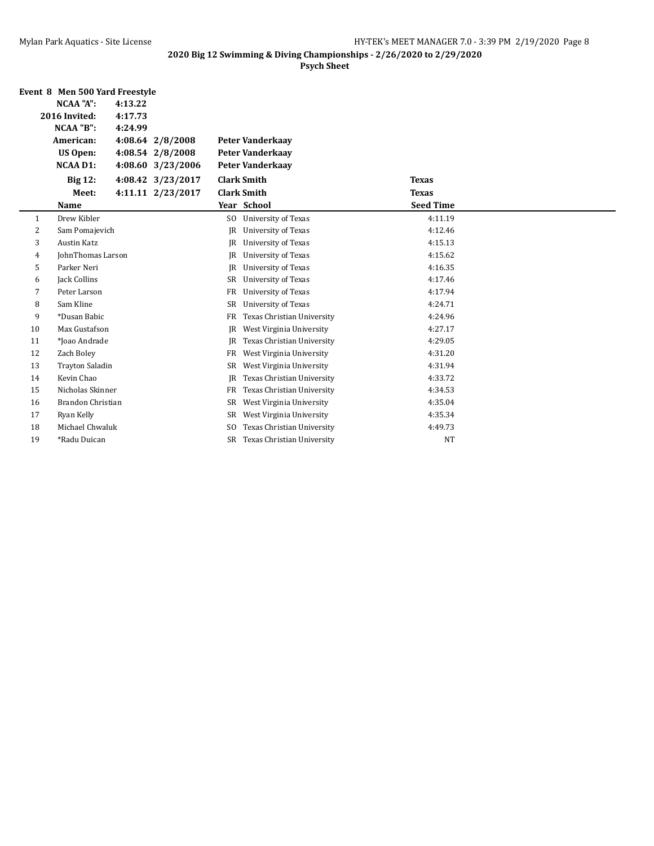|                          | Event 8 Men 500 Yard Freestyle |         |                   |                |                            |                  |  |
|--------------------------|--------------------------------|---------|-------------------|----------------|----------------------------|------------------|--|
|                          | <b>NCAA "A":</b>               | 4:13.22 |                   |                |                            |                  |  |
| 2016 Invited:<br>4:17.73 |                                |         |                   |                |                            |                  |  |
|                          | NCAA "B":                      | 4:24.99 |                   |                |                            |                  |  |
|                          | American:                      |         | 4:08.64 2/8/2008  |                | <b>Peter Vanderkaay</b>    |                  |  |
|                          | <b>US Open:</b>                |         | 4:08.54 2/8/2008  |                | <b>Peter Vanderkaay</b>    |                  |  |
|                          | <b>NCAA D1:</b>                |         | 4:08.60 3/23/2006 |                | <b>Peter Vanderkaay</b>    |                  |  |
|                          | <b>Big 12:</b>                 |         | 4:08.42 3/23/2017 |                | <b>Clark Smith</b>         | <b>Texas</b>     |  |
|                          | Meet:                          |         | 4:11.11 2/23/2017 |                | <b>Clark Smith</b>         | <b>Texas</b>     |  |
|                          | Name                           |         |                   |                | Year School                | <b>Seed Time</b> |  |
| 1                        | Drew Kibler                    |         |                   | SO.            | University of Texas        | 4:11.19          |  |
| 2                        | Sam Pomajevich                 |         |                   | JR             | University of Texas        | 4:12.46          |  |
| 3                        | <b>Austin Katz</b>             |         |                   | JR.            | <b>University of Texas</b> | 4:15.13          |  |
| 4                        | JohnThomas Larson              |         |                   | <b>JR</b>      | University of Texas        | 4:15.62          |  |
| 5                        | Parker Neri                    |         |                   | JR             | <b>University of Texas</b> | 4:16.35          |  |
| 6                        | Jack Collins                   |         |                   | SR             | University of Texas        | 4:17.46          |  |
| 7                        | Peter Larson                   |         |                   | <b>FR</b>      | University of Texas        | 4:17.94          |  |
| 8                        | Sam Kline                      |         |                   | <b>SR</b>      | University of Texas        | 4:24.71          |  |
| 9                        | *Dusan Babic                   |         |                   | FR             | Texas Christian University | 4:24.96          |  |
| 10                       | Max Gustafson                  |         |                   | JR             | West Virginia University   | 4:27.17          |  |
| 11                       | *Joao Andrade                  |         |                   | <b>JR</b>      | Texas Christian University | 4:29.05          |  |
| 12                       | Zach Boley                     |         |                   | FR             | West Virginia University   | 4:31.20          |  |
| 13                       | <b>Trayton Saladin</b>         |         |                   | SR             | West Virginia University   | 4:31.94          |  |
| 14                       | Kevin Chao                     |         |                   | JR             | Texas Christian University | 4:33.72          |  |
| 15                       | Nicholas Skinner               |         |                   | FR             | Texas Christian University | 4:34.53          |  |
| 16                       | Brandon Christian              |         |                   | SR             | West Virginia University   | 4:35.04          |  |
| 17                       | Ryan Kelly                     |         |                   | SR             | West Virginia University   | 4:35.34          |  |
| 18                       | Michael Chwaluk                |         |                   | S <sub>0</sub> | Texas Christian University | 4:49.73          |  |
| 19                       | *Radu Duican                   |         |                   | SR             | Texas Christian University | <b>NT</b>        |  |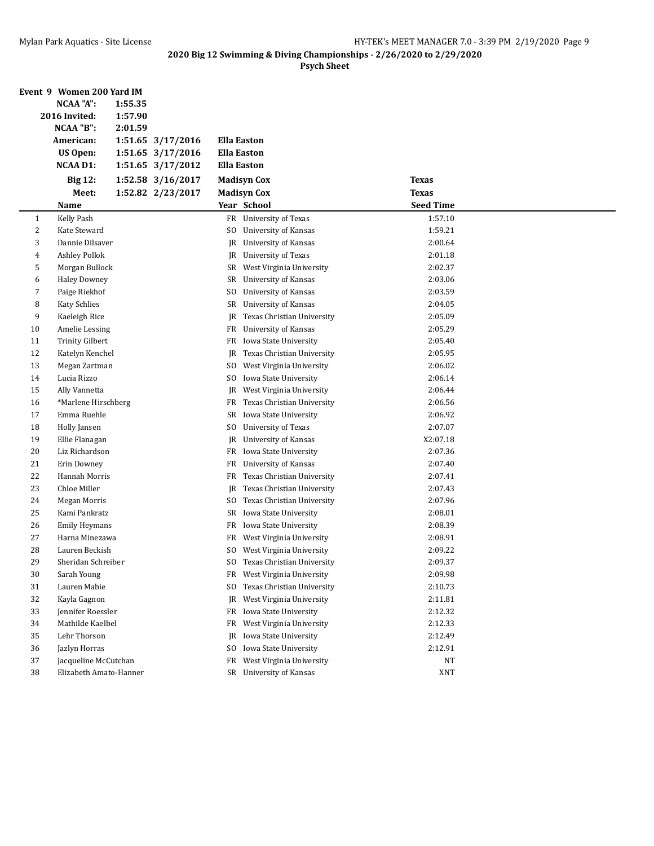|                         | Event 9 Women 200 Yard IM            |                                            |                  |  |
|-------------------------|--------------------------------------|--------------------------------------------|------------------|--|
|                         | <b>NCAA "A":</b><br>1:55.35          |                                            |                  |  |
|                         | 2016 Invited:<br>1:57.90             |                                            |                  |  |
|                         | NCAA "B":<br>2:01.59                 |                                            |                  |  |
|                         | 1:51.65 3/17/2016<br>American:       | <b>Ella Easton</b>                         |                  |  |
|                         | <b>US Open:</b><br>1:51.65 3/17/2016 | <b>Ella Easton</b>                         |                  |  |
|                         | <b>NCAA D1:</b><br>1:51.65 3/17/2012 | <b>Ella Easton</b>                         |                  |  |
|                         | <b>Big 12:</b><br>1:52.58 3/16/2017  | <b>Madisyn Cox</b>                         | <b>Texas</b>     |  |
|                         | 1:52.82 2/23/2017<br>Meet:           | <b>Madisyn Cox</b>                         | <b>Texas</b>     |  |
|                         | <b>Name</b>                          | Year School                                | <b>Seed Time</b> |  |
| 1                       | Kelly Pash                           | FR University of Texas                     | 1:57.10          |  |
| $\overline{\mathbf{c}}$ | Kate Steward                         | University of Kansas<br>SO.                | 1:59.21          |  |
| 3                       | Dannie Dilsaver                      | <b>University of Kansas</b><br>JR          | 2:00.64          |  |
| 4                       | <b>Ashley Pollok</b>                 | JR<br>University of Texas                  | 2:01.18          |  |
| 5                       | Morgan Bullock                       | West Virginia University<br>SR             | 2:02.37          |  |
| 6                       | <b>Haley Downey</b>                  | SR<br>University of Kansas                 | 2:03.06          |  |
| 7                       | Paige Riekhof                        | SO.<br>University of Kansas                | 2:03.59          |  |
| 8                       | <b>Katy Schlies</b>                  | University of Kansas<br>SR                 | 2:04.05          |  |
| 9                       | Kaeleigh Rice                        | Texas Christian University<br>JR           | 2:05.09          |  |
| 10                      | Amelie Lessing                       | University of Kansas<br>FR                 | 2:05.29          |  |
| 11                      | <b>Trinity Gilbert</b>               | Iowa State University<br>FR                | 2:05.40          |  |
| 12                      | Katelyn Kenchel                      | Texas Christian University<br>JR           | 2:05.95          |  |
| 13                      | Megan Zartman                        | West Virginia University<br>SO.            | 2:06.02          |  |
| 14                      | Lucia Rizzo                          | Iowa State University<br>SO.               | 2:06.14          |  |
| 15                      | Ally Vannetta                        | West Virginia University<br>JR             | 2:06.44          |  |
| 16                      | *Marlene Hirschberg                  | Texas Christian University<br>FR           | 2:06.56          |  |
| 17                      | Emma Ruehle                          | Iowa State University<br>SR                | 2:06.92          |  |
| 18                      | Holly Jansen                         | University of Texas<br>SO.                 | 2:07.07          |  |
| 19                      | Ellie Flanagan                       | <b>University of Kansas</b><br>JR          | X2:07.18         |  |
| 20                      | Liz Richardson                       | FR<br>Iowa State University                | 2:07.36          |  |
| 21                      | Erin Downey                          | <b>University of Kansas</b><br>FR          | 2:07.40          |  |
| 22                      | Hannah Morris                        | Texas Christian University<br>FR           | 2:07.41          |  |
| 23                      | Chloe Miller                         | Texas Christian University<br>JR           | 2:07.43          |  |
| 24                      | Megan Morris                         | Texas Christian University<br>SO.          | 2:07.96          |  |
| 25                      | Kami Pankratz                        | Iowa State University<br>SR                | 2:08.01          |  |
| 26                      | <b>Emily Heymans</b>                 | Iowa State University<br>FR                | 2:08.39          |  |
| 27                      | Harna Minezawa                       | FR<br>West Virginia University             | 2:08.91          |  |
| 28                      | Lauren Beckish                       | West Virginia University<br>S <sub>0</sub> | 2:09.22          |  |
| 29                      | Sheridan Schreiber                   | SO.<br>Texas Christian University          | 2:09.37          |  |
| 30                      | Sarah Young                          | West Virginia University<br>FR             | 2:09.98          |  |
| 31                      | Lauren Mabie                         | Texas Christian University<br>SO.          | 2:10.73          |  |
| 32                      | Kayla Gagnon                         | West Virginia University<br>JR             | 2:11.81          |  |
| 33                      | Jennifer Roessler                    | Iowa State University<br>FR                | 2:12.32          |  |
| 34                      | Mathilde Kaelbel                     | West Virginia University<br>FR             | 2:12.33          |  |
| 35                      | Lehr Thorson                         | Iowa State University<br>JR                | 2:12.49          |  |
| 36                      | Jazlyn Horras                        | Iowa State University<br>SO.               | 2:12.91          |  |
| 37                      | Jacqueline McCutchan                 | West Virginia University<br>FR             | <b>NT</b>        |  |
| 38                      | Elizabeth Amato-Hanner               | SR University of Kansas                    | XNT              |  |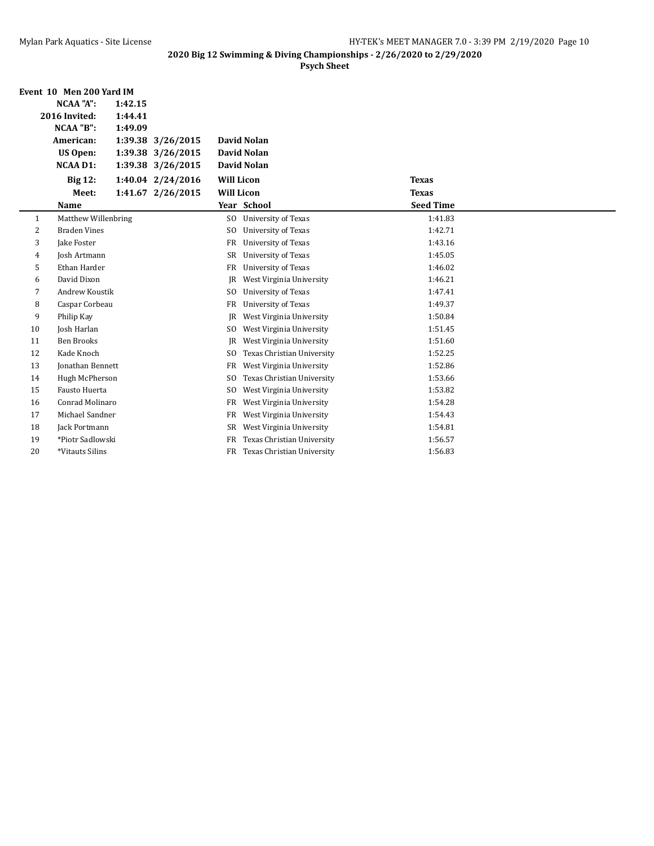|              | Event 10 Men 200 Yard IM |         |                   |                   |                            |                  |  |
|--------------|--------------------------|---------|-------------------|-------------------|----------------------------|------------------|--|
|              | <b>NCAA "A":</b>         | 1:42.15 |                   |                   |                            |                  |  |
|              | 2016 Invited:            | 1:44.41 |                   |                   |                            |                  |  |
|              | NCAA "B":                | 1:49.09 |                   |                   |                            |                  |  |
|              | American:                |         | 1:39.38 3/26/2015 |                   | <b>David Nolan</b>         |                  |  |
|              | <b>US Open:</b>          |         | 1:39.38 3/26/2015 |                   | <b>David Nolan</b>         |                  |  |
|              | <b>NCAA D1:</b>          |         | 1:39.38 3/26/2015 |                   | David Nolan                |                  |  |
|              | <b>Big 12:</b>           |         | 1:40.04 2/24/2016 | <b>Will Licon</b> |                            | <b>Texas</b>     |  |
|              | Meet:                    |         | 1:41.67 2/26/2015 | <b>Will Licon</b> |                            | <b>Texas</b>     |  |
|              | Name                     |         |                   |                   | Year School                | <b>Seed Time</b> |  |
| $\mathbf{1}$ | Matthew Willenbring      |         |                   | S <sub>0</sub>    | University of Texas        | 1:41.83          |  |
| 2            | <b>Braden Vines</b>      |         |                   | S <sub>0</sub>    | University of Texas        | 1:42.71          |  |
| 3            | Jake Foster              |         |                   | FR                | University of Texas        | 1:43.16          |  |
| 4            | Josh Artmann             |         |                   | SR                | University of Texas        | 1:45.05          |  |
| 5            | Ethan Harder             |         |                   | FR                | University of Texas        | 1:46.02          |  |
| 6            | David Dixon              |         |                   | IR.               | West Virginia University   | 1:46.21          |  |
| 7            | <b>Andrew Koustik</b>    |         |                   | <sub>SO</sub>     | University of Texas        | 1:47.41          |  |
| 8            | Caspar Corbeau           |         |                   | FR                | University of Texas        | 1:49.37          |  |
| 9            | Philip Kay               |         |                   | IR.               | West Virginia University   | 1:50.84          |  |
| 10           | Josh Harlan              |         |                   | S <sub>0</sub>    | West Virginia University   | 1:51.45          |  |
| 11           | <b>Ben Brooks</b>        |         |                   | IR                | West Virginia University   | 1:51.60          |  |
| 12           | Kade Knoch               |         |                   | S <sub>0</sub>    | Texas Christian University | 1:52.25          |  |
| 13           | <b>Jonathan Bennett</b>  |         |                   | FR                | West Virginia University   | 1:52.86          |  |
| 14           | Hugh McPherson           |         |                   | SO.               | Texas Christian University | 1:53.66          |  |
| 15           | <b>Fausto Huerta</b>     |         |                   | S <sub>O</sub>    | West Virginia University   | 1:53.82          |  |
| 16           | Conrad Molinaro          |         |                   | FR                | West Virginia University   | 1:54.28          |  |
| 17           | Michael Sandner          |         |                   | FR                | West Virginia University   | 1:54.43          |  |
| 18           | Jack Portmann            |         |                   | SR                | West Virginia University   | 1:54.81          |  |
| 19           | *Piotr Sadlowski         |         |                   | FR                | Texas Christian University | 1:56.57          |  |
| 20           | *Vitauts Silins          |         |                   | FR                | Texas Christian University | 1:56.83          |  |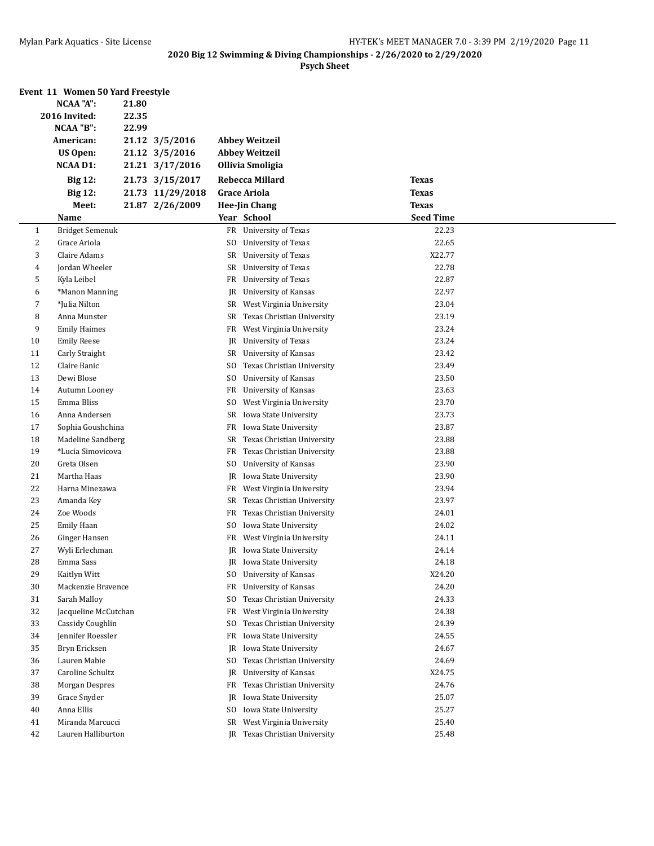|                | Event 11 Women 50 Yard Freestyle |       |                  |                |                               |                  |  |
|----------------|----------------------------------|-------|------------------|----------------|-------------------------------|------------------|--|
|                | <b>NCAA "A":</b>                 | 21.80 |                  |                |                               |                  |  |
|                | 2016 Invited:                    | 22.35 |                  |                |                               |                  |  |
|                | NCAA "B":                        | 22.99 |                  |                |                               |                  |  |
|                | American:                        |       | 21.12 3/5/2016   |                | <b>Abbey Weitzeil</b>         |                  |  |
|                | <b>US Open:</b>                  |       | 21.12 3/5/2016   |                | <b>Abbey Weitzeil</b>         |                  |  |
|                | <b>NCAA D1:</b>                  |       | 21.21 3/17/2016  |                | <b>Ollivia Smoligia</b>       |                  |  |
|                | <b>Big 12:</b>                   |       | 21.73 3/15/2017  |                | Rebecca Millard               | <b>Texas</b>     |  |
|                | <b>Big 12:</b>                   |       | 21.73 11/29/2018 |                | <b>Grace Ariola</b>           | <b>Texas</b>     |  |
|                | Meet:                            |       | 21.87 2/26/2009  |                | <b>Hee-Jin Chang</b>          | <b>Texas</b>     |  |
|                | Name                             |       |                  |                | Year School                   | <b>Seed Time</b> |  |
| 1              | <b>Bridget Semenuk</b>           |       |                  |                | FR University of Texas        | 22.23            |  |
| $\overline{c}$ | Grace Ariola                     |       |                  | SO.            | University of Texas           | 22.65            |  |
| 3              | Claire Adams                     |       |                  | SR             | University of Texas           | X22.77           |  |
| 4              | Jordan Wheeler                   |       |                  | SR             | University of Texas           | 22.78            |  |
| 5              | Kyla Leibel                      |       |                  | FR             | University of Texas           | 22.87            |  |
| 6              | *Manon Manning                   |       |                  | JR             | University of Kansas          | 22.97            |  |
| 7              | *Julia Nilton                    |       |                  | SR             | West Virginia University      | 23.04            |  |
| 8              | Anna Munster                     |       |                  | SR             | Texas Christian University    | 23.19            |  |
| 9              | <b>Emily Haimes</b>              |       |                  | FR             | West Virginia University      | 23.24            |  |
| 10             | <b>Emily Reese</b>               |       |                  | JR             | University of Texas           | 23.24            |  |
| 11             | Carly Straight                   |       |                  | SR             | <b>University of Kansas</b>   | 23.42            |  |
| 12             | Claire Banic                     |       |                  | SO.            | Texas Christian University    | 23.49            |  |
| 13             | Dewi Blose                       |       |                  | S <sub>0</sub> | University of Kansas          | 23.50            |  |
| 14             | Autumn Looney                    |       |                  | FR             | <b>University of Kansas</b>   | 23.63            |  |
| 15             | Emma Bliss                       |       |                  | SO.            | West Virginia University      | 23.70            |  |
| 16             | Anna Andersen                    |       |                  | SR             | Iowa State University         | 23.73            |  |
| 17             | Sophia Goushchina                |       |                  | FR             | Iowa State University         | 23.87            |  |
| 18             | Madeline Sandberg                |       |                  | SR             | Texas Christian University    | 23.88            |  |
| 19             | *Lucia Simovicova                |       |                  | FR             | Texas Christian University    | 23.88            |  |
| 20             | Greta Olsen                      |       |                  | SO.            | University of Kansas          | 23.90            |  |
| 21             | Martha Haas                      |       |                  | JR             | Iowa State University         | 23.90            |  |
| 22             | Harna Minezawa                   |       |                  | FR             | West Virginia University      | 23.94            |  |
| 23             | Amanda Key                       |       |                  | SR             | Texas Christian University    | 23.97            |  |
| 24             | Zoe Woods                        |       |                  | FR             | Texas Christian University    | 24.01            |  |
| 25             | <b>Emily Haan</b>                |       |                  | SO.            | Iowa State University         | 24.02            |  |
| 26             | Ginger Hansen                    |       |                  | FR             | West Virginia University      | 24.11            |  |
| 27             | Wyli Erlechman                   |       |                  | JR             | Iowa State University         | 24.14            |  |
| 28             | Emma Sass                        |       |                  |                | JR Iowa State University      | 24.18            |  |
| 29             | Kaitlyn Witt                     |       |                  | SO.            | University of Kansas          | X24.20           |  |
| 30             | Mackenzie Bravence               |       |                  | FR             | University of Kansas          | 24.20            |  |
| 31             | Sarah Malloy                     |       |                  | S <sub>0</sub> | Texas Christian University    | 24.33            |  |
| 32             | Jacqueline McCutchan             |       |                  | FR             | West Virginia University      | 24.38            |  |
| 33             | Cassidy Coughlin                 |       |                  | SO.            | Texas Christian University    | 24.39            |  |
| 34             | Jennifer Roessler                |       |                  | FR             | Iowa State University         | 24.55            |  |
| 35             | Bryn Ericksen                    |       |                  | JR             | Iowa State University         | 24.67            |  |
| 36             | Lauren Mabie                     |       |                  | SO.            | Texas Christian University    | 24.69            |  |
| 37             | Caroline Schultz                 |       |                  | JR             | University of Kansas          | X24.75           |  |
| 38             | Morgan Despres                   |       |                  | FR             | Texas Christian University    | 24.76            |  |
| 39             | Grace Snyder                     |       |                  | JR             | Iowa State University         | 25.07            |  |
| 40             | Anna Ellis                       |       |                  | SO.            | Iowa State University         | 25.27            |  |
| 41             | Miranda Marcucci                 |       |                  | SR             | West Virginia University      | 25.40            |  |
| 42             | Lauren Halliburton               |       |                  |                | JR Texas Christian University | 25.48            |  |
|                |                                  |       |                  |                |                               |                  |  |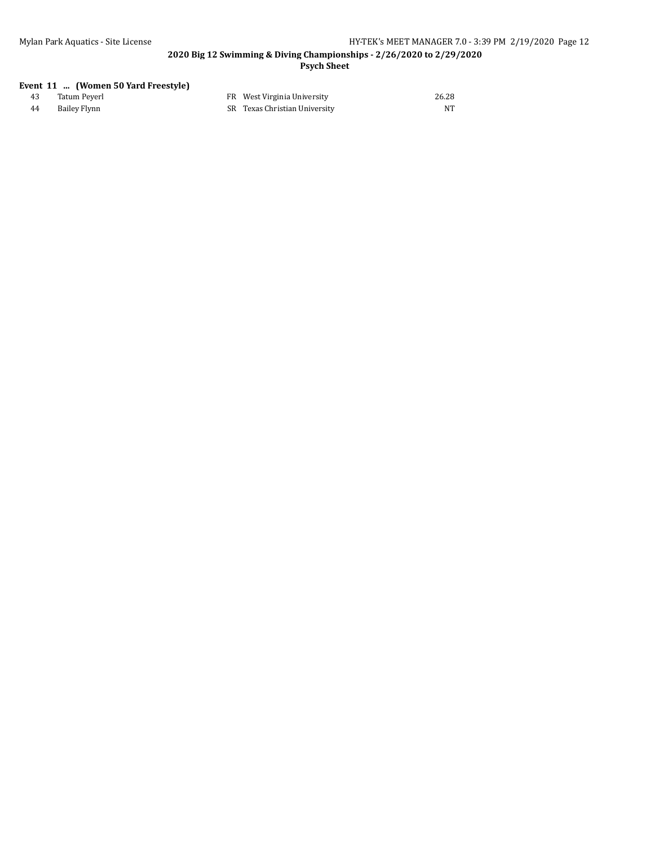#### **2020 Big 12 Swimming & Diving Championships - 2/26/2020 to 2/29/2020 Psych Sheet**

#### **Event 11 ... (Women 50 Yard Freestyle)**

|    | Tatum Peverl | FR West Virginia University   | 26.28 |
|----|--------------|-------------------------------|-------|
| 44 | Bailey Flynn | SR Texas Christian University | NT    |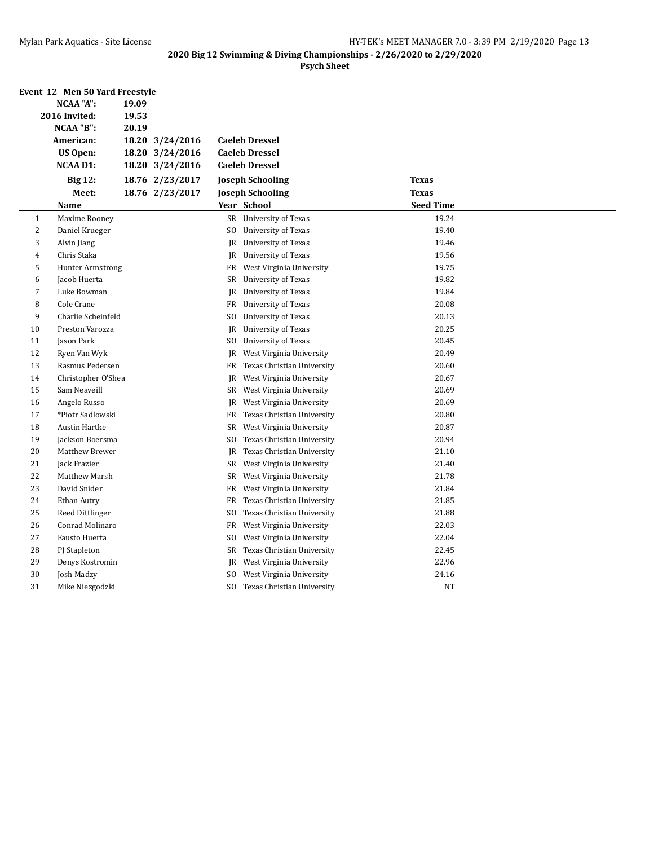|                | Event 12 Men 50 Yard Freestyle |       |                 |                |                               |                  |  |
|----------------|--------------------------------|-------|-----------------|----------------|-------------------------------|------------------|--|
|                | NCAA "A":                      |       |                 |                |                               |                  |  |
|                | 2016 Invited:                  | 19.53 |                 |                |                               |                  |  |
|                | NCAA "B":                      | 20.19 |                 |                |                               |                  |  |
|                | American:                      |       | 18.20 3/24/2016 |                | <b>Caeleb Dressel</b>         |                  |  |
|                | US Open:                       |       | 18.20 3/24/2016 |                | <b>Caeleb Dressel</b>         |                  |  |
|                | <b>NCAA D1:</b>                |       | 18.20 3/24/2016 |                | <b>Caeleb Dressel</b>         |                  |  |
|                | <b>Big 12:</b>                 |       | 18.76 2/23/2017 |                | <b>Joseph Schooling</b>       | <b>Texas</b>     |  |
|                | Meet:                          |       | 18.76 2/23/2017 |                | <b>Joseph Schooling</b>       | <b>Texas</b>     |  |
|                | Name                           |       |                 |                | Year School                   | <b>Seed Time</b> |  |
| $\mathbf{1}$   | Maxime Rooney                  |       |                 |                | SR University of Texas        | 19.24            |  |
| $\overline{c}$ | Daniel Krueger                 |       |                 | SO.            | <b>University of Texas</b>    | 19.40            |  |
| 3              | Alvin Jiang                    |       |                 |                | JR University of Texas        | 19.46            |  |
| 4              | Chris Staka                    |       |                 |                | JR University of Texas        | 19.56            |  |
| 5              | <b>Hunter Armstrong</b>        |       |                 | FR             | West Virginia University      | 19.75            |  |
| 6              | Jacob Huerta                   |       |                 |                | SR University of Texas        | 19.82            |  |
| 7              | Luke Bowman                    |       |                 | JR             | University of Texas           | 19.84            |  |
| 8              | Cole Crane                     |       |                 |                | FR University of Texas        | 20.08            |  |
| 9              | Charlie Scheinfeld             |       |                 | SO             | University of Texas           | 20.13            |  |
| 10             | Preston Varozza                |       |                 | JR             | University of Texas           | 20.25            |  |
| 11             | Jason Park                     |       |                 | SO             | University of Texas           | 20.45            |  |
| 12             | Ryen Van Wyk                   |       |                 | JR             | West Virginia University      | 20.49            |  |
| 13             | Rasmus Pedersen                |       |                 | FR             | Texas Christian University    | 20.60            |  |
| 14             | Christopher O'Shea             |       |                 | JR             | West Virginia University      | 20.67            |  |
| 15             | Sam Neaveill                   |       |                 | SR             | West Virginia University      | 20.69            |  |
| 16             | Angelo Russo                   |       |                 | JR             | West Virginia University      | 20.69            |  |
| 17             | *Piotr Sadlowski               |       |                 | FR             | Texas Christian University    | 20.80            |  |
| 18             | Austin Hartke                  |       |                 | SR             | West Virginia University      | 20.87            |  |
| 19             | Jackson Boersma                |       |                 | SO             | Texas Christian University    | 20.94            |  |
| 20             | Matthew Brewer                 |       |                 | JR             | Texas Christian University    | 21.10            |  |
| 21             | Jack Frazier                   |       |                 |                | SR West Virginia University   | 21.40            |  |
| 22             | Matthew Marsh                  |       |                 |                | SR West Virginia University   | 21.78            |  |
| 23             | David Snider                   |       |                 | FR             | West Virginia University      | 21.84            |  |
| 24             | Ethan Autry                    |       |                 | FR             | Texas Christian University    | 21.85            |  |
| 25             | Reed Dittlinger                |       |                 | S <sub>0</sub> | Texas Christian University    | 21.88            |  |
| 26             | Conrad Molinaro                |       |                 | FR             | West Virginia University      | 22.03            |  |
| 27             | Fausto Huerta                  |       |                 | S <sub>0</sub> | West Virginia University      | 22.04            |  |
| 28             | PJ Stapleton                   |       |                 |                | SR Texas Christian University | 22.45            |  |
| 29             | Denys Kostromin                |       |                 | JR             | West Virginia University      | 22.96            |  |
| 30             | Josh Madzy                     |       |                 | SO.            | West Virginia University      | 24.16            |  |
| 31             | Mike Niezgodzki                |       |                 | SO.            | Texas Christian University    | <b>NT</b>        |  |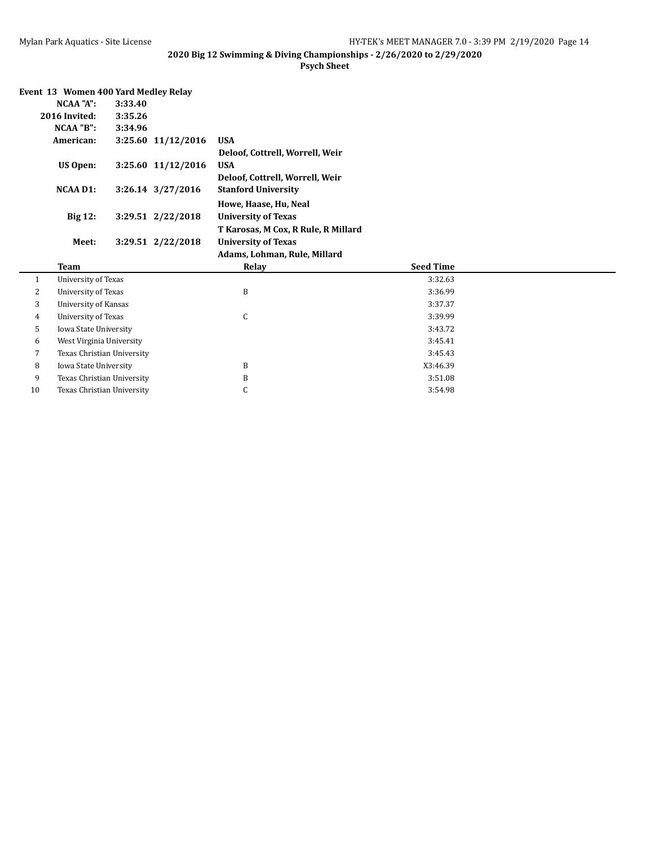|  | Event 13 Women 400 Yard Medley Relay |  |  |  |
|--|--------------------------------------|--|--|--|
|--|--------------------------------------|--|--|--|

| NCAA "A":       | 3:33.40 |                    |                                     |
|-----------------|---------|--------------------|-------------------------------------|
| 2016 Invited:   | 3:35.26 |                    |                                     |
| NCAA "B":       | 3:34.96 |                    |                                     |
| American:       |         | 3:25.60 11/12/2016 | <b>USA</b>                          |
|                 |         |                    | Deloof, Cottrell, Worrell, Weir     |
| <b>US Open:</b> |         | 3:25.60 11/12/2016 | <b>USA</b>                          |
|                 |         |                    | Deloof, Cottrell, Worrell, Weir     |
| <b>NCAA D1:</b> |         | 3:26.14 3/27/2016  | <b>Stanford University</b>          |
|                 |         |                    | Howe, Haase, Hu, Neal               |
| <b>Big 12:</b>  |         | 3:29.51 2/22/2018  | <b>University of Texas</b>          |
|                 |         |                    | T Karosas, M Cox, R Rule, R Millard |
| Meet:           |         | 3:29.51 2/22/2018  | <b>University of Texas</b>          |
|                 |         |                    | Adams, Lohman, Rule, Millard        |
|                 |         |                    |                                     |

|    |                            | планно, попинан, плис, гипан а |                  |  |
|----|----------------------------|--------------------------------|------------------|--|
|    | Team                       | Relay                          | <b>Seed Time</b> |  |
|    | University of Texas        |                                | 3:32.63          |  |
| 2  | University of Texas        | B                              | 3:36.99          |  |
| 3  | University of Kansas       |                                | 3:37.37          |  |
| 4  | University of Texas        | U                              | 3:39.99          |  |
| 5  | Iowa State University      |                                | 3:43.72          |  |
| 6  | West Virginia University   |                                | 3:45.41          |  |
| ⇁  | Texas Christian University |                                | 3:45.43          |  |
| 8  | Iowa State University      | B                              | X3:46.39         |  |
| 9  | Texas Christian University | B                              | 3:51.08          |  |
| 10 | Texas Christian University | u                              | 3:54.98          |  |
|    |                            |                                |                  |  |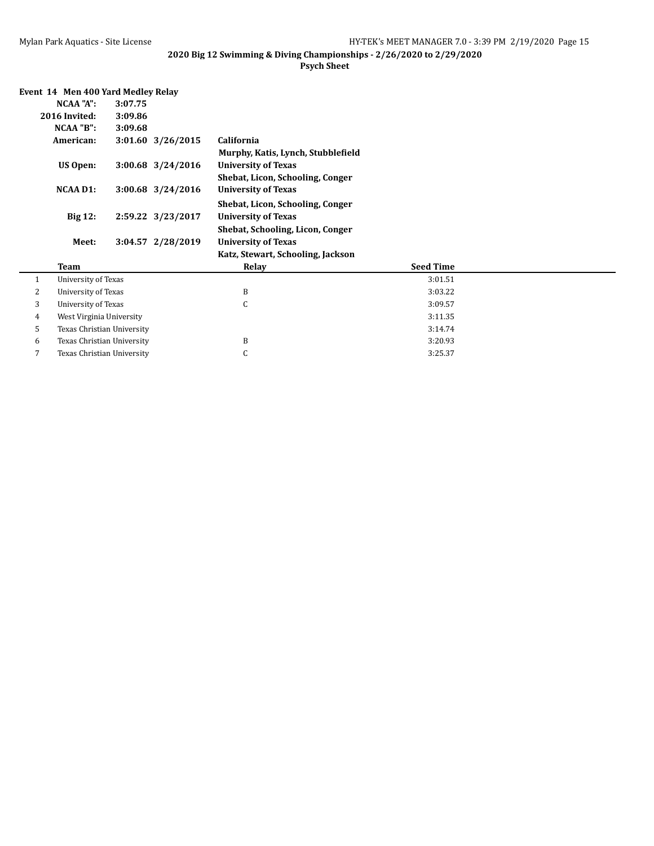|   | NCAA "A":                                                         | 3:07.75           |                                    |                  |  |  |  |
|---|-------------------------------------------------------------------|-------------------|------------------------------------|------------------|--|--|--|
|   | 2016 Invited:                                                     | 3:09.86           |                                    |                  |  |  |  |
|   | NCAA "B":                                                         | 3:09.68           |                                    |                  |  |  |  |
|   | American:                                                         | 3:01.60 3/26/2015 | California                         |                  |  |  |  |
|   |                                                                   |                   | Murphy, Katis, Lynch, Stubblefield |                  |  |  |  |
|   | <b>US Open:</b>                                                   | 3:00.68 3/24/2016 | <b>University of Texas</b>         |                  |  |  |  |
|   |                                                                   |                   | Shebat, Licon, Schooling, Conger   |                  |  |  |  |
|   | <b>NCAA D1:</b>                                                   | 3:00.68 3/24/2016 | <b>University of Texas</b>         |                  |  |  |  |
|   |                                                                   |                   | Shebat, Licon, Schooling, Conger   |                  |  |  |  |
|   | <b>Big 12:</b><br>2:59.22 3/23/2017<br><b>University of Texas</b> |                   |                                    |                  |  |  |  |
|   |                                                                   |                   | Shebat, Schooling, Licon, Conger   |                  |  |  |  |
|   | Meet:                                                             | 3:04.57 2/28/2019 | <b>University of Texas</b>         |                  |  |  |  |
|   |                                                                   |                   | Katz, Stewart, Schooling, Jackson  |                  |  |  |  |
|   | Team                                                              |                   | Relay                              | <b>Seed Time</b> |  |  |  |
| 1 | University of Texas                                               |                   |                                    | 3:01.51          |  |  |  |
| 2 | University of Texas                                               |                   | B                                  | 3:03.22          |  |  |  |
| 3 | University of Texas                                               |                   | C                                  | 3:09.57          |  |  |  |
| 4 | West Virginia University                                          |                   | 3:11.35                            |                  |  |  |  |
| 5 | Texas Christian University                                        |                   |                                    | 3:14.74          |  |  |  |
|   |                                                                   |                   |                                    |                  |  |  |  |
| 6 | Texas Christian University                                        |                   | B                                  | 3:20.93          |  |  |  |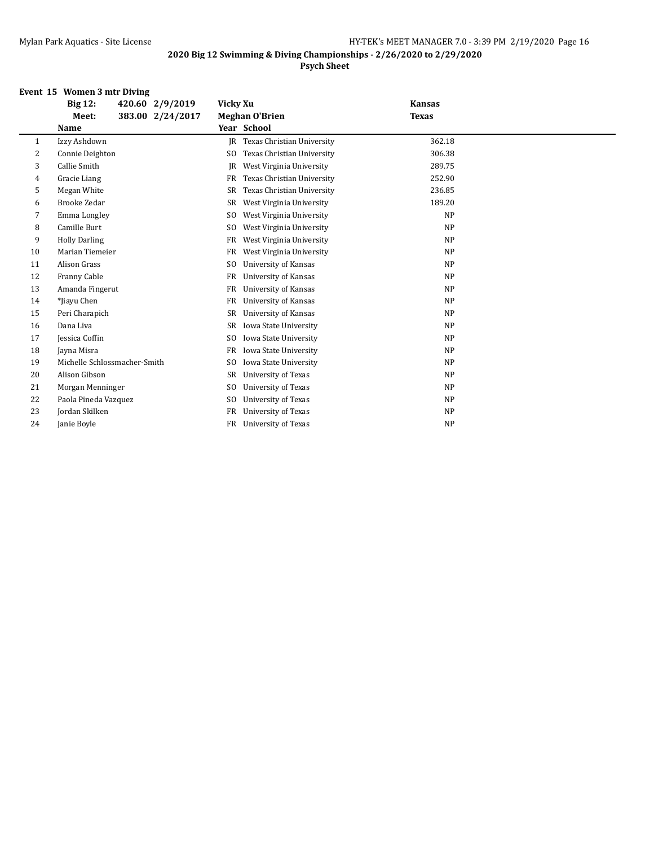#### **Psych Sheet**

#### **Event 15 Women 3 mtr Diving**

|    | <b>Big 12:</b><br>420.60 2/9/2019 | Vicky Xu                                     | <b>Kansas</b> |
|----|-----------------------------------|----------------------------------------------|---------------|
|    | 383.00 2/24/2017<br>Meet:         | <b>Meghan O'Brien</b>                        | <b>Texas</b>  |
|    | Name                              | Year School                                  |               |
| 1  | Izzy Ashdown                      | Texas Christian University<br>IR             | 362.18        |
| 2  | Connie Deighton                   | Texas Christian University<br>SO.            | 306.38        |
| 3  | Callie Smith                      | West Virginia University<br>JR               | 289.75        |
| 4  | Gracie Liang                      | Texas Christian University<br>FR             | 252.90        |
| 5  | Megan White                       | Texas Christian University<br>SR             | 236.85        |
| 6  | <b>Brooke Zedar</b>               | West Virginia University<br>SR               | 189.20        |
| 7  | Emma Longley                      | West Virginia University<br>S <sub>0</sub>   | <b>NP</b>     |
| 8  | Camille Burt                      | West Virginia University<br>SO.              | <b>NP</b>     |
| 9  | <b>Holly Darling</b>              | West Virginia University<br>FR               | <b>NP</b>     |
| 10 | Marian Tiemeier                   | West Virginia University<br>FR               | <b>NP</b>     |
| 11 | Alison Grass                      | University of Kansas<br>S <sub>O</sub>       | <b>NP</b>     |
| 12 | Franny Cable                      | University of Kansas<br>FR                   | <b>NP</b>     |
| 13 | Amanda Fingerut                   | University of Kansas<br>FR                   | <b>NP</b>     |
| 14 | *Jiayu Chen                       | University of Kansas<br>FR                   | <b>NP</b>     |
| 15 | Peri Charapich                    | SR<br>University of Kansas                   | <b>NP</b>     |
| 16 | Dana Liva                         | Iowa State University<br>SR                  | <b>NP</b>     |
| 17 | <b>Jessica Coffin</b>             | Iowa State University<br>SO.                 | <b>NP</b>     |
| 18 | Jayna Misra                       | Iowa State University<br>FR                  | <b>NP</b>     |
| 19 | Michelle Schlossmacher-Smith      | Iowa State University<br>SO.                 | <b>NP</b>     |
| 20 | Alison Gibson                     | University of Texas<br>SR                    | <b>NP</b>     |
| 21 | Morgan Menninger                  | University of Texas<br>SO.                   | <b>NP</b>     |
| 22 | Paola Pineda Vazquez              | S <sub>0</sub><br><b>University of Texas</b> | <b>NP</b>     |
| 23 | Jordan Skilken                    | University of Texas<br>FR                    | <b>NP</b>     |
| 24 | Janie Boyle                       | FR<br>University of Texas                    | NP            |
|    |                                   |                                              |               |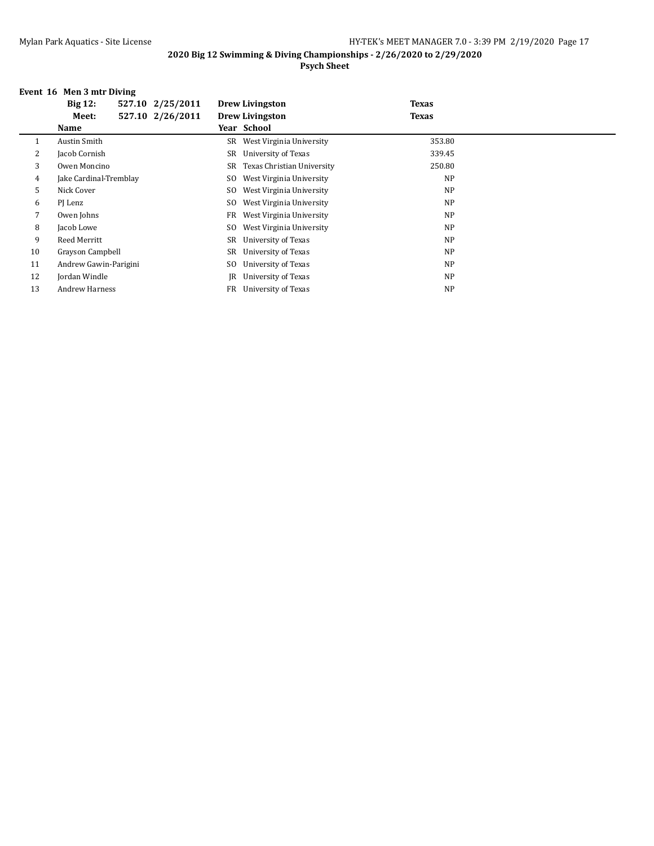#### **2020 Big 12 Swimming & Diving Championships - 2/26/2020 to 2/29/2020 Psych Sheet**

#### **Event 16 Men 3 mtr Diving**

|    | <b>Big 12:</b>         | 527.10 2/25/2011 |     | <b>Drew Livingston</b>      | <b>Texas</b> |  |
|----|------------------------|------------------|-----|-----------------------------|--------------|--|
|    | Meet:                  | 527.10 2/26/2011 |     | <b>Drew Livingston</b>      | <b>Texas</b> |  |
|    | <b>Name</b>            |                  |     | Year School                 |              |  |
|    | Austin Smith           |                  |     | SR West Virginia University | 353.80       |  |
| 2  | Jacob Cornish          |                  | SR  | University of Texas         | 339.45       |  |
| 3  | Owen Moncino           |                  | SR  | Texas Christian University  | 250.80       |  |
| 4  | Jake Cardinal-Tremblay |                  | SO  | West Virginia University    | <b>NP</b>    |  |
| 5  | Nick Cover             |                  | SO. | West Virginia University    | <b>NP</b>    |  |
| 6  | PJ Lenz                |                  | SO. | West Virginia University    | <b>NP</b>    |  |
| 7  | Owen Johns             |                  | FR  | West Virginia University    | <b>NP</b>    |  |
| 8  | Jacob Lowe             |                  | SO  | West Virginia University    | <b>NP</b>    |  |
| 9  | Reed Merritt           |                  | SR  | University of Texas         | <b>NP</b>    |  |
| 10 | Grayson Campbell       |                  | SR  | University of Texas         | <b>NP</b>    |  |
| 11 | Andrew Gawin-Parigini  |                  | SO  | University of Texas         | <b>NP</b>    |  |
| 12 | Jordan Windle          |                  | IR  | University of Texas         | <b>NP</b>    |  |
| 13 | <b>Andrew Harness</b>  |                  | FR  | University of Texas         | <b>NP</b>    |  |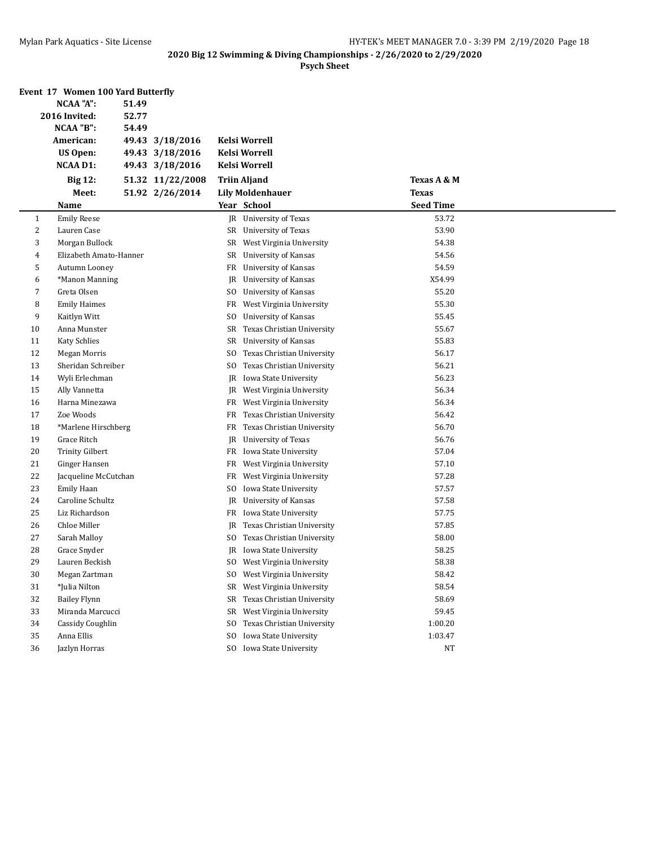|    | Event 17 Women 100 Yard Butterfly<br>NCAA "A": | 51.49 |                  |     |                             |                  |  |
|----|------------------------------------------------|-------|------------------|-----|-----------------------------|------------------|--|
|    | 2016 Invited:                                  | 52.77 |                  |     |                             |                  |  |
|    | NCAA "B":                                      | 54.49 |                  |     |                             |                  |  |
|    | American:                                      |       | 49.43 3/18/2016  |     | <b>Kelsi Worrell</b>        |                  |  |
|    | <b>US Open:</b>                                |       | 49.43 3/18/2016  |     | Kelsi Worrell               |                  |  |
|    | <b>NCAA D1:</b>                                |       | 49.43 3/18/2016  |     | Kelsi Worrell               |                  |  |
|    | <b>Big 12:</b>                                 |       | 51.32 11/22/2008 |     | <b>Triin Aljand</b>         | Texas A & M      |  |
|    | Meet:                                          |       | 51.92 2/26/2014  |     | <b>Lily Moldenhauer</b>     | <b>Texas</b>     |  |
|    | Name                                           |       |                  |     | Year School                 | <b>Seed Time</b> |  |
| 1  | <b>Emily Reese</b>                             |       |                  |     | JR University of Texas      | 53.72            |  |
| 2  | Lauren Case                                    |       |                  |     | SR University of Texas      | 53.90            |  |
| 3  | Morgan Bullock                                 |       |                  |     | SR West Virginia University | 54.38            |  |
| 4  | Elizabeth Amato-Hanner                         |       |                  | SR  | University of Kansas        | 54.56            |  |
| 5  | Autumn Looney                                  |       |                  | FR  | University of Kansas        | 54.59            |  |
| 6  | *Manon Manning                                 |       |                  | JR  | University of Kansas        | X54.99           |  |
| 7  | Greta Olsen                                    |       |                  | SO  | University of Kansas        | 55.20            |  |
| 8  | <b>Emily Haimes</b>                            |       |                  | FR  | West Virginia University    | 55.30            |  |
| 9  | Kaitlyn Witt                                   |       |                  | SO. | University of Kansas        | 55.45            |  |
| 10 | Anna Munster                                   |       |                  | SR  | Texas Christian University  | 55.67            |  |
| 11 | <b>Katy Schlies</b>                            |       |                  | SR  | <b>University of Kansas</b> | 55.83            |  |
| 12 | <b>Megan Morris</b>                            |       |                  | SO. | Texas Christian University  | 56.17            |  |
| 13 | Sheridan Schreiber                             |       |                  | SO. | Texas Christian University  | 56.21            |  |
| 14 | Wyli Erlechman                                 |       |                  | JR  | Iowa State University       | 56.23            |  |
| 15 | Ally Vannetta                                  |       |                  | JR  | West Virginia University    | 56.34            |  |
| 16 | Harna Minezawa                                 |       |                  | FR  | West Virginia University    | 56.34            |  |
| 17 | Zoe Woods                                      |       |                  | FR  | Texas Christian University  | 56.42            |  |
| 18 | *Marlene Hirschberg                            |       |                  | FR  | Texas Christian University  | 56.70            |  |
| 19 | Grace Ritch                                    |       |                  | JR  | University of Texas         | 56.76            |  |
| 20 | <b>Trinity Gilbert</b>                         |       |                  |     | FR Iowa State University    | 57.04            |  |
| 21 | Ginger Hansen                                  |       |                  | FR  | West Virginia University    | 57.10            |  |
| 22 | Jacqueline McCutchan                           |       |                  | FR  | West Virginia University    | 57.28            |  |
| 23 | Emily Haan                                     |       |                  | SO  | Iowa State University       | 57.57            |  |
| 24 | Caroline Schultz                               |       |                  | JR  | <b>University of Kansas</b> | 57.58            |  |
| 25 | Liz Richardson                                 |       |                  |     | FR Iowa State University    | 57.75            |  |
| 26 | Chloe Miller                                   |       |                  | JR  | Texas Christian University  | 57.85            |  |
| 27 | Sarah Malloy                                   |       |                  | SO  | Texas Christian University  | 58.00            |  |
| 28 | Grace Snyder                                   |       |                  | JR  | Iowa State University       | 58.25            |  |
| 29 | Lauren Beckish                                 |       |                  |     | SO West Virginia University | 58.38            |  |
| 30 | Megan Zartman                                  |       |                  |     | SO West Virginia University | 58.42            |  |
| 31 | *Julia Nilton                                  |       |                  | SR  | West Virginia University    | 58.54            |  |
| 32 | <b>Bailey Flynn</b>                            |       |                  | SR  | Texas Christian University  | 58.69            |  |
| 33 | Miranda Marcucci                               |       |                  | SR  | West Virginia University    | 59.45            |  |
| 34 | Cassidy Coughlin                               |       |                  | SO. | Texas Christian University  | 1:00.20          |  |
| 35 | Anna Ellis                                     |       |                  | SO. | Iowa State University       | 1:03.47          |  |
| 36 | Jazlyn Horras                                  |       |                  |     | SO Iowa State University    | <b>NT</b>        |  |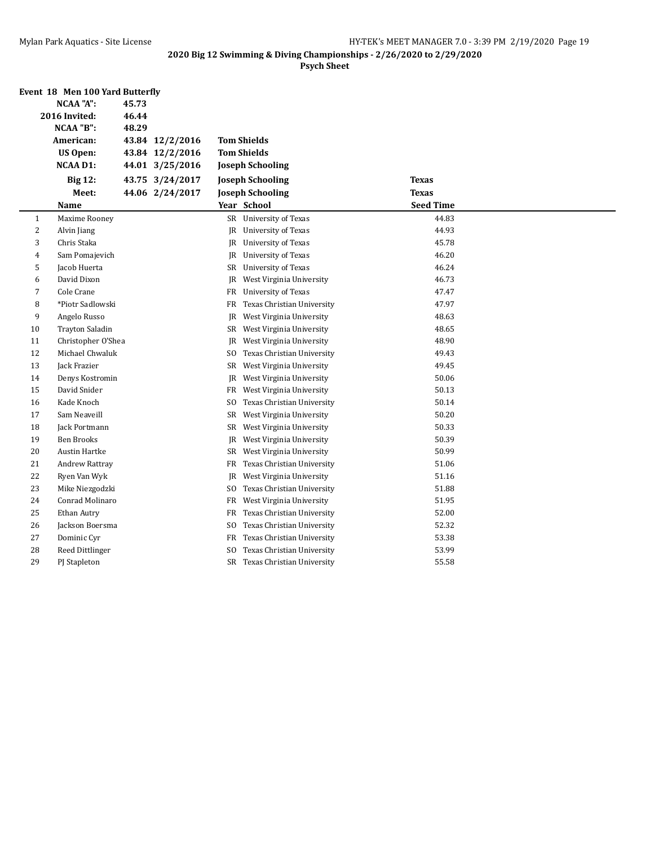|                  | Event 18 Men 100 Yard Butterfly |       |                 |                |                             |                  |  |
|------------------|---------------------------------|-------|-----------------|----------------|-----------------------------|------------------|--|
| <b>NCAA "A":</b> |                                 | 45.73 |                 |                |                             |                  |  |
|                  | 2016 Invited:                   | 46.44 |                 |                |                             |                  |  |
|                  | NCAA "B":                       | 48.29 |                 |                |                             |                  |  |
|                  | American:                       |       | 43.84 12/2/2016 |                | <b>Tom Shields</b>          |                  |  |
|                  | <b>US Open:</b>                 |       | 43.84 12/2/2016 |                | <b>Tom Shields</b>          |                  |  |
|                  | <b>NCAA D1:</b>                 |       | 44.01 3/25/2016 |                | <b>Joseph Schooling</b>     |                  |  |
|                  | <b>Big 12:</b>                  |       | 43.75 3/24/2017 |                | <b>Joseph Schooling</b>     | <b>Texas</b>     |  |
|                  | Meet:                           |       | 44.06 2/24/2017 |                | <b>Joseph Schooling</b>     | <b>Texas</b>     |  |
|                  | <b>Name</b>                     |       |                 |                | Year School                 | <b>Seed Time</b> |  |
| $\mathbf{1}$     | Maxime Rooney                   |       |                 |                | SR University of Texas      | 44.83            |  |
| $\overline{c}$   | Alvin Jiang                     |       |                 |                | JR University of Texas      | 44.93            |  |
| 3                | Chris Staka                     |       |                 | JR             | University of Texas         | 45.78            |  |
| 4                | Sam Pomajevich                  |       |                 | JR             | University of Texas         | 46.20            |  |
| 5                | Jacob Huerta                    |       |                 |                | SR University of Texas      | 46.24            |  |
| 6                | David Dixon                     |       |                 | JR             | West Virginia University    | 46.73            |  |
| 7                | Cole Crane                      |       |                 | FR             | University of Texas         | 47.47            |  |
| 8                | *Piotr Sadlowski                |       |                 | FR             | Texas Christian University  | 47.97            |  |
| 9                | Angelo Russo                    |       |                 | JR             | West Virginia University    | 48.63            |  |
| 10               | <b>Trayton Saladin</b>          |       |                 |                | SR West Virginia University | 48.65            |  |
| 11               | Christopher O'Shea              |       |                 | JR             | West Virginia University    | 48.90            |  |
| 12               | Michael Chwaluk                 |       |                 | S <sub>0</sub> | Texas Christian University  | 49.43            |  |
| 13               | Jack Frazier                    |       |                 |                | SR West Virginia University | 49.45            |  |
| 14               | Denys Kostromin                 |       |                 | JR             | West Virginia University    | 50.06            |  |
| 15               | David Snider                    |       |                 | FR             | West Virginia University    | 50.13            |  |
| 16               | Kade Knoch                      |       |                 | SO.            | Texas Christian University  | 50.14            |  |
| 17               | Sam Neaveill                    |       |                 | SR             | West Virginia University    | 50.20            |  |
| 18               | Jack Portmann                   |       |                 | SR             | West Virginia University    | 50.33            |  |
| 19               | <b>Ben Brooks</b>               |       |                 | JR             | West Virginia University    | 50.39            |  |
| 20               | <b>Austin Hartke</b>            |       |                 | SR             | West Virginia University    | 50.99            |  |
| 21               | Andrew Rattray                  |       |                 | FR             | Texas Christian University  | 51.06            |  |
| 22               | Ryen Van Wyk                    |       |                 | JR             | West Virginia University    | 51.16            |  |
| 23               | Mike Niezgodzki                 |       |                 | SO.            | Texas Christian University  | 51.88            |  |
| 24               | Conrad Molinaro                 |       |                 | FR             | West Virginia University    | 51.95            |  |
| 25               | Ethan Autry                     |       |                 | FR             | Texas Christian University  | 52.00            |  |
| 26               | Jackson Boersma                 |       |                 | SO.            | Texas Christian University  | 52.32            |  |
| 27               | Dominic Cyr                     |       |                 | FR             | Texas Christian University  | 53.38            |  |
| 28               | Reed Dittlinger                 |       |                 | SO.            | Texas Christian University  | 53.99            |  |
| 29               | PJ Stapleton                    |       |                 | SR             | Texas Christian University  | 55.58            |  |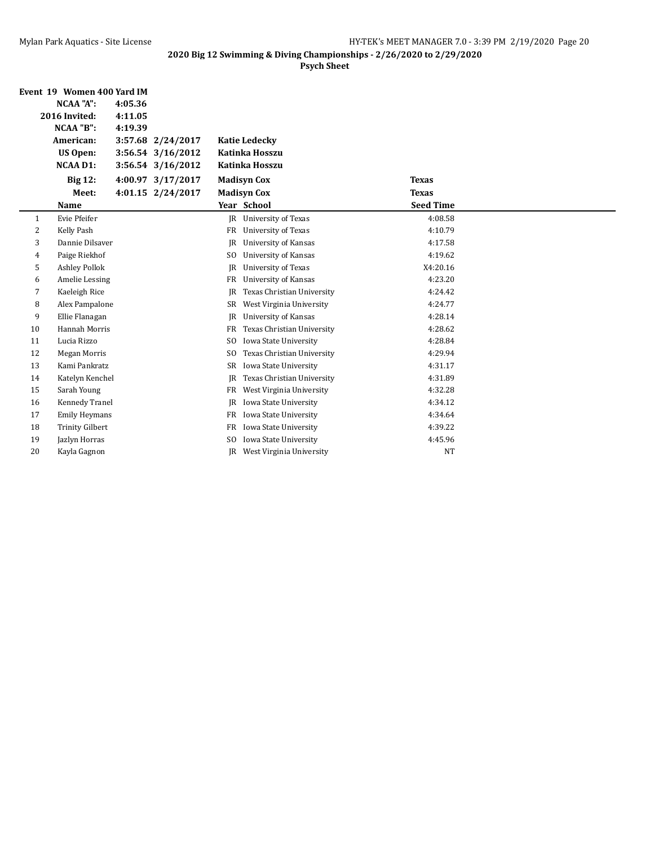|    | Event 19 Women 400 Yard IM |         |                   |                |                             |                  |  |
|----|----------------------------|---------|-------------------|----------------|-----------------------------|------------------|--|
|    | <b>NCAA "A":</b>           | 4:05.36 |                   |                |                             |                  |  |
|    | 2016 Invited:              | 4:11.05 |                   |                |                             |                  |  |
|    | NCAA "B":                  | 4:19.39 |                   |                |                             |                  |  |
|    | American:                  |         | 3:57.68 2/24/2017 |                | <b>Katie Ledecky</b>        |                  |  |
|    | <b>US Open:</b>            |         | 3:56.54 3/16/2012 |                | Katinka Hosszu              |                  |  |
|    | <b>NCAA D1:</b>            |         | 3:56.54 3/16/2012 |                | Katinka Hosszu              |                  |  |
|    | <b>Big 12:</b>             |         | 4:00.97 3/17/2017 |                | <b>Madisyn Cox</b>          | <b>Texas</b>     |  |
|    | Meet:                      |         | 4:01.15 2/24/2017 |                | <b>Madisyn Cox</b>          | <b>Texas</b>     |  |
|    | Name                       |         |                   |                | Year School                 | <b>Seed Time</b> |  |
| 1  | Evie Pfeifer               |         |                   | IR             | <b>University of Texas</b>  | 4:08.58          |  |
| 2  | Kelly Pash                 |         |                   | FR             | <b>University of Texas</b>  | 4:10.79          |  |
| 3  | Dannie Dilsaver            |         |                   | JR             | University of Kansas        | 4:17.58          |  |
| 4  | Paige Riekhof              |         |                   | SO.            | <b>University of Kansas</b> | 4:19.62          |  |
| 5  | <b>Ashley Pollok</b>       |         |                   | IR             | <b>University of Texas</b>  | X4:20.16         |  |
| 6  | Amelie Lessing             |         |                   | FR             | University of Kansas        | 4:23.20          |  |
| 7  | Kaeleigh Rice              |         |                   | <b>JR</b>      | Texas Christian University  | 4:24.42          |  |
| 8  | Alex Pampalone             |         |                   | SR             | West Virginia University    | 4:24.77          |  |
| 9  | Ellie Flanagan             |         |                   | JR             | University of Kansas        | 4:28.14          |  |
| 10 | <b>Hannah Morris</b>       |         |                   | FR             | Texas Christian University  | 4:28.62          |  |
| 11 | Lucia Rizzo                |         |                   | SO.            | Iowa State University       | 4:28.84          |  |
| 12 | Megan Morris               |         |                   | SO.            | Texas Christian University  | 4:29.94          |  |
| 13 | Kami Pankratz              |         |                   | SR             | Iowa State University       | 4:31.17          |  |
| 14 | Katelyn Kenchel            |         |                   | JR             | Texas Christian University  | 4:31.89          |  |
| 15 | Sarah Young                |         |                   | FR             | West Virginia University    | 4:32.28          |  |
| 16 | Kennedy Tranel             |         |                   | JR             | Iowa State University       | 4:34.12          |  |
| 17 | <b>Emily Heymans</b>       |         |                   | FR             | Iowa State University       | 4:34.64          |  |
| 18 | <b>Trinity Gilbert</b>     |         |                   | FR             | Iowa State University       | 4:39.22          |  |
| 19 | Jazlyn Horras              |         |                   | S <sub>O</sub> | Iowa State University       | 4:45.96          |  |
| 20 | Kayla Gagnon               |         |                   | IR             | West Virginia University    | <b>NT</b>        |  |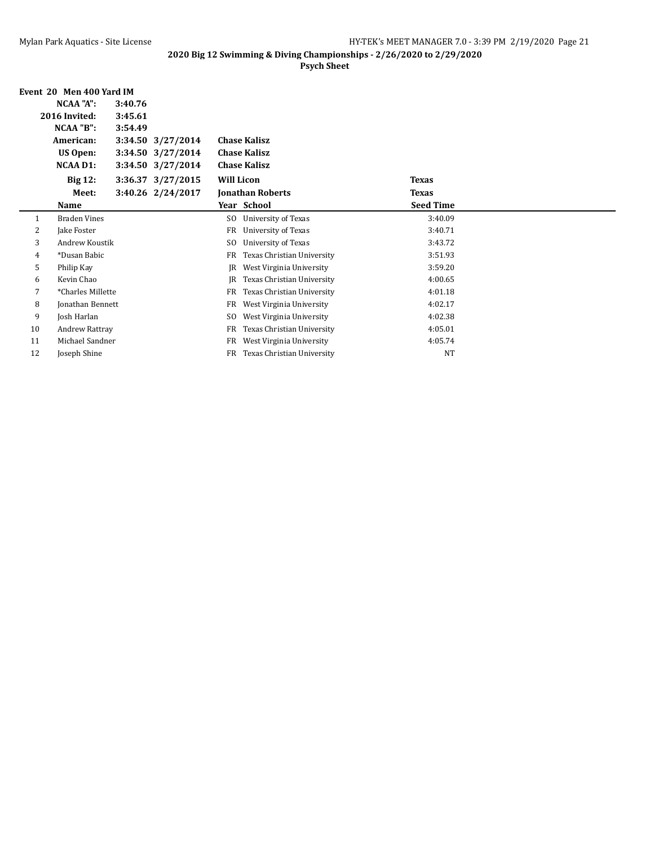|    | Event 20 Men 400 Yard IM |         |                   |                   |                            |                  |  |
|----|--------------------------|---------|-------------------|-------------------|----------------------------|------------------|--|
|    | NCAA "A":                | 3:40.76 |                   |                   |                            |                  |  |
|    | 2016 Invited:            | 3:45.61 |                   |                   |                            |                  |  |
|    | NCAA "B":                | 3:54.49 |                   |                   |                            |                  |  |
|    | American:                |         | 3:34.50 3/27/2014 |                   | <b>Chase Kalisz</b>        |                  |  |
|    | <b>US Open:</b>          |         | 3:34.50 3/27/2014 |                   | <b>Chase Kalisz</b>        |                  |  |
|    | NCAA D1:                 |         | 3:34.50 3/27/2014 |                   | <b>Chase Kalisz</b>        |                  |  |
|    | <b>Big 12:</b>           |         | 3:36.37 3/27/2015 | <b>Will Licon</b> |                            | <b>Texas</b>     |  |
|    | Meet:                    |         | 3:40.26 2/24/2017 |                   | <b>Jonathan Roberts</b>    | <b>Texas</b>     |  |
|    | Name                     |         |                   |                   | Year School                | <b>Seed Time</b> |  |
| 1  | <b>Braden Vines</b>      |         |                   | SO.               | University of Texas        | 3:40.09          |  |
| 2  | Jake Foster              |         |                   | FR                | University of Texas        | 3:40.71          |  |
| 3  | Andrew Koustik           |         |                   | S <sub>0</sub>    | University of Texas        | 3:43.72          |  |
| 4  | *Dusan Babic             |         |                   | FR                | Texas Christian University | 3:51.93          |  |
| 5  | Philip Kay               |         |                   | IR                | West Virginia University   | 3:59.20          |  |
| 6  | Kevin Chao               |         |                   | IR                | Texas Christian University | 4:00.65          |  |
| 7  | *Charles Millette        |         |                   | FR                | Texas Christian University | 4:01.18          |  |
| 8  | Jonathan Bennett         |         |                   | FR                | West Virginia University   | 4:02.17          |  |
| 9  | Josh Harlan              |         |                   | S <sub>0</sub>    | West Virginia University   | 4:02.38          |  |
| 10 | Andrew Rattray           |         |                   | FR                | Texas Christian University | 4:05.01          |  |
| 11 | Michael Sandner          |         |                   | <b>FR</b>         | West Virginia University   | 4:05.74          |  |
| 12 | Joseph Shine             |         |                   | FR                | Texas Christian University | <b>NT</b>        |  |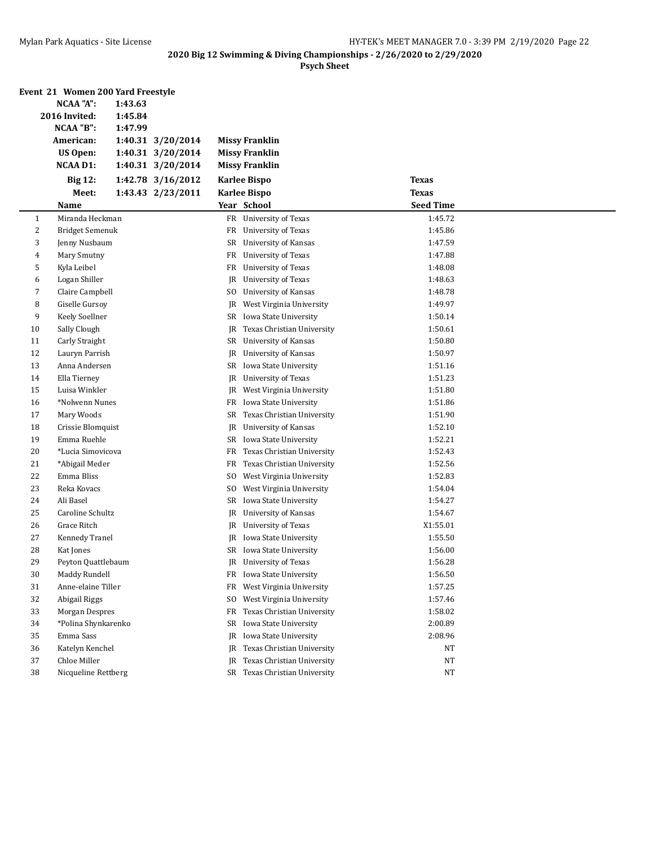|              | Event 21 Women 200 Yard Freestyle |         |                   |     |                               |                  |  |
|--------------|-----------------------------------|---------|-------------------|-----|-------------------------------|------------------|--|
|              | NCAA "A":                         | 1:43.63 |                   |     |                               |                  |  |
|              | 2016 Invited:                     | 1:45.84 |                   |     |                               |                  |  |
|              | NCAA "B":                         | 1:47.99 |                   |     |                               |                  |  |
|              | American:                         |         | 1:40.31 3/20/2014 |     | <b>Missy Franklin</b>         |                  |  |
|              | <b>US Open:</b>                   |         | 1:40.31 3/20/2014 |     | <b>Missy Franklin</b>         |                  |  |
|              | <b>NCAA D1:</b>                   |         | 1:40.31 3/20/2014 |     | <b>Missy Franklin</b>         |                  |  |
|              | <b>Big 12:</b>                    |         | 1:42.78 3/16/2012 |     | <b>Karlee Bispo</b>           | <b>Texas</b>     |  |
|              | Meet:                             |         | 1:43.43 2/23/2011 |     | <b>Karlee Bispo</b>           | <b>Texas</b>     |  |
|              | Name                              |         |                   |     | Year School                   | <b>Seed Time</b> |  |
| $\mathbf{1}$ | Miranda Heckman                   |         |                   |     | FR University of Texas        | 1:45.72          |  |
| 2            | <b>Bridget Semenuk</b>            |         |                   |     | FR University of Texas        | 1:45.86          |  |
| 3            | Jenny Nusbaum                     |         |                   |     | SR University of Kansas       | 1:47.59          |  |
| 4            | Mary Smutny                       |         |                   | FR  | University of Texas           | 1:47.88          |  |
| 5            | Kyla Leibel                       |         |                   |     | FR University of Texas        | 1:48.08          |  |
| 6            | Logan Shiller                     |         |                   | JR  | University of Texas           | 1:48.63          |  |
| 7            | Claire Campbell                   |         |                   | SO. | University of Kansas          | 1:48.78          |  |
| 8            | Giselle Gursoy                    |         |                   | JR  | West Virginia University      | 1:49.97          |  |
| 9            | Keely Soellner                    |         |                   |     | SR Iowa State University      | 1:50.14          |  |
| 10           | Sally Clough                      |         |                   | JR  | Texas Christian University    | 1:50.61          |  |
| 11           | Carly Straight                    |         |                   |     | SR University of Kansas       | 1:50.80          |  |
| 12           | Lauryn Parrish                    |         |                   | JR  | University of Kansas          | 1:50.97          |  |
| 13           | Anna Andersen                     |         |                   |     | SR Iowa State University      | 1:51.16          |  |
| 14           | Ella Tierney                      |         |                   |     | JR University of Texas        | 1:51.23          |  |
| 15           | Luisa Winkler                     |         |                   | JR  | West Virginia University      | 1:51.80          |  |
| 16           | *Nolwenn Nunes                    |         |                   |     | FR Iowa State University      | 1:51.86          |  |
| 17           | Mary Woods                        |         |                   |     | SR Texas Christian University | 1:51.90          |  |
| 18           | Crissie Blomquist                 |         |                   | JR  | <b>University of Kansas</b>   | 1:52.10          |  |
| 19           | Emma Ruehle                       |         |                   |     | SR Iowa State University      | 1:52.21          |  |
| 20           | *Lucia Simovicova                 |         |                   | FR  | Texas Christian University    | 1:52.43          |  |
| 21           | *Abigail Meder                    |         |                   | FR  | Texas Christian University    | 1:52.56          |  |
| 22           | Emma Bliss                        |         |                   | SO. | West Virginia University      | 1:52.83          |  |
| 23           | Reka Kovacs                       |         |                   | SO. | West Virginia University      | 1:54.04          |  |
| 24           | Ali Basel                         |         |                   |     | SR Iowa State University      | 1:54.27          |  |
| 25           | Caroline Schultz                  |         |                   | JR  | <b>University of Kansas</b>   | 1:54.67          |  |
| 26           | Grace Ritch                       |         |                   |     | JR University of Texas        | X1:55.01         |  |
| 27           | <b>Kennedy Tranel</b>             |         |                   |     | JR Iowa State University      | 1:55.50          |  |
| 28           | Kat Jones                         |         |                   |     | SR Iowa State University      | 1:56.00          |  |
| 29           | Peyton Quattlebaum                |         |                   |     | JR University of Texas        | 1:56.28          |  |
| 30           | Maddy Rundell                     |         |                   |     | FR Iowa State University      | 1:56.50          |  |
| 31           | Anne-elaine Tiller                |         |                   |     | FR West Virginia University   | 1:57.25          |  |
| 32           | Abigail Riggs                     |         |                   |     | SO West Virginia University   | 1:57.46          |  |
| 33           | <b>Morgan Despres</b>             |         |                   | FR  | Texas Christian University    | 1:58.02          |  |
| 34           | *Polina Shynkarenko               |         |                   |     | SR Iowa State University      | 2:00.89          |  |
| 35           | Emma Sass                         |         |                   | JR  | Iowa State University         | 2:08.96          |  |
| 36           | Katelyn Kenchel                   |         |                   | JR  | Texas Christian University    | <b>NT</b>        |  |
| 37           | Chloe Miller                      |         |                   | JR  | Texas Christian University    | <b>NT</b>        |  |
| 38           | Nicqueline Rettberg               |         |                   |     | SR Texas Christian University | NT               |  |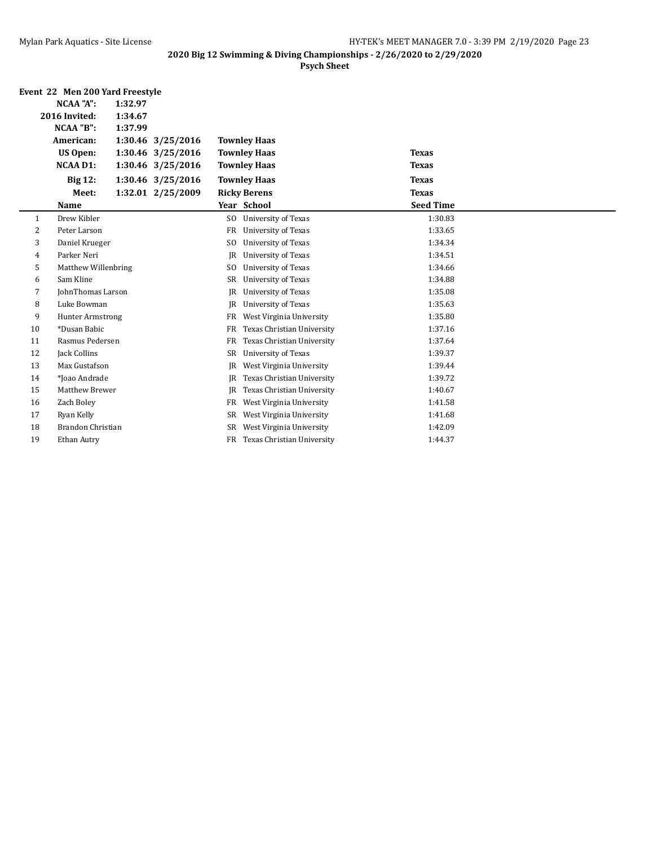|    | Event 22 Men 200 Yard Freestyle |         |                   |                |                            |                  |  |
|----|---------------------------------|---------|-------------------|----------------|----------------------------|------------------|--|
|    | NCAA "A":                       | 1:32.97 |                   |                |                            |                  |  |
|    | 2016 Invited:                   | 1:34.67 |                   |                |                            |                  |  |
|    | NCAA "B":                       | 1:37.99 |                   |                |                            |                  |  |
|    | American:                       |         | 1:30.46 3/25/2016 |                | <b>Townley Haas</b>        |                  |  |
|    | US Open:                        |         | 1:30.46 3/25/2016 |                | <b>Townley Haas</b>        | <b>Texas</b>     |  |
|    | <b>NCAA D1:</b>                 |         | 1:30.46 3/25/2016 |                | <b>Townley Haas</b>        | <b>Texas</b>     |  |
|    | <b>Big 12:</b>                  |         | 1:30.46 3/25/2016 |                | <b>Townley Haas</b>        | <b>Texas</b>     |  |
|    | Meet:                           |         | 1:32.01 2/25/2009 |                | <b>Ricky Berens</b>        | <b>Texas</b>     |  |
|    | Name                            |         |                   |                | Year School                | <b>Seed Time</b> |  |
| 1  | Drew Kibler                     |         |                   | S <sub>0</sub> | University of Texas        | 1:30.83          |  |
| 2  | Peter Larson                    |         |                   | <b>FR</b>      | <b>University of Texas</b> | 1:33.65          |  |
| 3  | Daniel Krueger                  |         |                   | S <sub>0</sub> | University of Texas        | 1:34.34          |  |
| 4  | Parker Neri                     |         |                   | IR             | <b>University of Texas</b> | 1:34.51          |  |
| 5  | Matthew Willenbring             |         |                   | S <sub>0</sub> | <b>University of Texas</b> | 1:34.66          |  |
| 6  | Sam Kline                       |         |                   | SR             | University of Texas        | 1:34.88          |  |
| 7  | JohnThomas Larson               |         |                   | IR             | University of Texas        | 1:35.08          |  |
| 8  | Luke Bowman                     |         |                   | <b>IR</b>      | University of Texas        | 1:35.63          |  |
| 9  | <b>Hunter Armstrong</b>         |         |                   | <b>FR</b>      | West Virginia University   | 1:35.80          |  |
| 10 | *Dusan Babic                    |         |                   | FR             | Texas Christian University | 1:37.16          |  |
| 11 | Rasmus Pedersen                 |         |                   | FR             | Texas Christian University | 1:37.64          |  |
| 12 | Jack Collins                    |         |                   | SR             | <b>University of Texas</b> | 1:39.37          |  |
| 13 | Max Gustafson                   |         |                   | IR.            | West Virginia University   | 1:39.44          |  |
| 14 | *Joao Andrade                   |         |                   | IR             | Texas Christian University | 1:39.72          |  |
| 15 | Matthew Brewer                  |         |                   | IR             | Texas Christian University | 1:40.67          |  |
| 16 | Zach Boley                      |         |                   | FR             | West Virginia University   | 1:41.58          |  |
| 17 | Ryan Kelly                      |         |                   | SR             | West Virginia University   | 1:41.68          |  |
| 18 | Brandon Christian               |         |                   | SR.            | West Virginia University   | 1:42.09          |  |
| 19 | Ethan Autry                     |         |                   | <b>FR</b>      | Texas Christian University | 1:44.37          |  |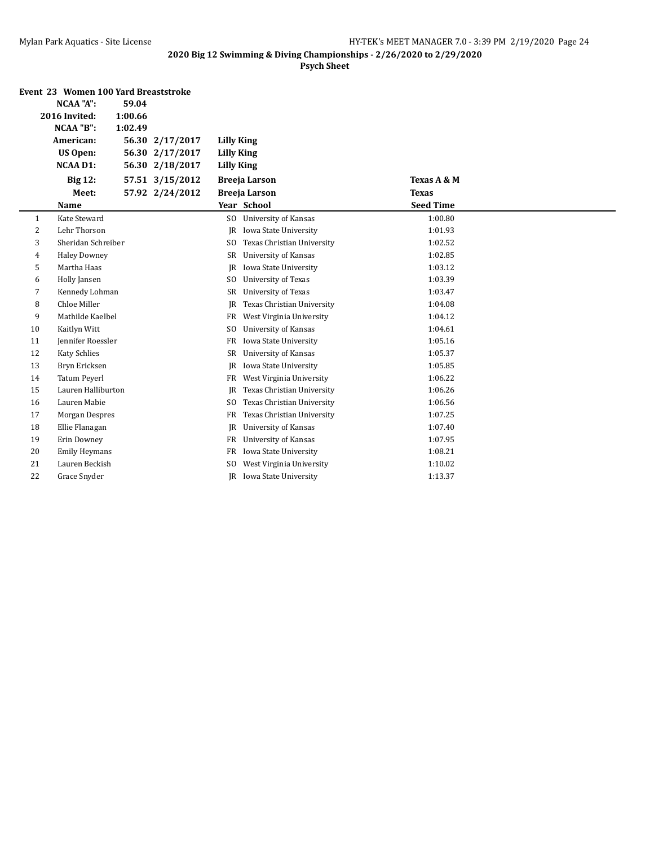|    | Event 23 Women 100 Yard Breaststroke |         |                 |                   |                             |                  |  |
|----|--------------------------------------|---------|-----------------|-------------------|-----------------------------|------------------|--|
|    | <b>NCAA "A":</b>                     | 59.04   |                 |                   |                             |                  |  |
|    | 2016 Invited:                        | 1:00.66 |                 |                   |                             |                  |  |
|    | NCAA "B":                            | 1:02.49 |                 |                   |                             |                  |  |
|    | American:                            |         | 56.30 2/17/2017 | Lilly King        |                             |                  |  |
|    | <b>US Open:</b>                      |         | 56.30 2/17/2017 | <b>Lilly King</b> |                             |                  |  |
|    | <b>NCAA D1:</b>                      | 56.30   | 2/18/2017       | <b>Lilly King</b> |                             |                  |  |
|    | <b>Big 12:</b>                       |         | 57.51 3/15/2012 |                   | <b>Breeja Larson</b>        | Texas A & M      |  |
|    | Meet:                                |         | 57.92 2/24/2012 |                   | <b>Breeja Larson</b>        | <b>Texas</b>     |  |
|    | Name                                 |         |                 |                   | Year School                 | <b>Seed Time</b> |  |
| 1  | Kate Steward                         |         |                 | SO.               | <b>University of Kansas</b> | 1:00.80          |  |
| 2  | Lehr Thorson                         |         |                 | IR                | Iowa State University       | 1:01.93          |  |
| 3  | Sheridan Schreiber                   |         |                 | SO.               | Texas Christian University  | 1:02.52          |  |
| 4  | <b>Haley Downey</b>                  |         |                 | SR                | University of Kansas        | 1:02.85          |  |
| 5  | Martha Haas                          |         |                 | JR                | Iowa State University       | 1:03.12          |  |
| 6  | Holly Jansen                         |         |                 | SO.               | <b>University of Texas</b>  | 1:03.39          |  |
| 7  | Kennedy Lohman                       |         |                 | SR                | <b>University of Texas</b>  | 1:03.47          |  |
| 8  | Chloe Miller                         |         |                 | IR                | Texas Christian University  | 1:04.08          |  |
| 9  | Mathilde Kaelbel                     |         |                 | FR                | West Virginia University    | 1:04.12          |  |
| 10 | Kaitlyn Witt                         |         |                 | SO.               | <b>University of Kansas</b> | 1:04.61          |  |
| 11 | Jennifer Roessler                    |         |                 | FR                | Iowa State University       | 1:05.16          |  |
| 12 | <b>Katy Schlies</b>                  |         |                 | SR                | University of Kansas        | 1:05.37          |  |
| 13 | Bryn Ericksen                        |         |                 | JR                | Iowa State University       | 1:05.85          |  |
| 14 | <b>Tatum Peyerl</b>                  |         |                 | FR                | West Virginia University    | 1:06.22          |  |
| 15 | Lauren Halliburton                   |         |                 | JR                | Texas Christian University  | 1:06.26          |  |
| 16 | Lauren Mabie                         |         |                 | SO.               | Texas Christian University  | 1:06.56          |  |
| 17 | Morgan Despres                       |         |                 | FR                | Texas Christian University  | 1:07.25          |  |
| 18 | Ellie Flanagan                       |         |                 | JR                | University of Kansas        | 1:07.40          |  |
| 19 | Erin Downey                          |         |                 | FR                | University of Kansas        | 1:07.95          |  |
| 20 | <b>Emily Heymans</b>                 |         |                 | FR                | Iowa State University       | 1:08.21          |  |
| 21 | Lauren Beckish                       |         |                 | SO.               | West Virginia University    | 1:10.02          |  |
| 22 | Grace Snyder                         |         |                 |                   | JR Iowa State University    | 1:13.37          |  |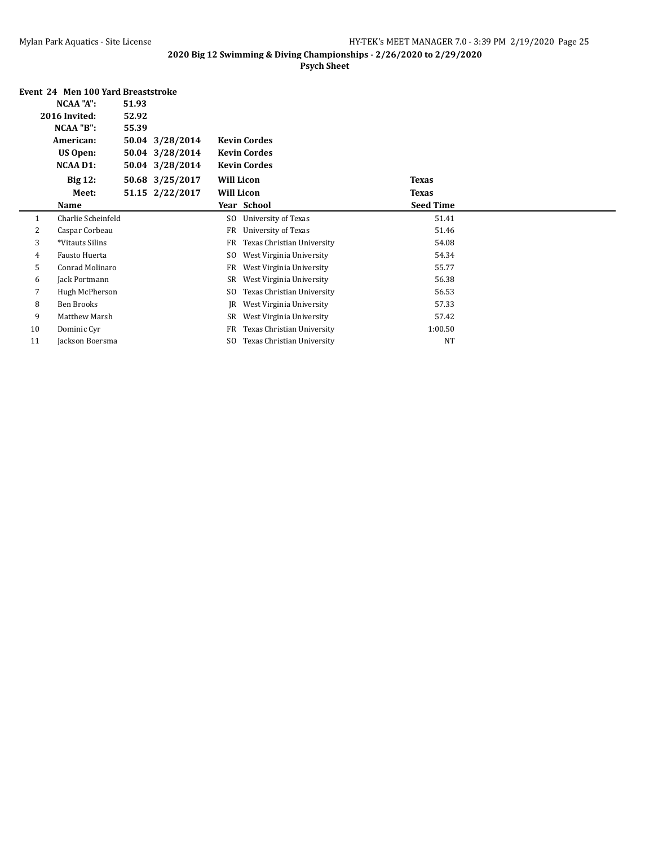|    | Event 24 Men 100 Yard Breaststroke |       |                 |                   |                            |                  |  |
|----|------------------------------------|-------|-----------------|-------------------|----------------------------|------------------|--|
|    | NCAA "A":                          | 51.93 |                 |                   |                            |                  |  |
|    | 2016 Invited:                      | 52.92 |                 |                   |                            |                  |  |
|    | NCAA "B":                          | 55.39 |                 |                   |                            |                  |  |
|    | American:                          |       | 50.04 3/28/2014 |                   | <b>Kevin Cordes</b>        |                  |  |
|    | US Open:                           |       | 50.04 3/28/2014 |                   | <b>Kevin Cordes</b>        |                  |  |
|    | NCAA D1:                           |       | 50.04 3/28/2014 |                   | <b>Kevin Cordes</b>        |                  |  |
|    | <b>Big 12:</b>                     |       | 50.68 3/25/2017 | <b>Will Licon</b> |                            | <b>Texas</b>     |  |
|    | Meet:                              |       | 51.15 2/22/2017 | <b>Will Licon</b> |                            | <b>Texas</b>     |  |
|    | Name                               |       |                 |                   | Year School                | <b>Seed Time</b> |  |
| 1  | Charlie Scheinfeld                 |       |                 | SO.               | University of Texas        | 51.41            |  |
| 2  | Caspar Corbeau                     |       |                 | FR                | University of Texas        | 51.46            |  |
| 3  | *Vitauts Silins                    |       |                 | FR                | Texas Christian University | 54.08            |  |
| 4  | Fausto Huerta                      |       |                 | SO.               | West Virginia University   | 54.34            |  |
| 5  | Conrad Molinaro                    |       |                 | FR                | West Virginia University   | 55.77            |  |
| 6  | Jack Portmann                      |       |                 | SR                | West Virginia University   | 56.38            |  |
| 7  | Hugh McPherson                     |       |                 | SO.               | Texas Christian University | 56.53            |  |
| 8  | Ben Brooks                         |       |                 | IR                | West Virginia University   | 57.33            |  |
| 9  | Matthew Marsh                      |       |                 | SR                | West Virginia University   | 57.42            |  |
| 10 | Dominic Cyr                        |       |                 | FR                | Texas Christian University | 1:00.50          |  |
| 11 | Jackson Boersma                    |       |                 | SO.               | Texas Christian University | <b>NT</b>        |  |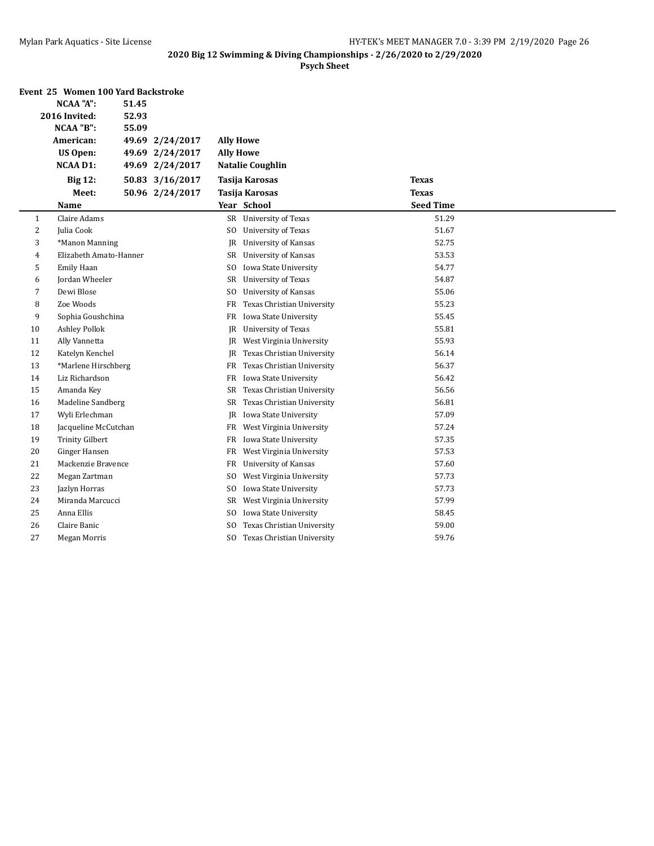|              | Event 25 Women 100 Yard Backstroke |       |                 |                  |                               |                  |  |
|--------------|------------------------------------|-------|-----------------|------------------|-------------------------------|------------------|--|
|              | <b>NCAA "A":</b>                   | 51.45 |                 |                  |                               |                  |  |
|              | 2016 Invited:                      | 52.93 |                 |                  |                               |                  |  |
|              | NCAA "B":                          | 55.09 |                 |                  |                               |                  |  |
|              | American:                          |       | 49.69 2/24/2017 | <b>Ally Howe</b> |                               |                  |  |
|              | <b>US Open:</b>                    |       | 49.69 2/24/2017 | <b>Ally Howe</b> |                               |                  |  |
|              | <b>NCAA D1:</b>                    |       | 49.69 2/24/2017 |                  | <b>Natalie Coughlin</b>       |                  |  |
|              | <b>Big 12:</b>                     |       | 50.83 3/16/2017 |                  | Tasija Karosas                | <b>Texas</b>     |  |
|              | Meet:                              |       | 50.96 2/24/2017 |                  | <b>Tasija Karosas</b>         | <b>Texas</b>     |  |
|              | Name                               |       |                 |                  | Year School                   | <b>Seed Time</b> |  |
| $\mathbf{1}$ | Claire Adams                       |       |                 |                  | SR University of Texas        | 51.29            |  |
| 2            | Julia Cook                         |       |                 | SO               | University of Texas           | 51.67            |  |
| 3            | *Manon Manning                     |       |                 | IR               | <b>University of Kansas</b>   | 52.75            |  |
| 4            | Elizabeth Amato-Hanner             |       |                 |                  | SR University of Kansas       | 53.53            |  |
| 5            | Emily Haan                         |       |                 | SO.              | Iowa State University         | 54.77            |  |
| 6            | Jordan Wheeler                     |       |                 | SR               | University of Texas           | 54.87            |  |
| 7            | Dewi Blose                         |       |                 | SO.              | <b>University of Kansas</b>   | 55.06            |  |
| 8            | Zoe Woods                          |       |                 | FR               | Texas Christian University    | 55.23            |  |
| 9            | Sophia Goushchina                  |       |                 | FR               | Iowa State University         | 55.45            |  |
| 10           | <b>Ashley Pollok</b>               |       |                 |                  | JR University of Texas        | 55.81            |  |
| 11           | Ally Vannetta                      |       |                 |                  | JR West Virginia University   | 55.93            |  |
| 12           | Katelyn Kenchel                    |       |                 | IR               | Texas Christian University    | 56.14            |  |
| 13           | *Marlene Hirschberg                |       |                 | FR               | Texas Christian University    | 56.37            |  |
| 14           | Liz Richardson                     |       |                 |                  | FR Iowa State University      | 56.42            |  |
| 15           | Amanda Key                         |       |                 |                  | SR Texas Christian University | 56.56            |  |
| 16           | Madeline Sandberg                  |       |                 |                  | SR Texas Christian University | 56.81            |  |
| 17           | Wyli Erlechman                     |       |                 |                  | JR Iowa State University      | 57.09            |  |
| 18           | Jacqueline McCutchan               |       |                 |                  | FR West Virginia University   | 57.24            |  |
| 19           | <b>Trinity Gilbert</b>             |       |                 |                  | FR Iowa State University      | 57.35            |  |
| 20           | Ginger Hansen                      |       |                 | FR               | West Virginia University      | 57.53            |  |
| 21           | Mackenzie Bravence                 |       |                 | FR               | <b>University of Kansas</b>   | 57.60            |  |
| 22           | Megan Zartman                      |       |                 | SO.              | West Virginia University      | 57.73            |  |
| 23           | Jazlyn Horras                      |       |                 | SO.              | Iowa State University         | 57.73            |  |
| 24           | Miranda Marcucci                   |       |                 | SR               | West Virginia University      | 57.99            |  |
| 25           | Anna Ellis                         |       |                 | SO.              | Iowa State University         | 58.45            |  |
| 26           | Claire Banic                       |       |                 | SO.              | Texas Christian University    | 59.00            |  |
| 27           | Megan Morris                       |       |                 | SO.              | Texas Christian University    | 59.76            |  |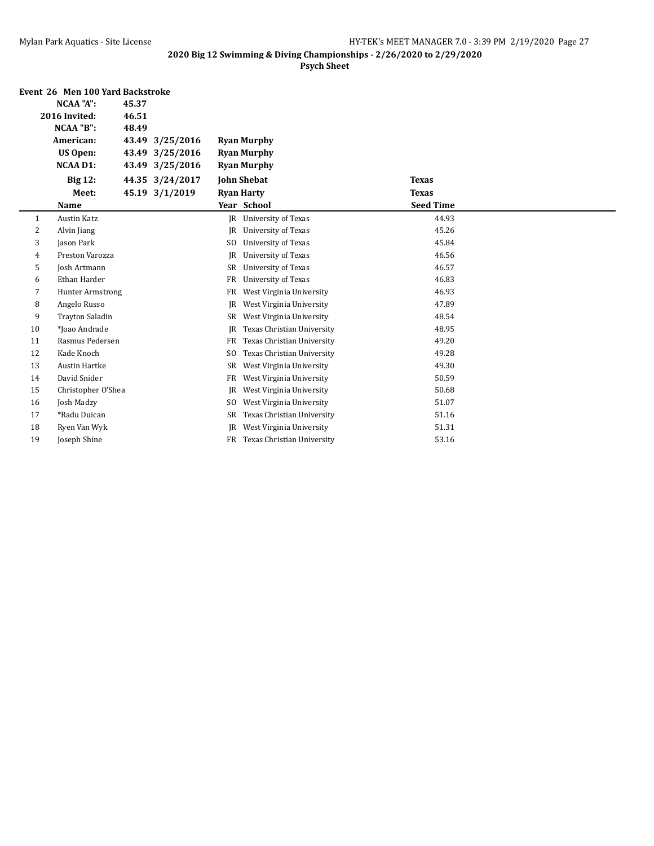|    | Event 26 Men 100 Yard Backstroke |       |                 |                |                            |                  |  |
|----|----------------------------------|-------|-----------------|----------------|----------------------------|------------------|--|
|    | NCAA "A":                        | 45.37 |                 |                |                            |                  |  |
|    | 2016 Invited:                    | 46.51 |                 |                |                            |                  |  |
|    | NCAA "B":                        | 48.49 |                 |                |                            |                  |  |
|    | American:                        | 43.49 | 3/25/2016       |                | <b>Ryan Murphy</b>         |                  |  |
|    | <b>US Open:</b>                  | 43.49 | 3/25/2016       |                | <b>Ryan Murphy</b>         |                  |  |
|    | <b>NCAA D1:</b>                  | 43.49 | 3/25/2016       |                | <b>Ryan Murphy</b>         |                  |  |
|    | <b>Big 12:</b>                   |       | 44.35 3/24/2017 |                | <b>John Shebat</b>         | <b>Texas</b>     |  |
|    | Meet:                            |       | 45.19 3/1/2019  |                | <b>Ryan Harty</b>          | <b>Texas</b>     |  |
|    | <b>Name</b>                      |       |                 |                | Year School                | <b>Seed Time</b> |  |
| 1  | <b>Austin Katz</b>               |       |                 |                | JR University of Texas     | 44.93            |  |
| 2  | Alvin Jiang                      |       |                 | JR             | <b>University of Texas</b> | 45.26            |  |
| 3  | Jason Park                       |       |                 | S <sub>0</sub> | University of Texas        | 45.84            |  |
| 4  | Preston Varozza                  |       |                 | JR             | University of Texas        | 46.56            |  |
| 5  | Josh Artmann                     |       |                 | SR             | <b>University of Texas</b> | 46.57            |  |
| 6  | Ethan Harder                     |       |                 | FR             | University of Texas        | 46.83            |  |
| 7  | <b>Hunter Armstrong</b>          |       |                 | FR             | West Virginia University   | 46.93            |  |
| 8  | Angelo Russo                     |       |                 | JR             | West Virginia University   | 47.89            |  |
| 9  | <b>Trayton Saladin</b>           |       |                 | SR             | West Virginia University   | 48.54            |  |
| 10 | *Ioao Andrade                    |       |                 | JR             | Texas Christian University | 48.95            |  |
| 11 | Rasmus Pedersen                  |       |                 | FR             | Texas Christian University | 49.20            |  |
| 12 | Kade Knoch                       |       |                 | S <sub>0</sub> | Texas Christian University | 49.28            |  |
| 13 | <b>Austin Hartke</b>             |       |                 | SR             | West Virginia University   | 49.30            |  |
| 14 | David Snider                     |       |                 | FR             | West Virginia University   | 50.59            |  |
| 15 | Christopher O'Shea               |       |                 | JR             | West Virginia University   | 50.68            |  |
| 16 | Josh Madzy                       |       |                 | S <sub>0</sub> | West Virginia University   | 51.07            |  |
| 17 | *Radu Duican                     |       |                 | SR             | Texas Christian University | 51.16            |  |
| 18 | Ryen Van Wyk                     |       |                 | JR             | West Virginia University   | 51.31            |  |
| 19 | Joseph Shine                     |       |                 | FR             | Texas Christian University | 53.16            |  |
|    |                                  |       |                 |                |                            |                  |  |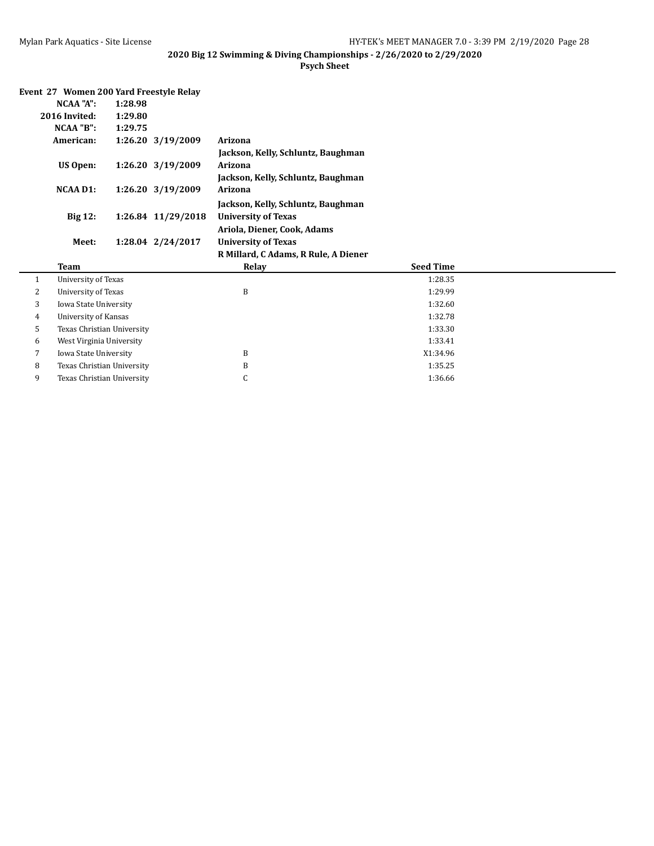|                        | Event 27 Women 200 Yard Freestyle Relay |  |
|------------------------|-----------------------------------------|--|
| N <sub>C</sub> AA "A". | 1.28.98                                 |  |

| <b>Team</b>     |                    | Relay                                | <b>Seed Time</b> |
|-----------------|--------------------|--------------------------------------|------------------|
|                 |                    | R Millard, C Adams, R Rule, A Diener |                  |
| Meet:           | 1:28.04 2/24/2017  | <b>University of Texas</b>           |                  |
|                 |                    | Ariola, Diener, Cook, Adams          |                  |
| <b>Big 12:</b>  | 1:26.84 11/29/2018 | <b>University of Texas</b>           |                  |
|                 |                    | Jackson, Kelly, Schluntz, Baughman   |                  |
| NCAA D1:        | 1:26.20 3/19/2009  | Arizona                              |                  |
|                 |                    | Jackson, Kelly, Schluntz, Baughman   |                  |
| <b>US Open:</b> | 1:26.20 3/19/2009  | Arizona                              |                  |
|                 |                    | Jackson, Kelly, Schluntz, Baughman   |                  |
| American:       | 1:26.20 3/19/2009  | Arizona                              |                  |
| NCAA "B":       | 1:29.75            |                                      |                  |
| 2016 Invited:   | 1:29.80            |                                      |                  |
| NUAA A :        | 1:28.98            |                                      |                  |

|         |                            | www             | <b>DECA THILE</b> |  |
|---------|----------------------------|-----------------|-------------------|--|
|         | University of Texas        |                 | 1:28.35           |  |
| ົ<br>∠  | University of Texas        | B               | 1:29.99           |  |
| 3       | Iowa State University      |                 | 1:32.60           |  |
| 4       | University of Kansas       |                 | 1:32.78           |  |
| $\cdot$ | Texas Christian University |                 | 1:33.30           |  |
| 6       | West Virginia University   |                 | 1:33.41           |  |
|         | Iowa State University      | B               | X1:34.96          |  |
| 8       | Texas Christian University | B               | 1:35.25           |  |
| 9       | Texas Christian University | $\sqrt{2}$<br>◡ | 1:36.66           |  |
|         |                            |                 |                   |  |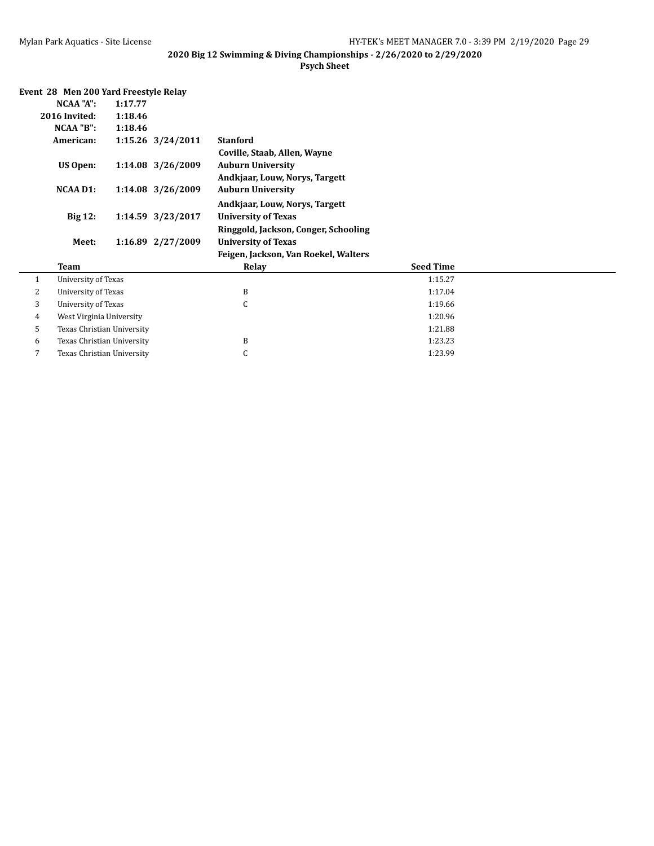|              | Event 28 Men 200 Yard Freestyle Relay |         |                   |                                      |                  |  |
|--------------|---------------------------------------|---------|-------------------|--------------------------------------|------------------|--|
|              | NCAA "A":                             | 1:17.77 |                   |                                      |                  |  |
|              | 2016 Invited:                         | 1:18.46 |                   |                                      |                  |  |
|              | NCAA "B":                             | 1:18.46 |                   |                                      |                  |  |
|              | American:                             |         | 1:15.26 3/24/2011 | <b>Stanford</b>                      |                  |  |
|              |                                       |         |                   | Coville, Staab, Allen, Wayne         |                  |  |
|              | <b>US Open:</b>                       |         | 1:14.08 3/26/2009 | <b>Auburn University</b>             |                  |  |
|              |                                       |         |                   | Andkjaar, Louw, Norys, Targett       |                  |  |
|              | <b>NCAA D1:</b>                       |         | 1:14.08 3/26/2009 | <b>Auburn University</b>             |                  |  |
|              |                                       |         |                   | Andkjaar, Louw, Norys, Targett       |                  |  |
|              | <b>Big 12:</b>                        |         | 1:14.59 3/23/2017 | <b>University of Texas</b>           |                  |  |
|              |                                       |         |                   | Ringgold, Jackson, Conger, Schooling |                  |  |
|              | Meet:                                 |         | 1:16.89 2/27/2009 | <b>University of Texas</b>           |                  |  |
|              |                                       |         |                   | Feigen, Jackson, Van Roekel, Walters |                  |  |
|              | <b>Team</b>                           |         |                   | Relay                                | <b>Seed Time</b> |  |
| $\mathbf{1}$ | University of Texas                   |         |                   |                                      | 1:15.27          |  |
| 2            | University of Texas                   |         |                   | B                                    | 1:17.04          |  |
| 3            | <b>University of Texas</b>            |         |                   | C                                    | 1:19.66          |  |
| 4            | West Virginia University              |         |                   |                                      | 1:20.96          |  |
| 5            | Texas Christian University            |         |                   |                                      | 1:21.88          |  |
| 6            | Texas Christian University            |         |                   | B                                    | 1:23.23          |  |
| 7            | Texas Christian University            |         |                   | C                                    | 1:23.99          |  |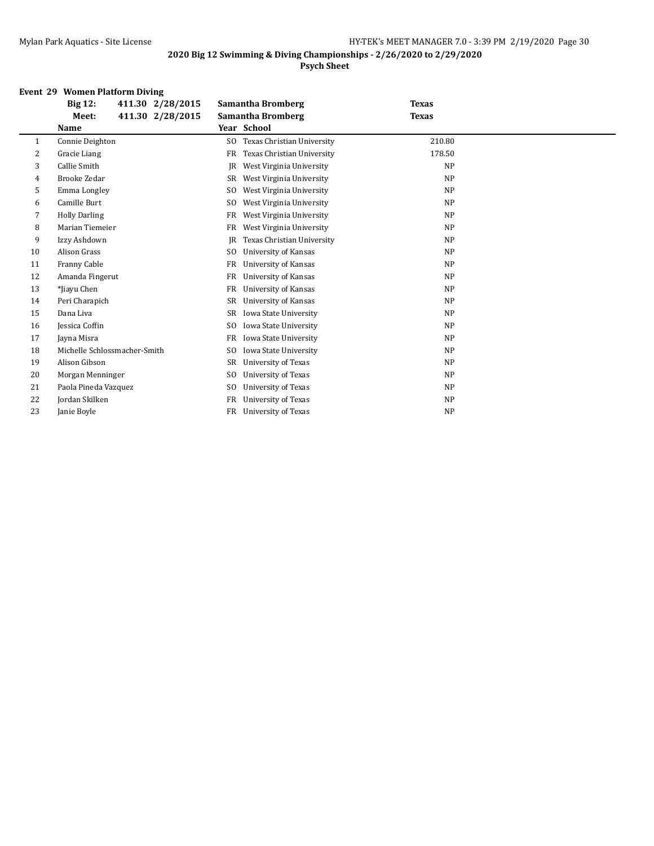## **Psych Sheet**

## **Event 29 Women Platform Diving**

|              | <b>Big 12:</b><br>411.30 2/28/2015 | Samantha Bromberg                            | <b>Texas</b> |
|--------------|------------------------------------|----------------------------------------------|--------------|
|              | 411.30 2/28/2015<br>Meet:          | <b>Samantha Bromberg</b>                     | <b>Texas</b> |
|              | Name                               | Year School                                  |              |
| $\mathbf{1}$ | Connie Deighton                    | Texas Christian University<br>SO.            | 210.80       |
| 2            | Gracie Liang                       | Texas Christian University<br>FR             | 178.50       |
| 3            | Callie Smith                       | West Virginia University<br>IR               | <b>NP</b>    |
| 4            | <b>Brooke Zedar</b>                | West Virginia University<br>SR               | <b>NP</b>    |
| 5            | Emma Longley                       | West Virginia University<br>SO.              | <b>NP</b>    |
| 6            | Camille Burt                       | West Virginia University<br>S <sub>0</sub>   | <b>NP</b>    |
| 7            | <b>Holly Darling</b>               | West Virginia University<br>FR               | <b>NP</b>    |
| 8            | Marian Tiemeier                    | West Virginia University<br>FR               | <b>NP</b>    |
| 9            | Izzy Ashdown                       | Texas Christian University<br>IR             | <b>NP</b>    |
| 10           | Alison Grass                       | University of Kansas<br>S <sub>0</sub>       | <b>NP</b>    |
| 11           | Franny Cable                       | University of Kansas<br>FR                   | <b>NP</b>    |
| 12           | Amanda Fingerut                    | FR<br>University of Kansas                   | <b>NP</b>    |
| 13           | *Jiayu Chen                        | FR<br>University of Kansas                   | <b>NP</b>    |
| 14           | Peri Charapich                     | <b>University of Kansas</b><br>SR            | <b>NP</b>    |
| 15           | Dana Liva                          | Iowa State University<br>SR                  | <b>NP</b>    |
| 16           | Jessica Coffin                     | Iowa State University<br>SO.                 | <b>NP</b>    |
| 17           | Jayna Misra                        | Iowa State University<br>FR                  | <b>NP</b>    |
| 18           | Michelle Schlossmacher-Smith       | Iowa State University<br>SO.                 | <b>NP</b>    |
| 19           | Alison Gibson                      | <b>University of Texas</b><br>SR             | <b>NP</b>    |
| 20           | Morgan Menninger                   | <b>University of Texas</b><br>S <sub>0</sub> | <b>NP</b>    |
| 21           | Paola Pineda Vazquez               | University of Texas<br>SO.                   | <b>NP</b>    |
| 22           | Jordan Skilken                     | <b>FR</b><br><b>University of Texas</b>      | <b>NP</b>    |
| 23           | Janie Boyle                        | <b>FR</b><br><b>University of Texas</b>      | <b>NP</b>    |
|              |                                    |                                              |              |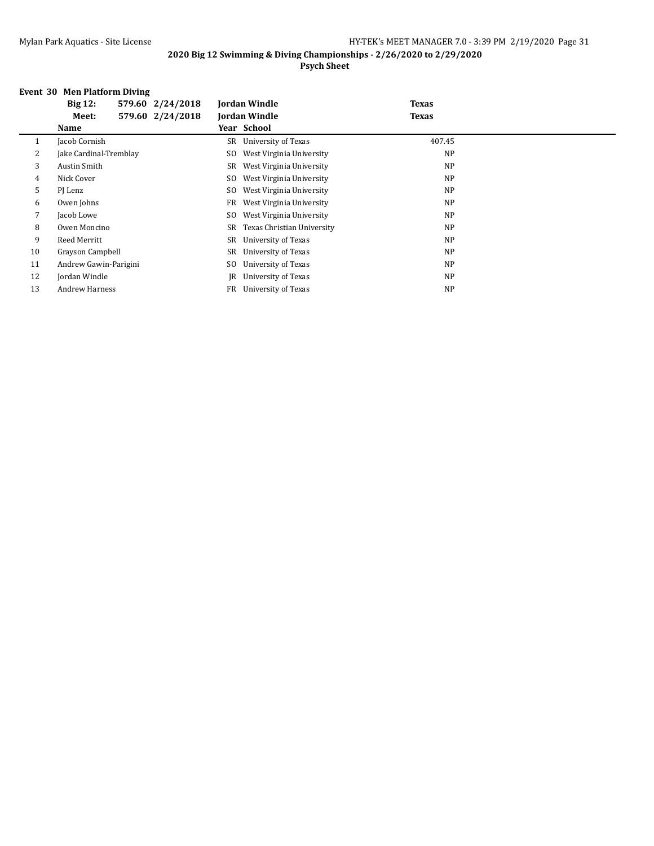#### **2020 Big 12 Swimming & Diving Championships - 2/26/2020 to 2/29/2020 Psych Sheet**

#### **Event 30 Men Platform Diving**

|    | <b>Big 12:</b>         | 579.60 2/24/2018 |     | <b>Jordan Windle</b>       | <b>Texas</b> |  |
|----|------------------------|------------------|-----|----------------------------|--------------|--|
|    | Meet:                  | 579.60 2/24/2018 |     | <b>Jordan Windle</b>       | <b>Texas</b> |  |
|    | <b>Name</b>            |                  |     | Year School                |              |  |
| 1  | Jacob Cornish          |                  |     | SR University of Texas     | 407.45       |  |
| 2  | Jake Cardinal-Tremblay |                  | SO. | West Virginia University   | <b>NP</b>    |  |
| 3  | Austin Smith           |                  | SR  | West Virginia University   | <b>NP</b>    |  |
| 4  | Nick Cover             |                  | SO. | West Virginia University   | <b>NP</b>    |  |
| 5  | PJ Lenz                |                  | SO. | West Virginia University   | <b>NP</b>    |  |
| 6  | Owen Johns             |                  | FR  | West Virginia University   | <b>NP</b>    |  |
| 7  | Jacob Lowe             |                  | SO. | West Virginia University   | <b>NP</b>    |  |
| 8  | Owen Moncino           |                  | SR  | Texas Christian University | <b>NP</b>    |  |
| 9  | Reed Merritt           |                  | SR  | University of Texas        | <b>NP</b>    |  |
| 10 | Grayson Campbell       |                  | SR  | University of Texas        | <b>NP</b>    |  |
| 11 | Andrew Gawin-Parigini  |                  | SO. | University of Texas        | <b>NP</b>    |  |
| 12 | Jordan Windle          |                  | IR  | University of Texas        | <b>NP</b>    |  |
| 13 | <b>Andrew Harness</b>  |                  | FR  | University of Texas        | <b>NP</b>    |  |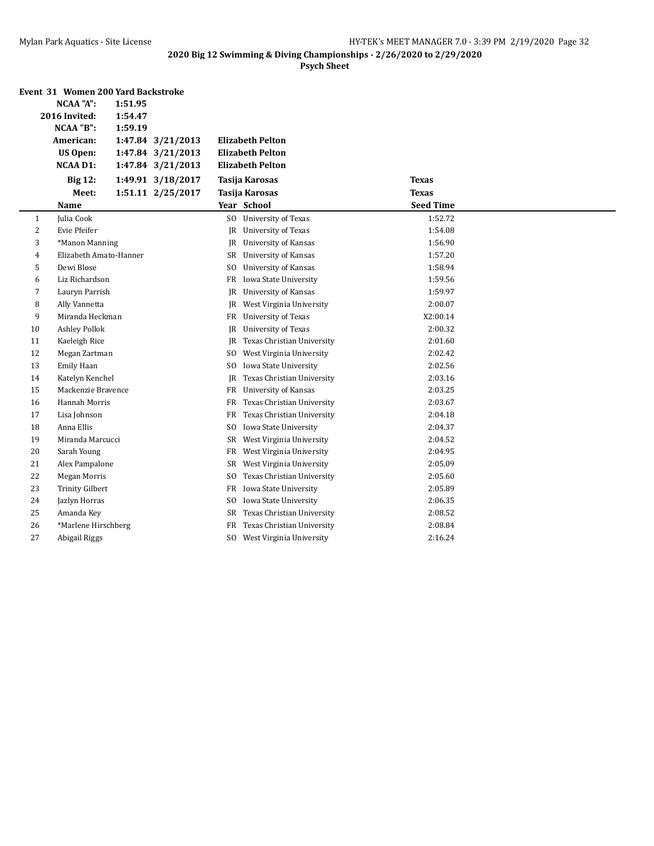|    | Event 31 Women 200 Yard Backstroke |         |                   |                |                             |                  |  |
|----|------------------------------------|---------|-------------------|----------------|-----------------------------|------------------|--|
|    | <b>NCAA "A":</b>                   | 1:51.95 |                   |                |                             |                  |  |
|    | 2016 Invited:                      | 1:54.47 |                   |                |                             |                  |  |
|    | NCAA "B":                          | 1:59.19 |                   |                |                             |                  |  |
|    | American:                          |         | 1:47.84 3/21/2013 |                | <b>Elizabeth Pelton</b>     |                  |  |
|    | <b>US Open:</b>                    |         | 1:47.84 3/21/2013 |                | <b>Elizabeth Pelton</b>     |                  |  |
|    | <b>NCAA D1:</b>                    |         | 1:47.84 3/21/2013 |                | <b>Elizabeth Pelton</b>     |                  |  |
|    | <b>Big 12:</b>                     |         | 1:49.91 3/18/2017 |                | Tasija Karosas              | <b>Texas</b>     |  |
|    | Meet:                              |         | 1:51.11 2/25/2017 |                | <b>Tasija Karosas</b>       | <b>Texas</b>     |  |
|    | Name                               |         |                   |                | Year School                 | <b>Seed Time</b> |  |
| 1  | Julia Cook                         |         |                   |                | SO University of Texas      | 1:52.72          |  |
| 2  | Evie Pfeifer                       |         |                   |                | JR University of Texas      | 1:54.08          |  |
| 3  | *Manon Manning                     |         |                   | JR.            | <b>University of Kansas</b> | 1:56.90          |  |
| 4  | Elizabeth Amato-Hanner             |         |                   |                | SR University of Kansas     | 1:57.20          |  |
| 5  | Dewi Blose                         |         |                   | SO.            | <b>University of Kansas</b> | 1:58.94          |  |
| 6  | Liz Richardson                     |         |                   |                | FR Iowa State University    | 1:59.56          |  |
| 7  | Lauryn Parrish                     |         |                   | IR             | <b>University of Kansas</b> | 1:59.97          |  |
| 8  | Ally Vannetta                      |         |                   | IR             | West Virginia University    | 2:00.07          |  |
| 9  | Miranda Heckman                    |         |                   |                | FR University of Texas      | X2:00.14         |  |
| 10 | <b>Ashley Pollok</b>               |         |                   | JR             | <b>University of Texas</b>  | 2:00.32          |  |
| 11 | Kaeleigh Rice                      |         |                   | JR             | Texas Christian University  | 2:01.60          |  |
| 12 | Megan Zartman                      |         |                   |                | SO West Virginia University | 2:02.42          |  |
| 13 | <b>Emily Haan</b>                  |         |                   | SO.            | Iowa State University       | 2:02.56          |  |
| 14 | Katelyn Kenchel                    |         |                   | JR             | Texas Christian University  | 2:03.16          |  |
| 15 | Mackenzie Bravence                 |         |                   |                | FR University of Kansas     | 2:03.25          |  |
| 16 | <b>Hannah Morris</b>               |         |                   | FR             | Texas Christian University  | 2:03.67          |  |
| 17 | Lisa Johnson                       |         |                   | FR             | Texas Christian University  | 2:04.18          |  |
| 18 | Anna Ellis                         |         |                   | S <sub>0</sub> | Iowa State University       | 2:04.37          |  |
| 19 | Miranda Marcucci                   |         |                   | SR             | West Virginia University    | 2:04.52          |  |
| 20 | Sarah Young                        |         |                   | FR             | West Virginia University    | 2:04.95          |  |
| 21 | Alex Pampalone                     |         |                   | SR             | West Virginia University    | 2:05.09          |  |
| 22 | <b>Megan Morris</b>                |         |                   | SO.            | Texas Christian University  | 2:05.60          |  |
| 23 | <b>Trinity Gilbert</b>             |         |                   | FR             | Iowa State University       | 2:05.89          |  |
| 24 | Jazlyn Horras                      |         |                   | SO.            | Iowa State University       | 2:06.35          |  |
| 25 | Amanda Key                         |         |                   | SR             | Texas Christian University  | 2:08.52          |  |
| 26 | *Marlene Hirschberg                |         |                   | FR             | Texas Christian University  | 2:08.84          |  |
| 27 | Abigail Riggs                      |         |                   | SO.            | West Virginia University    | 2:16.24          |  |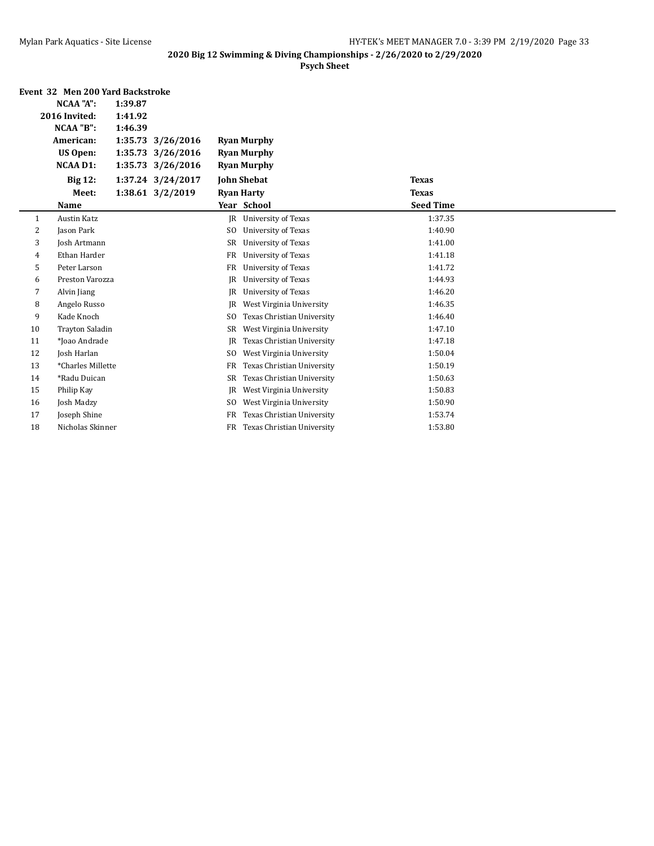|    | Event 32 Men 200 Yard Backstroke |         |                   |                |                            |                  |  |
|----|----------------------------------|---------|-------------------|----------------|----------------------------|------------------|--|
|    | <b>NCAA "A":</b>                 | 1:39.87 |                   |                |                            |                  |  |
|    | 2016 Invited:                    | 1:41.92 |                   |                |                            |                  |  |
|    | NCAA "B":                        | 1:46.39 |                   |                |                            |                  |  |
|    | American:                        |         | 1:35.73 3/26/2016 |                | <b>Ryan Murphy</b>         |                  |  |
|    | <b>US Open:</b>                  | 1:35.73 | 3/26/2016         |                | <b>Ryan Murphy</b>         |                  |  |
|    | <b>NCAA D1:</b>                  |         | 1:35.73 3/26/2016 |                | <b>Ryan Murphy</b>         |                  |  |
|    | <b>Big 12:</b>                   |         | 1:37.24 3/24/2017 |                | <b>John Shebat</b>         | <b>Texas</b>     |  |
|    | Meet:                            |         | 1:38.61 3/2/2019  |                | <b>Ryan Harty</b>          | <b>Texas</b>     |  |
|    | Name                             |         |                   |                | Year School                | <b>Seed Time</b> |  |
| 1  | <b>Austin Katz</b>               |         |                   | <b>IR</b>      | <b>University of Texas</b> | 1:37.35          |  |
| 2  | Jason Park                       |         |                   | S <sub>0</sub> | University of Texas        | 1:40.90          |  |
| 3  | Josh Artmann                     |         |                   | <b>SR</b>      | <b>University of Texas</b> | 1:41.00          |  |
| 4  | Ethan Harder                     |         |                   | <b>FR</b>      | <b>University of Texas</b> | 1:41.18          |  |
| 5  | Peter Larson                     |         |                   | FR             | University of Texas        | 1:41.72          |  |
| 6  | Preston Varozza                  |         |                   | JR             | <b>University of Texas</b> | 1:44.93          |  |
| 7  | Alvin Jiang                      |         |                   | <b>JR</b>      | <b>University of Texas</b> | 1:46.20          |  |
| 8  | Angelo Russo                     |         |                   | <b>JR</b>      | West Virginia University   | 1:46.35          |  |
| 9  | Kade Knoch                       |         |                   | S <sub>0</sub> | Texas Christian University | 1:46.40          |  |
| 10 | <b>Trayton Saladin</b>           |         |                   | SR             | West Virginia University   | 1:47.10          |  |
| 11 | *Ioao Andrade                    |         |                   | <b>JR</b>      | Texas Christian University | 1:47.18          |  |
| 12 | Josh Harlan                      |         |                   | S <sub>0</sub> | West Virginia University   | 1:50.04          |  |
| 13 | *Charles Millette                |         |                   | FR             | Texas Christian University | 1:50.19          |  |
| 14 | *Radu Duican                     |         |                   | SR             | Texas Christian University | 1:50.63          |  |
| 15 | Philip Kay                       |         |                   | JR             | West Virginia University   | 1:50.83          |  |
| 16 | Josh Madzy                       |         |                   | SO.            | West Virginia University   | 1:50.90          |  |
| 17 | Joseph Shine                     |         |                   | <b>FR</b>      | Texas Christian University | 1:53.74          |  |
| 18 | Nicholas Skinner                 |         |                   | <b>FR</b>      | Texas Christian University | 1:53.80          |  |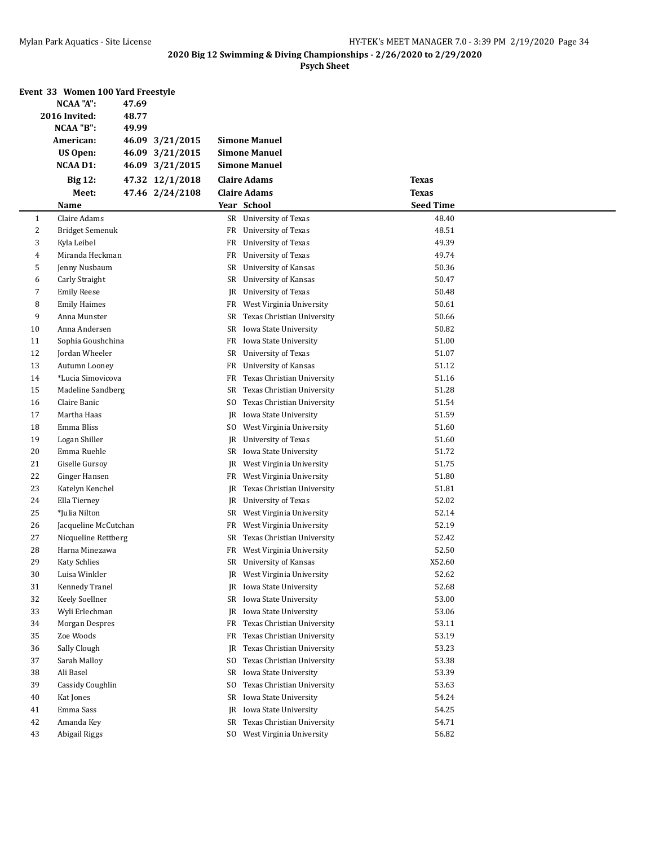|    | Event 33 Women 100 Yard Freestyle | 47.69 |                 |     |                             |                  |  |
|----|-----------------------------------|-------|-----------------|-----|-----------------------------|------------------|--|
|    | NCAA "A":<br>2016 Invited:        | 48.77 |                 |     |                             |                  |  |
|    | NCAA "B":                         | 49.99 |                 |     |                             |                  |  |
|    | American:                         |       | 46.09 3/21/2015 |     | <b>Simone Manuel</b>        |                  |  |
|    | <b>US Open:</b>                   |       | 46.09 3/21/2015 |     | <b>Simone Manuel</b>        |                  |  |
|    | <b>NCAA D1:</b>                   |       | 46.09 3/21/2015 |     | <b>Simone Manuel</b>        |                  |  |
|    | <b>Big 12:</b>                    |       | 47.32 12/1/2018 |     | <b>Claire Adams</b>         | <b>Texas</b>     |  |
|    | Meet:                             |       | 47.46 2/24/2108 |     | <b>Claire Adams</b>         | <b>Texas</b>     |  |
|    | <b>Name</b>                       |       |                 |     | Year School                 | <b>Seed Time</b> |  |
| 1  | Claire Adams                      |       |                 |     | SR University of Texas      | 48.40            |  |
| 2  | Bridget Semenuk                   |       |                 |     | FR University of Texas      | 48.51            |  |
| 3  | Kyla Leibel                       |       |                 | FR  | University of Texas         | 49.39            |  |
| 4  | Miranda Heckman                   |       |                 | FR  | University of Texas         | 49.74            |  |
| 5  | Jenny Nusbaum                     |       |                 | SR  | University of Kansas        | 50.36            |  |
| 6  | Carly Straight                    |       |                 | SR  | University of Kansas        | 50.47            |  |
| 7  | <b>Emily Reese</b>                |       |                 | JR  | University of Texas         | 50.48            |  |
| 8  | <b>Emily Haimes</b>               |       |                 | FR  | West Virginia University    | 50.61            |  |
| 9  | Anna Munster                      |       |                 | SR  | Texas Christian University  | 50.66            |  |
| 10 | Anna Andersen                     |       |                 |     | SR Iowa State University    | 50.82            |  |
| 11 | Sophia Goushchina                 |       |                 |     | FR Iowa State University    | 51.00            |  |
| 12 | Jordan Wheeler                    |       |                 | SR  | University of Texas         | 51.07            |  |
| 13 | Autumn Looney                     |       |                 | FR  | University of Kansas        | 51.12            |  |
| 14 | *Lucia Simovicova                 |       |                 | FR  | Texas Christian University  | 51.16            |  |
| 15 | Madeline Sandberg                 |       |                 | SR  | Texas Christian University  | 51.28            |  |
| 16 | Claire Banic                      |       |                 | SO. | Texas Christian University  | 51.54            |  |
| 17 | Martha Haas                       |       |                 | JR  | Iowa State University       | 51.59            |  |
| 18 | Emma Bliss                        |       |                 | SO. | West Virginia University    | 51.60            |  |
| 19 | Logan Shiller                     |       |                 | JR  | University of Texas         | 51.60            |  |
| 20 | Emma Ruehle                       |       |                 |     | SR Iowa State University    | 51.72            |  |
| 21 | Giselle Gursoy                    |       |                 | JR  | West Virginia University    | 51.75            |  |
| 22 | Ginger Hansen                     |       |                 | FR  | West Virginia University    | 51.80            |  |
| 23 | Katelyn Kenchel                   |       |                 | JR  | Texas Christian University  | 51.81            |  |
| 24 | Ella Tierney                      |       |                 | JR  | University of Texas         | 52.02            |  |
| 25 | *Julia Nilton                     |       |                 | SR  | West Virginia University    | 52.14            |  |
| 26 | Jacqueline McCutchan              |       |                 | FR  | West Virginia University    | 52.19            |  |
| 27 | Nicqueline Rettberg               |       |                 | SR  | Texas Christian University  | 52.42            |  |
| 28 | Harna Minezawa                    |       |                 |     | FR West Virginia University | 52.50            |  |
| 29 | Katy Schlies                      |       |                 |     | SR University of Kansas     | X52.60           |  |
| 30 | Luisa Winkler                     |       |                 |     | JR West Virginia University | 52.62            |  |
| 31 | Kennedy Tranel                    |       |                 |     | JR Iowa State University    | 52.68            |  |
| 32 | Keely Soellner                    |       |                 |     | SR Iowa State University    | 53.00            |  |
| 33 | Wyli Erlechman                    |       |                 |     | JR Iowa State University    | 53.06            |  |
| 34 | Morgan Despres                    |       |                 | FR  | Texas Christian University  | 53.11            |  |
| 35 | Zoe Woods                         |       |                 | FR  | Texas Christian University  | 53.19            |  |
| 36 | Sally Clough                      |       |                 | JR  | Texas Christian University  | 53.23            |  |
| 37 | Sarah Malloy                      |       |                 | SO. | Texas Christian University  | 53.38            |  |
| 38 | Ali Basel                         |       |                 | SR  | Iowa State University       | 53.39            |  |
| 39 | Cassidy Coughlin                  |       |                 | SO. | Texas Christian University  | 53.63            |  |
| 40 | Kat Jones                         |       |                 | SR  | Iowa State University       | 54.24            |  |
| 41 | Emma Sass                         |       |                 | JR  | Iowa State University       | 54.25            |  |
| 42 | Amanda Key                        |       |                 | SR  | Texas Christian University  | 54.71            |  |
| 43 | Abigail Riggs                     |       |                 |     | SO West Virginia University | 56.82            |  |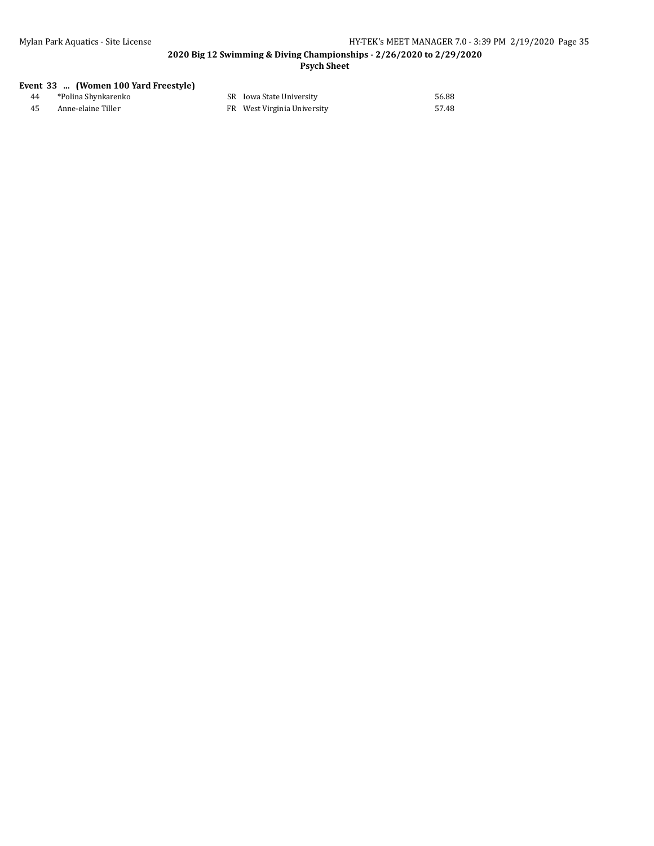#### **2020 Big 12 Swimming & Diving Championships - 2/26/2020 to 2/29/2020 Psych Sheet**

#### **Event 33 ... (Women 100 Yard Freestyle)**

| *Polina Shynkarenko | SR Iowa State University    | 56.88 |
|---------------------|-----------------------------|-------|
| Anne-elaine Tiller  | FR West Virginia University | 57.48 |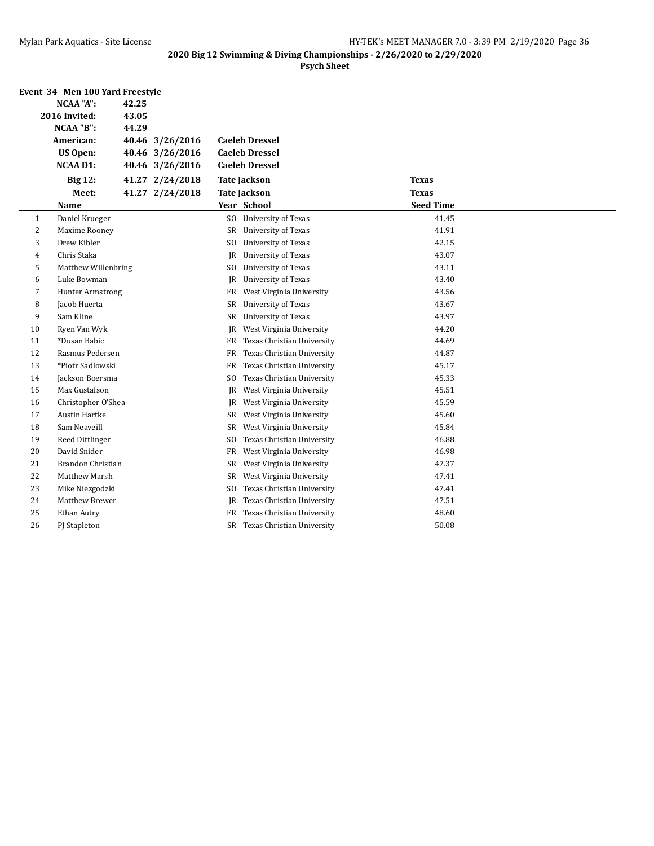|                | Event 34 Men 100 Yard Freestyle |       |                 |                |                            |                  |  |
|----------------|---------------------------------|-------|-----------------|----------------|----------------------------|------------------|--|
|                | <b>NCAA "A":</b>                | 42.25 |                 |                |                            |                  |  |
|                | 2016 Invited:                   | 43.05 |                 |                |                            |                  |  |
|                | NCAA "B":                       | 44.29 |                 |                |                            |                  |  |
|                | American:                       |       | 40.46 3/26/2016 |                | <b>Caeleb Dressel</b>      |                  |  |
|                | <b>US Open:</b>                 |       | 40.46 3/26/2016 |                | <b>Caeleb Dressel</b>      |                  |  |
|                | <b>NCAA D1:</b>                 |       | 40.46 3/26/2016 |                | <b>Caeleb Dressel</b>      |                  |  |
|                | <b>Big 12:</b>                  |       | 41.27 2/24/2018 |                | <b>Tate Jackson</b>        | <b>Texas</b>     |  |
|                | Meet:                           |       | 41.27 2/24/2018 |                | <b>Tate Jackson</b>        | <b>Texas</b>     |  |
|                | Name                            |       |                 |                | Year School                | <b>Seed Time</b> |  |
| 1              | Daniel Krueger                  |       |                 | SO.            | <b>University of Texas</b> | 41.45            |  |
| $\overline{c}$ | Maxime Rooney                   |       |                 | <b>SR</b>      | University of Texas        | 41.91            |  |
| 3              | Drew Kibler                     |       |                 | SO.            | University of Texas        | 42.15            |  |
| 4              | Chris Staka                     |       |                 | JR             | University of Texas        | 43.07            |  |
| 5              | Matthew Willenbring             |       |                 | SO.            | <b>University of Texas</b> | 43.11            |  |
| 6              | Luke Bowman                     |       |                 | JR             | University of Texas        | 43.40            |  |
| 7              | Hunter Armstrong                |       |                 | FR             | West Virginia University   | 43.56            |  |
| 8              | Jacob Huerta                    |       |                 | SR             | University of Texas        | 43.67            |  |
| 9              | Sam Kline                       |       |                 | SR             | <b>University of Texas</b> | 43.97            |  |
| 10             | Ryen Van Wyk                    |       |                 | JR             | West Virginia University   | 44.20            |  |
| 11             | *Dusan Babic                    |       |                 | FR             | Texas Christian University | 44.69            |  |
| 12             | Rasmus Pedersen                 |       |                 | FR             | Texas Christian University | 44.87            |  |
| 13             | *Piotr Sadlowski                |       |                 | FR             | Texas Christian University | 45.17            |  |
| 14             | Jackson Boersma                 |       |                 | S <sub>O</sub> | Texas Christian University | 45.33            |  |
| 15             | Max Gustafson                   |       |                 | JR             | West Virginia University   | 45.51            |  |
| 16             | Christopher O'Shea              |       |                 | JR             | West Virginia University   | 45.59            |  |
| 17             | Austin Hartke                   |       |                 | SR             | West Virginia University   | 45.60            |  |
| 18             | Sam Neaveill                    |       |                 | SR             | West Virginia University   | 45.84            |  |
| 19             | Reed Dittlinger                 |       |                 | SO.            | Texas Christian University | 46.88            |  |
| 20             | David Snider                    |       |                 | FR             | West Virginia University   | 46.98            |  |
| 21             | Brandon Christian               |       |                 | SR             | West Virginia University   | 47.37            |  |
| 22             | Matthew Marsh                   |       |                 | SR             | West Virginia University   | 47.41            |  |
| 23             | Mike Niezgodzki                 |       |                 | SO.            | Texas Christian University | 47.41            |  |
| 24             | Matthew Brewer                  |       |                 | JR             | Texas Christian University | 47.51            |  |
| 25             | Ethan Autry                     |       |                 | FR             | Texas Christian University | 48.60            |  |
| 26             | PJ Stapleton                    |       |                 | SR             | Texas Christian University | 50.08            |  |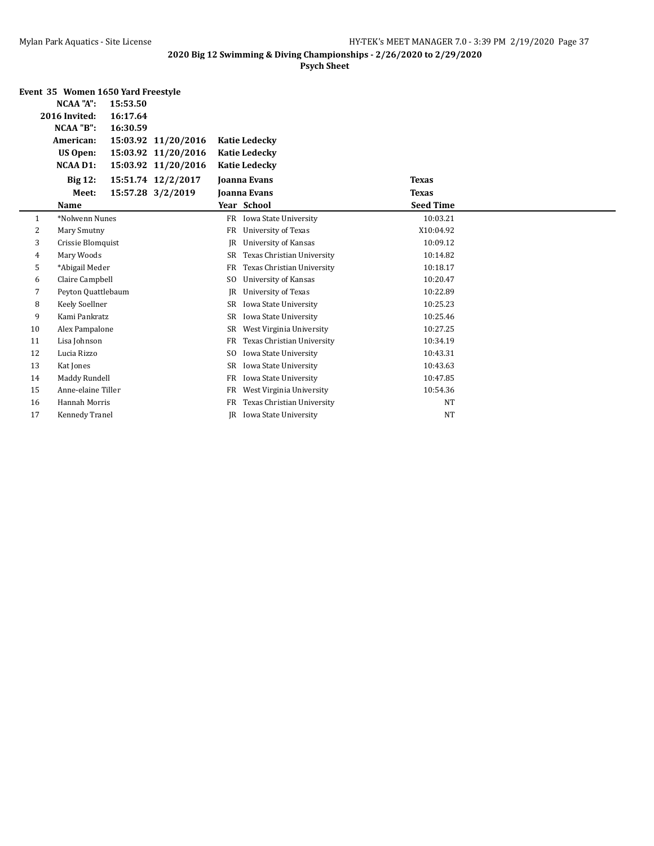|    | Event 35 Women 1650 Yard Freestyle |          |                     |                |                             |                  |  |
|----|------------------------------------|----------|---------------------|----------------|-----------------------------|------------------|--|
|    | NCAA "A":                          | 15:53.50 |                     |                |                             |                  |  |
|    | 2016 Invited:                      | 16:17.64 |                     |                |                             |                  |  |
|    | NCAA "B":                          | 16:30.59 |                     |                |                             |                  |  |
|    | American:                          |          | 15:03.92 11/20/2016 |                | <b>Katie Ledecky</b>        |                  |  |
|    | US Open:                           |          | 15:03.92 11/20/2016 |                | <b>Katie Ledecky</b>        |                  |  |
|    | <b>NCAA D1:</b>                    |          | 15:03.92 11/20/2016 |                | <b>Katie Ledecky</b>        |                  |  |
|    | <b>Big 12:</b>                     |          | 15:51.74 12/2/2017  |                | <b>Joanna Evans</b>         | <b>Texas</b>     |  |
|    | Meet:                              |          | 15:57.28 3/2/2019   |                | <b>Joanna Evans</b>         | <b>Texas</b>     |  |
|    | Name                               |          |                     |                | Year School                 | <b>Seed Time</b> |  |
| 1  | *Nolwenn Nunes                     |          |                     | FR             | Iowa State University       | 10:03.21         |  |
| 2  | Mary Smutny                        |          |                     | <b>FR</b>      | University of Texas         | X10:04.92        |  |
| 3  | Crissie Blomquist                  |          |                     | <b>IR</b>      | University of Kansas        | 10:09.12         |  |
| 4  | Mary Woods                         |          |                     | SR             | Texas Christian University  | 10:14.82         |  |
| 5  | *Abigail Meder                     |          |                     | <b>FR</b>      | Texas Christian University  | 10:18.17         |  |
| 6  | Claire Campbell                    |          |                     | S <sub>0</sub> | <b>University of Kansas</b> | 10:20.47         |  |
| 7  | Peyton Quattlebaum                 |          |                     | JR             | University of Texas         | 10:22.89         |  |
| 8  | Keely Soellner                     |          |                     | SR             | Iowa State University       | 10:25.23         |  |
| 9  | Kami Pankratz                      |          |                     | <b>SR</b>      | Iowa State University       | 10:25.46         |  |
| 10 | Alex Pampalone                     |          |                     | SR             | West Virginia University    | 10:27.25         |  |
| 11 | Lisa Johnson                       |          |                     | FR             | Texas Christian University  | 10:34.19         |  |
| 12 | Lucia Rizzo                        |          |                     | S <sub>0</sub> | Iowa State University       | 10:43.31         |  |
| 13 | Kat Jones                          |          |                     | <b>SR</b>      | Iowa State University       | 10:43.63         |  |
| 14 | Maddy Rundell                      |          |                     | <b>FR</b>      | Iowa State University       | 10:47.85         |  |
| 15 | Anne-elaine Tiller                 |          |                     | FR             | West Virginia University    | 10:54.36         |  |
| 16 | Hannah Morris                      |          |                     | <b>FR</b>      | Texas Christian University  | <b>NT</b>        |  |
| 17 | Kennedy Tranel                     |          |                     | IR             | Iowa State University       | <b>NT</b>        |  |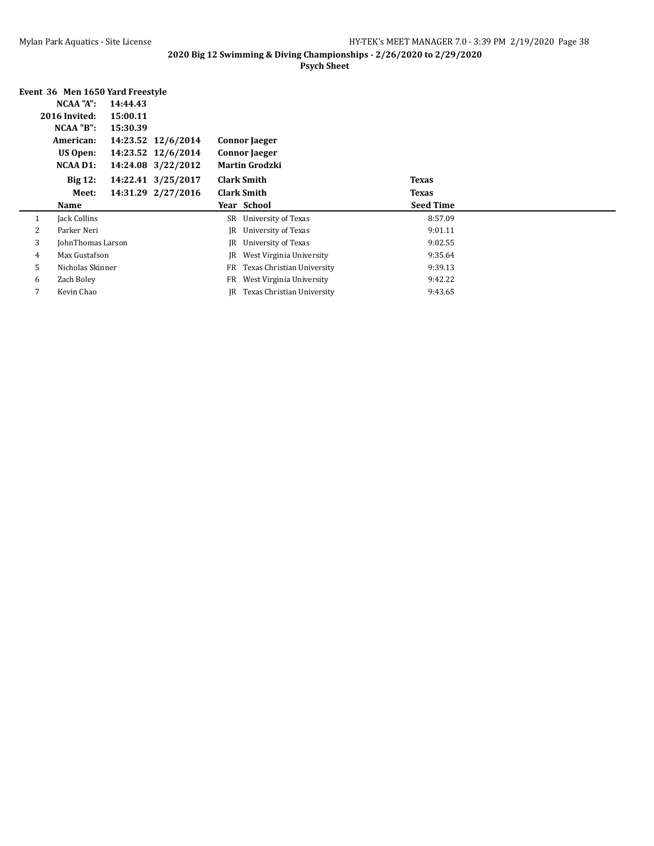|   | Event 36 Men 1650 Yard Freestyle |          |                    |    |                            |                  |  |
|---|----------------------------------|----------|--------------------|----|----------------------------|------------------|--|
|   | NCAA "A":                        | 14:44.43 |                    |    |                            |                  |  |
|   | 2016 Invited:                    | 15:00.11 |                    |    |                            |                  |  |
|   | NCAA "B":                        | 15:30.39 |                    |    |                            |                  |  |
|   | American:                        |          | 14:23.52 12/6/2014 |    | <b>Connor</b> Jaeger       |                  |  |
|   | US Open:                         |          | 14:23.52 12/6/2014 |    | <b>Connor</b> Jaeger       |                  |  |
|   | <b>NCAA D1:</b>                  |          | 14:24.08 3/22/2012 |    | <b>Martin Grodzki</b>      |                  |  |
|   | <b>Big 12:</b>                   |          | 14:22.41 3/25/2017 |    | <b>Clark Smith</b>         | <b>Texas</b>     |  |
|   | Meet:                            |          | 14:31.29 2/27/2016 |    | <b>Clark Smith</b>         | <b>Texas</b>     |  |
|   | <b>Name</b>                      |          |                    |    | Year School                | <b>Seed Time</b> |  |
| 1 | Jack Collins                     |          |                    |    | SR University of Texas     | 8:57.09          |  |
| 2 |                                  |          |                    |    |                            |                  |  |
|   | Parker Neri                      |          |                    | IR | University of Texas        | 9:01.11          |  |
| 3 | JohnThomas Larson                |          |                    | IR | University of Texas        | 9:02.55          |  |
| 4 | Max Gustafson                    |          |                    | IR | West Virginia University   | 9:35.64          |  |
| 5 | Nicholas Skinner                 |          |                    | FR | Texas Christian University | 9:39.13          |  |
| 6 | Zach Boley                       |          |                    | FR | West Virginia University   | 9:42.22          |  |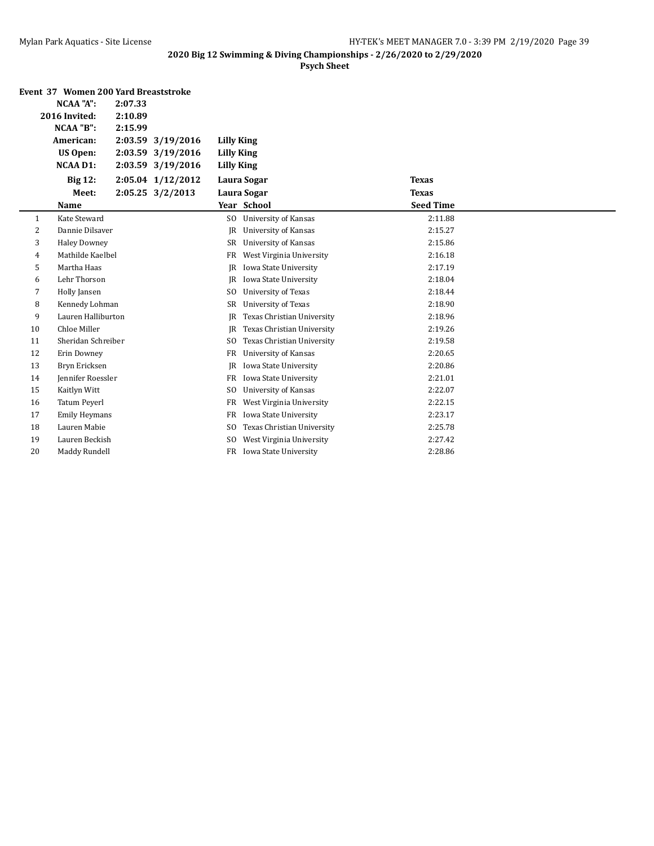|    | Event 37 Women 200 Yard Breaststroke |         |                   |                   |                             |                  |  |
|----|--------------------------------------|---------|-------------------|-------------------|-----------------------------|------------------|--|
|    | <b>NCAA "A":</b><br>2:07.33          |         |                   |                   |                             |                  |  |
|    | 2016 Invited:                        | 2:10.89 |                   |                   |                             |                  |  |
|    | NCAA "B":                            | 2:15.99 |                   |                   |                             |                  |  |
|    | American:                            |         | 2:03.59 3/19/2016 | <b>Lilly King</b> |                             |                  |  |
|    | <b>US Open:</b>                      |         | 2:03.59 3/19/2016 | <b>Lilly King</b> |                             |                  |  |
|    | <b>NCAA D1:</b>                      |         | 2:03.59 3/19/2016 | <b>Lilly King</b> |                             |                  |  |
|    | <b>Big 12:</b>                       |         | 2:05.04 1/12/2012 |                   | Laura Sogar                 | <b>Texas</b>     |  |
|    | Meet:                                |         | 2:05.25 3/2/2013  |                   | Laura Sogar                 | <b>Texas</b>     |  |
|    | Name                                 |         |                   |                   | Year School                 | <b>Seed Time</b> |  |
| 1  | Kate Steward                         |         |                   | S <sub>0</sub>    | University of Kansas        | 2:11.88          |  |
| 2  | Dannie Dilsaver                      |         |                   | <b>JR</b>         | <b>University of Kansas</b> | 2:15.27          |  |
| 3  | <b>Haley Downey</b>                  |         |                   | SR                | <b>University of Kansas</b> | 2:15.86          |  |
| 4  | Mathilde Kaelbel                     |         |                   | FR                | West Virginia University    | 2:16.18          |  |
| 5  | Martha Haas                          |         |                   | IR                | Iowa State University       | 2:17.19          |  |
| 6  | Lehr Thorson                         |         |                   | IR                | Iowa State University       | 2:18.04          |  |
| 7  | Holly Jansen                         |         |                   | S <sub>0</sub>    | University of Texas         | 2:18.44          |  |
| 8  | Kennedy Lohman                       |         |                   | SR                | University of Texas         | 2:18.90          |  |
| 9  | Lauren Halliburton                   |         |                   | <b>JR</b>         | Texas Christian University  | 2:18.96          |  |
| 10 | Chloe Miller                         |         |                   | <b>JR</b>         | Texas Christian University  | 2:19.26          |  |
| 11 | Sheridan Schreiber                   |         |                   | SO.               | Texas Christian University  | 2:19.58          |  |
| 12 | Erin Downey                          |         |                   | <b>FR</b>         | University of Kansas        | 2:20.65          |  |
| 13 | Bryn Ericksen                        |         |                   | <b>IR</b>         | Iowa State University       | 2:20.86          |  |
| 14 | Jennifer Roessler                    |         |                   | <b>FR</b>         | Iowa State University       | 2:21.01          |  |
| 15 | Kaitlyn Witt                         |         |                   | S <sub>0</sub>    | <b>University of Kansas</b> | 2:22.07          |  |
| 16 | Tatum Peyerl                         |         |                   | FR                | West Virginia University    | 2:22.15          |  |
| 17 | <b>Emily Heymans</b>                 |         |                   | <b>FR</b>         | Iowa State University       | 2:23.17          |  |
| 18 | Lauren Mabie                         |         |                   | S <sub>0</sub>    | Texas Christian University  | 2:25.78          |  |
| 19 | Lauren Beckish                       |         |                   | S <sub>0</sub>    | West Virginia University    | 2:27.42          |  |
| 20 | Maddy Rundell                        |         |                   | <b>FR</b>         | Iowa State University       | 2:28.86          |  |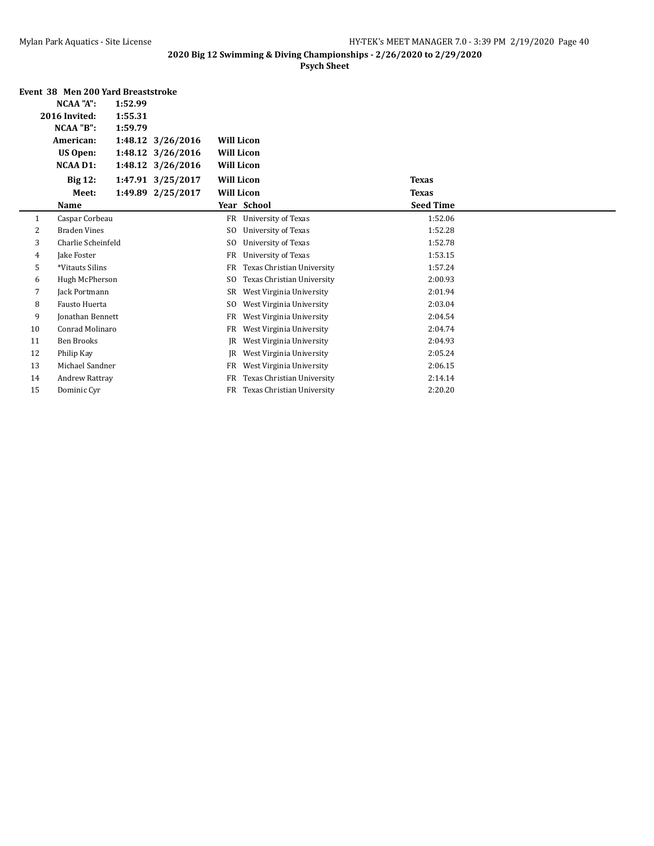|    | Event 38 Men 200 Yard Breaststroke |         |                   |                   |                            |                  |  |
|----|------------------------------------|---------|-------------------|-------------------|----------------------------|------------------|--|
|    | NCAA "A":                          | 1:52.99 |                   |                   |                            |                  |  |
|    | 2016 Invited:                      | 1:55.31 |                   |                   |                            |                  |  |
|    | NCAA "B":                          | 1:59.79 |                   |                   |                            |                  |  |
|    | American:                          |         | 1:48.12 3/26/2016 | <b>Will Licon</b> |                            |                  |  |
|    | <b>US Open:</b>                    |         | 1:48.12 3/26/2016 | <b>Will Licon</b> |                            |                  |  |
|    | <b>NCAA D1:</b>                    |         | 1:48.12 3/26/2016 | <b>Will Licon</b> |                            |                  |  |
|    | <b>Big 12:</b>                     |         | 1:47.91 3/25/2017 | <b>Will Licon</b> |                            | <b>Texas</b>     |  |
|    | Meet:                              |         | 1:49.89 2/25/2017 | <b>Will Licon</b> |                            | <b>Texas</b>     |  |
|    | Name                               |         |                   |                   | Year School                | <b>Seed Time</b> |  |
| 1  | Caspar Corbeau                     |         |                   | FR                | <b>University of Texas</b> | 1:52.06          |  |
| 2  | <b>Braden Vines</b>                |         |                   | SO.               | University of Texas        | 1:52.28          |  |
| 3  | Charlie Scheinfeld                 |         |                   | SO.               | <b>University of Texas</b> | 1:52.78          |  |
| 4  | Jake Foster                        |         |                   | FR                | <b>University of Texas</b> | 1:53.15          |  |
| 5  | *Vitauts Silins                    |         |                   | FR                | Texas Christian University | 1:57.24          |  |
| 6  | Hugh McPherson                     |         |                   | SO.               | Texas Christian University | 2:00.93          |  |
| 7  | Jack Portmann                      |         |                   | SR                | West Virginia University   | 2:01.94          |  |
| 8  | <b>Fausto Huerta</b>               |         |                   | SO.               | West Virginia University   | 2:03.04          |  |
| 9  | <b>Jonathan Bennett</b>            |         |                   | FR                | West Virginia University   | 2:04.54          |  |
| 10 | Conrad Molinaro                    |         |                   | FR                | West Virginia University   | 2:04.74          |  |
| 11 | <b>Ben Brooks</b>                  |         |                   | IR                | West Virginia University   | 2:04.93          |  |
| 12 | Philip Kay                         |         |                   | IR                | West Virginia University   | 2:05.24          |  |
| 13 | Michael Sandner                    |         |                   | FR                | West Virginia University   | 2:06.15          |  |
| 14 | Andrew Rattray                     |         |                   | FR                | Texas Christian University | 2:14.14          |  |
| 15 | Dominic Cyr                        |         |                   | FR                | Texas Christian University | 2:20.20          |  |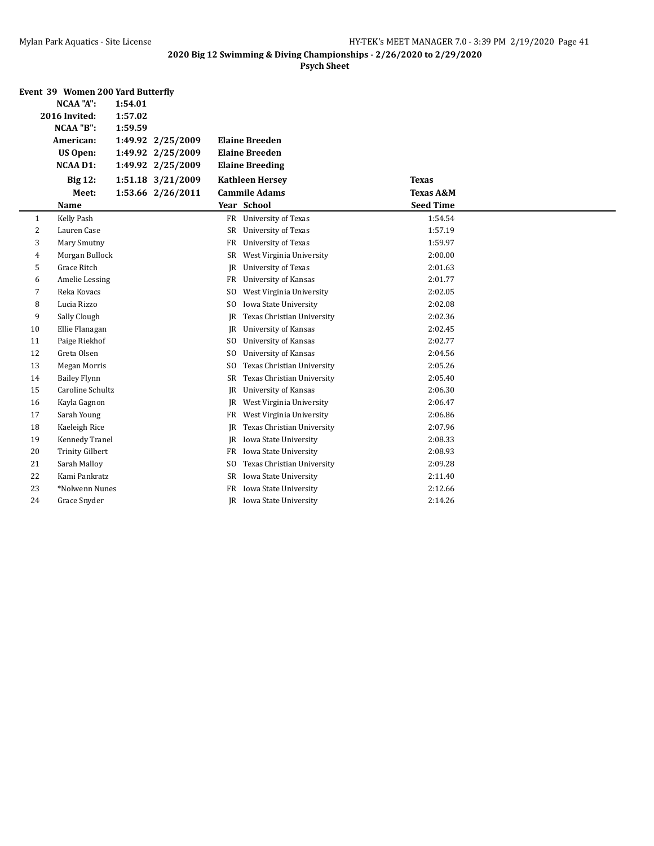|    | Event 39 Women 200 Yard Butterfly |         |                   |                |                             |                      |  |
|----|-----------------------------------|---------|-------------------|----------------|-----------------------------|----------------------|--|
|    | <b>NCAA "A":</b>                  | 1:54.01 |                   |                |                             |                      |  |
|    | 2016 Invited:                     | 1:57.02 |                   |                |                             |                      |  |
|    | NCAA "B":                         | 1:59.59 |                   |                |                             |                      |  |
|    | American:                         |         | 1:49.92 2/25/2009 |                | <b>Elaine Breeden</b>       |                      |  |
|    | <b>US Open:</b>                   |         | 1:49.92 2/25/2009 |                | <b>Elaine Breeden</b>       |                      |  |
|    | <b>NCAA D1:</b>                   |         | 1:49.92 2/25/2009 |                | <b>Elaine Breeding</b>      |                      |  |
|    | <b>Big 12:</b>                    |         | 1:51.18 3/21/2009 |                | <b>Kathleen Hersey</b>      | <b>Texas</b>         |  |
|    | Meet:                             |         | 1:53.66 2/26/2011 |                | <b>Cammile Adams</b>        | <b>Texas A&amp;M</b> |  |
|    | Name                              |         |                   |                | Year School                 | <b>Seed Time</b>     |  |
| 1  | Kelly Pash                        |         |                   |                | FR University of Texas      | 1:54.54              |  |
| 2  | Lauren Case                       |         |                   |                | SR University of Texas      | 1:57.19              |  |
| 3  | Mary Smutny                       |         |                   | FR             | University of Texas         | 1:59.97              |  |
| 4  | Morgan Bullock                    |         |                   | SR             | West Virginia University    | 2:00.00              |  |
| 5  | Grace Ritch                       |         |                   | JR             | University of Texas         | 2:01.63              |  |
| 6  | Amelie Lessing                    |         |                   | FR             | <b>University of Kansas</b> | 2:01.77              |  |
| 7  | Reka Kovacs                       |         |                   | S <sub>0</sub> | West Virginia University    | 2:02.05              |  |
| 8  | Lucia Rizzo                       |         |                   | S <sub>0</sub> | Iowa State University       | 2:02.08              |  |
| 9  | Sally Clough                      |         |                   | <b>JR</b>      | Texas Christian University  | 2:02.36              |  |
| 10 | Ellie Flanagan                    |         |                   | JR             | <b>University of Kansas</b> | 2:02.45              |  |
| 11 | Paige Riekhof                     |         |                   | SO.            | <b>University of Kansas</b> | 2:02.77              |  |
| 12 | Greta Olsen                       |         |                   | S <sub>0</sub> | <b>University of Kansas</b> | 2:04.56              |  |
| 13 | <b>Megan Morris</b>               |         |                   | S <sub>0</sub> | Texas Christian University  | 2:05.26              |  |
| 14 | <b>Bailey Flynn</b>               |         |                   | <b>SR</b>      | Texas Christian University  | 2:05.40              |  |
| 15 | Caroline Schultz                  |         |                   | JR             | <b>University of Kansas</b> | 2:06.30              |  |
| 16 | Kayla Gagnon                      |         |                   | JR             | West Virginia University    | 2:06.47              |  |
| 17 | Sarah Young                       |         |                   | FR             | West Virginia University    | 2:06.86              |  |
| 18 | Kaeleigh Rice                     |         |                   | JR             | Texas Christian University  | 2:07.96              |  |
| 19 | Kennedy Tranel                    |         |                   | JR             | Iowa State University       | 2:08.33              |  |
| 20 | <b>Trinity Gilbert</b>            |         |                   | FR             | Iowa State University       | 2:08.93              |  |
| 21 | Sarah Malloy                      |         |                   | S <sub>0</sub> | Texas Christian University  | 2:09.28              |  |
| 22 | Kami Pankratz                     |         |                   | SR             | Iowa State University       | 2:11.40              |  |
| 23 | *Nolwenn Nunes                    |         |                   | FR             | Iowa State University       | 2:12.66              |  |
| 24 | Grace Snyder                      |         |                   |                | JR Iowa State University    | 2:14.26              |  |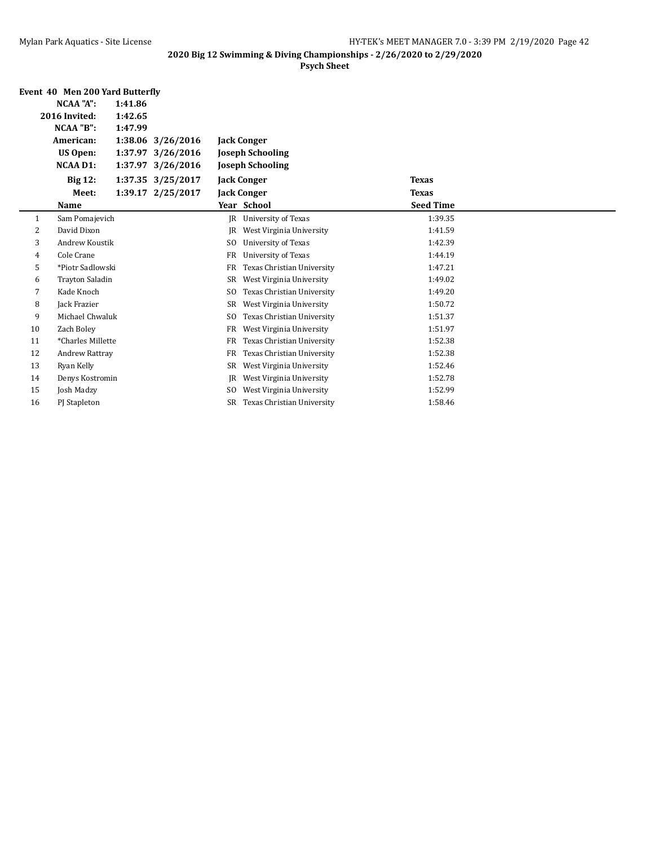|    | Event 40 Men 200 Yard Butterfly |         |                   |                |                            |                  |  |
|----|---------------------------------|---------|-------------------|----------------|----------------------------|------------------|--|
|    | <b>NCAA "A":</b>                | 1:41.86 |                   |                |                            |                  |  |
|    | 2016 Invited:                   | 1:42.65 |                   |                |                            |                  |  |
|    | NCAA "B":                       | 1:47.99 |                   |                |                            |                  |  |
|    | American:                       |         | 1:38.06 3/26/2016 |                | <b>Jack Conger</b>         |                  |  |
|    | <b>US Open:</b>                 |         | 1:37.97 3/26/2016 |                | <b>Joseph Schooling</b>    |                  |  |
|    | <b>NCAA D1:</b>                 |         | 1:37.97 3/26/2016 |                | <b>Joseph Schooling</b>    |                  |  |
|    | <b>Big 12:</b>                  |         | 1:37.35 3/25/2017 |                | <b>Jack Conger</b>         | <b>Texas</b>     |  |
|    | Meet:                           |         | 1:39.17 2/25/2017 |                | <b>Jack Conger</b>         | <b>Texas</b>     |  |
|    | Name                            |         |                   |                | Year School                | <b>Seed Time</b> |  |
| 1  | Sam Pomajevich                  |         |                   | IR             | <b>University of Texas</b> | 1:39.35          |  |
| 2  | David Dixon                     |         |                   | IR             | West Virginia University   | 1:41.59          |  |
| 3  | Andrew Koustik                  |         |                   | S <sub>0</sub> | University of Texas        | 1:42.39          |  |
| 4  | Cole Crane                      |         |                   | <b>FR</b>      | University of Texas        | 1:44.19          |  |
| 5  | *Piotr Sadlowski                |         |                   | <b>FR</b>      | Texas Christian University | 1:47.21          |  |
| 6  | <b>Trayton Saladin</b>          |         |                   | SR             | West Virginia University   | 1:49.02          |  |
| 7  | Kade Knoch                      |         |                   | <sub>SO</sub>  | Texas Christian University | 1:49.20          |  |
| 8  | Jack Frazier                    |         |                   | SR             | West Virginia University   | 1:50.72          |  |
| 9  | Michael Chwaluk                 |         |                   | S <sub>0</sub> | Texas Christian University | 1:51.37          |  |
| 10 | Zach Boley                      |         |                   | <b>FR</b>      | West Virginia University   | 1:51.97          |  |
| 11 | *Charles Millette               |         |                   | FR             | Texas Christian University | 1:52.38          |  |
| 12 | <b>Andrew Rattray</b>           |         |                   | <b>FR</b>      | Texas Christian University | 1:52.38          |  |
| 13 | Ryan Kelly                      |         |                   | SR             | West Virginia University   | 1:52.46          |  |
| 14 | Denys Kostromin                 |         |                   | IR             | West Virginia University   | 1:52.78          |  |
| 15 | Josh Madzy                      |         |                   | S <sub>0</sub> | West Virginia University   | 1:52.99          |  |
| 16 | PJ Stapleton                    |         |                   | SR             | Texas Christian University | 1:58.46          |  |
|    |                                 |         |                   |                |                            |                  |  |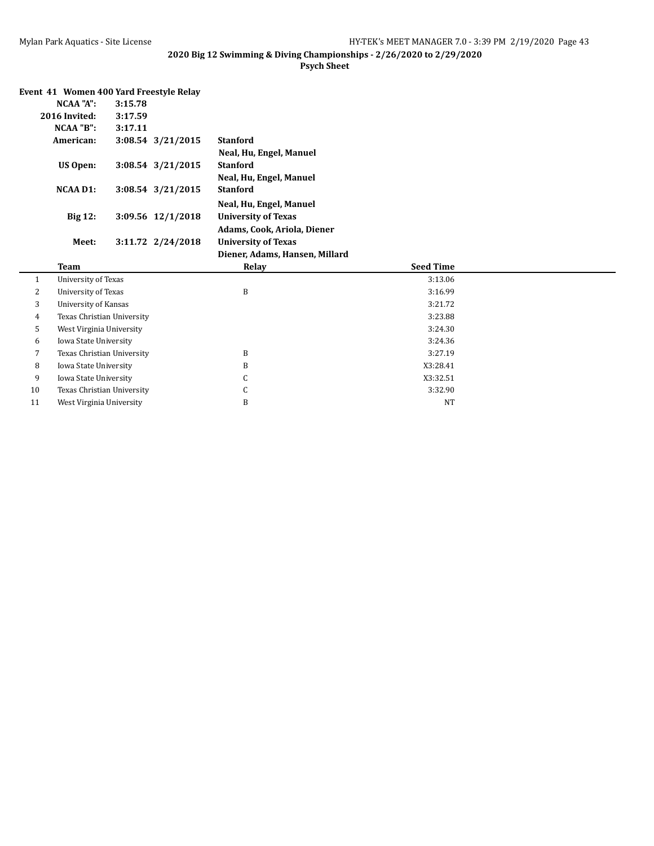|    | Event 41 Women 400 Yard Freestyle Relay |         |                   |                                |                  |  |
|----|-----------------------------------------|---------|-------------------|--------------------------------|------------------|--|
|    | NCAA "A":                               | 3:15.78 |                   |                                |                  |  |
|    | 2016 Invited:                           | 3:17.59 |                   |                                |                  |  |
|    | NCAA "B":                               | 3:17.11 |                   |                                |                  |  |
|    | American:                               |         | 3:08.54 3/21/2015 | <b>Stanford</b>                |                  |  |
|    |                                         |         |                   | Neal, Hu, Engel, Manuel        |                  |  |
|    | <b>US Open:</b>                         |         | 3:08.54 3/21/2015 | <b>Stanford</b>                |                  |  |
|    |                                         |         |                   | Neal, Hu, Engel, Manuel        |                  |  |
|    | <b>NCAA D1:</b>                         |         | 3:08.54 3/21/2015 | <b>Stanford</b>                |                  |  |
|    |                                         |         |                   | Neal, Hu, Engel, Manuel        |                  |  |
|    | <b>Big 12:</b>                          |         | 3:09.56 12/1/2018 | <b>University of Texas</b>     |                  |  |
|    |                                         |         |                   | Adams, Cook, Ariola, Diener    |                  |  |
|    | Meet:                                   |         | 3:11.72 2/24/2018 | <b>University of Texas</b>     |                  |  |
|    |                                         |         |                   |                                |                  |  |
|    |                                         |         |                   | Diener, Adams, Hansen, Millard |                  |  |
|    | <b>Team</b>                             |         |                   | Relay                          | <b>Seed Time</b> |  |
| 1  | University of Texas                     |         |                   |                                | 3:13.06          |  |
| 2  | <b>University of Texas</b>              |         |                   | B                              | 3:16.99          |  |
| 3  | University of Kansas                    |         |                   |                                | 3:21.72          |  |
| 4  | Texas Christian University              |         |                   |                                | 3:23.88          |  |
| 5  | West Virginia University                |         |                   |                                | 3:24.30          |  |
| 6  | Iowa State University                   |         |                   |                                | 3:24.36          |  |
| 7  | Texas Christian University              |         |                   | B                              | 3:27.19          |  |
| 8  | Iowa State University                   |         |                   | B                              | X3:28.41         |  |
| 9  | Iowa State University                   |         |                   | С                              | X3:32.51         |  |
| 10 | Texas Christian University              |         |                   | С                              | 3:32.90          |  |